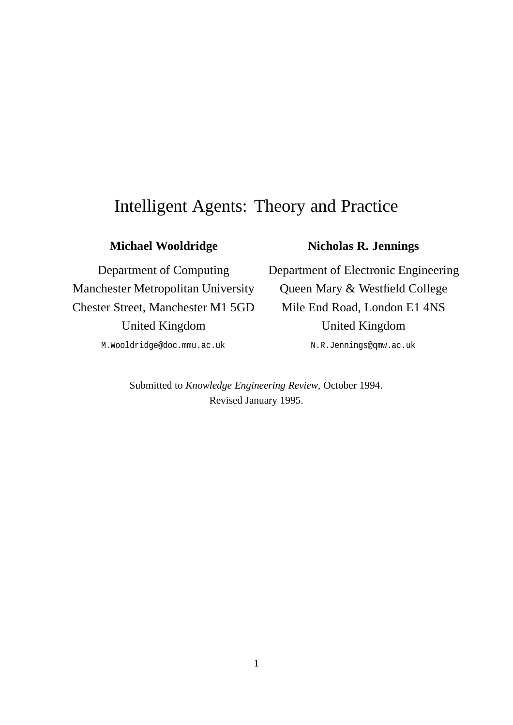# Intelligent Agents: Theory and Practice

## **Michael Wooldridge**

Department of Computing Manchester Metropolitan University Chester Street, Manchester M1 5GD United Kingdom

M.Wooldridge@doc.mmu.ac.uk

## **Nicholas R. Jennings**

Department of Electronic Engineering Queen Mary & Westfield College Mile End Road, London E1 4NS United Kingdom

N.R.Jennings@qmw.ac.uk

Submitted to *Knowledge Engineering Review*, October 1994. Revised January 1995.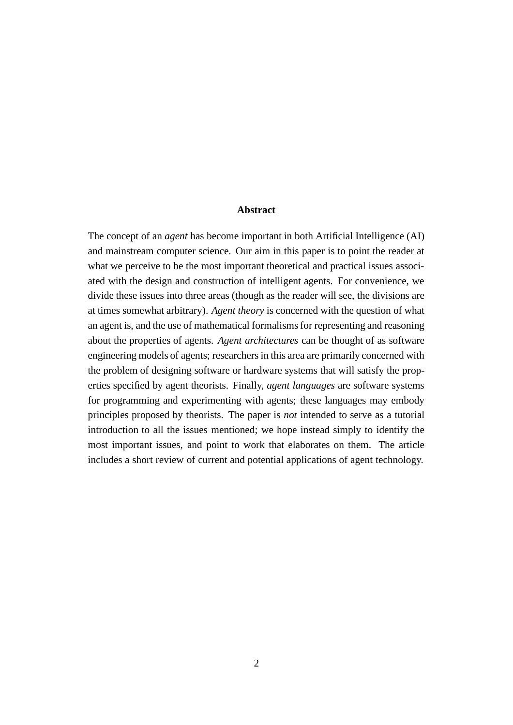#### **Abstract**

The concept of an *agent* has become important in both Artificial Intelligence (AI) and mainstream computer science. Our aim in this paper is to point the reader at what we perceive to be the most important theoretical and practical issues associated with the design and construction of intelligent agents. For convenience, we divide these issues into three areas (though as the reader will see, the divisions are at times somewhat arbitrary). *Agent theory* is concerned with the question of what an agent is, and the use of mathematical formalismsfor representing and reasoning about the properties of agents. *Agent architectures* can be thought of as software engineering models of agents; researchers in this area are primarily concerned with the problem of designing software or hardware systems that will satisfy the properties specified by agent theorists. Finally, *agent languages* are software systems for programming and experimenting with agents; these languages may embody principles proposed by theorists. The paper is *not* intended to serve as a tutorial introduction to all the issues mentioned; we hope instead simply to identify the most important issues, and point to work that elaborates on them. The article includes a short review of current and potential applications of agent technology.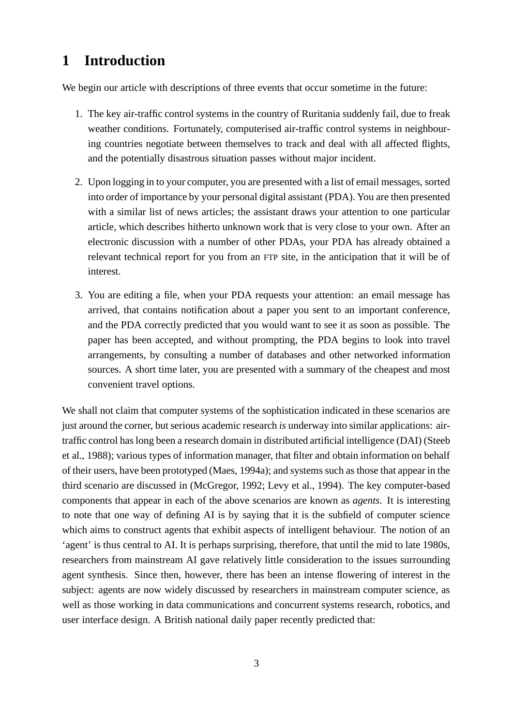## **1 Introduction**

We begin our article with descriptions of three events that occur sometime in the future:

- 1. The key air-traffic control systems in the country of Ruritania suddenly fail, due to freak weather conditions. Fortunately, computerised air-traffic control systems in neighbouring countries negotiate between themselves to track and deal with all affected flights, and the potentially disastrous situation passes without major incident.
- 2. Upon logging in to your computer, you are presented with a list of email messages, sorted into order of importance by your personal digital assistant (PDA). You are then presented with a similar list of news articles; the assistant draws your attention to one particular article, which describes hitherto unknown work that is very close to your own. After an electronic discussion with a number of other PDAs, your PDA has already obtained a relevant technical report for you from an FTP site, in the anticipation that it will be of interest.
- 3. You are editing a file, when your PDA requests your attention: an email message has arrived, that contains notification about a paper you sent to an important conference, and the PDA correctly predicted that you would want to see it as soon as possible. The paper has been accepted, and without prompting, the PDA begins to look into travel arrangements, by consulting a number of databases and other networked information sources. A short time later, you are presented with a summary of the cheapest and most convenient travel options.

We shall not claim that computer systems of the sophistication indicated in these scenarios are just around the corner, but serious academic research *is* underway into similar applications: airtraffic control has long been a research domain in distributed artificial intelligence (DAI) (Steeb et al., 1988); various types of information manager, that filter and obtain information on behalf of their users, have been prototyped (Maes, 1994a); and systems such as those that appear in the third scenario are discussed in (McGregor, 1992; Levy et al., 1994). The key computer-based components that appear in each of the above scenarios are known as *agents*. It is interesting to note that one way of defining AI is by saying that it is the subfield of computer science which aims to construct agents that exhibit aspects of intelligent behaviour. The notion of an 'agent' is thus central to AI. It is perhaps surprising, therefore, that until the mid to late 1980s, researchers from mainstream AI gave relatively little consideration to the issues surrounding agent synthesis. Since then, however, there has been an intense flowering of interest in the subject: agents are now widely discussed by researchers in mainstream computer science, as well as those working in data communications and concurrent systems research, robotics, and user interface design. A British national daily paper recently predicted that: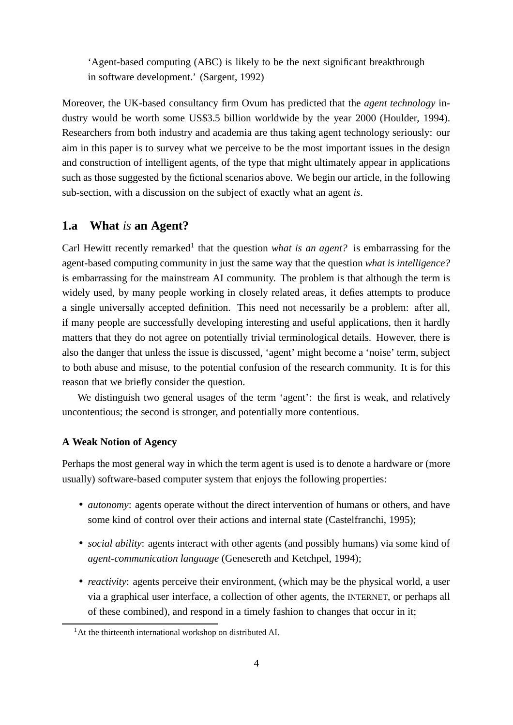'Agent-based computing (ABC) is likely to be the next significant breakthrough in software development.' (Sargent, 1992)

Moreover, the UK-based consultancy firm Ovum has predicted that the *agent technology* industry would be worth some US\$3.5 billion worldwide by the year 2000 (Houlder, 1994). Researchers from both industry and academia are thus taking agent technology seriously: our aim in this paper is to survey what we perceive to be the most important issues in the design and construction of intelligent agents, of the type that might ultimately appear in applications such as those suggested by the fictional scenarios above. We begin our article, in the following sub-section, with a discussion on the subject of exactly what an agent *is*.

## **1.a What** *is* **an Agent?**

Carl Hewitt recently remarked<sup>1</sup> that the question *what is an agent?* is embarrassing for the agent-based computing community in just the same way that the question *what is intelligence?* is embarrassing for the mainstream AI community. The problem is that although the term is widely used, by many people working in closely related areas, it defies attempts to produce a single universally accepted definition. This need not necessarily be a problem: after all, if many people are successfully developing interesting and useful applications, then it hardly matters that they do not agree on potentially trivial terminological details. However, there is also the danger that unless the issue is discussed, 'agent' might become a 'noise' term, subject to both abuse and misuse, to the potential confusion of the research community. It is for this reason that we briefly consider the question.

We distinguish two general usages of the term 'agent': the first is weak, and relatively uncontentious; the second is stronger, and potentially more contentious.

#### **A Weak Notion of Agency**

Perhaps the most general way in which the term agent is used is to denote a hardware or (more usually) software-based computer system that enjoys the following properties:

- *autonomy*: agents operate without the direct intervention of humans or others, and have some kind of control over their actions and internal state (Castelfranchi, 1995);
- *social ability*: agents interact with other agents (and possibly humans) via some kind of *agent-communication language* (Genesereth and Ketchpel, 1994);
- *reactivity*: agents perceive their environment, (which may be the physical world, a user via a graphical user interface, a collection of other agents, the INTERNET, or perhaps all of these combined), and respond in a timely fashion to changes that occur in it;

<sup>&</sup>lt;sup>1</sup>At the thirteenth international workshop on distributed AI.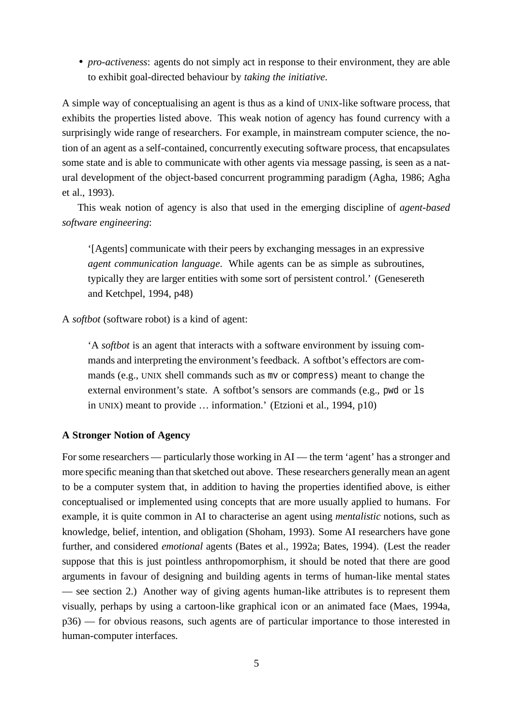• *pro-activeness*: agents do not simply act in response to their environment, they are able to exhibit goal-directed behaviour by *taking the initiative*.

A simple way of conceptualising an agent is thus as a kind of UNIX-like software process, that exhibits the properties listed above. This weak notion of agency has found currency with a surprisingly wide range of researchers. For example, in mainstream computer science, the notion of an agent as a self-contained, concurrently executing software process, that encapsulates some state and is able to communicate with other agents via message passing, is seen as a natural development of the object-based concurrent programming paradigm (Agha, 1986; Agha et al., 1993).

This weak notion of agency is also that used in the emerging discipline of *agent-based software engineering*:

'[Agents] communicate with their peers by exchanging messages in an expressive *agent communication language*. While agents can be as simple as subroutines, typically they are larger entities with some sort of persistent control.' (Genesereth and Ketchpel, 1994, p48)

A *softbot* (software robot) is a kind of agent:

'A *softbot* is an agent that interacts with a software environment by issuing commands and interpreting the environment's feedback. A softbot's effectors are commands (e.g., UNIX shell commands such as mv or compress) meant to change the external environment's state. A softbot's sensors are commands (e.g., pwd or ls in UNIX) meant to provide … information.' (Etzioni et al., 1994, p10)

### **A Stronger Notion of Agency**

For some researchers — particularly those working in AI — the term 'agent' has a stronger and more specific meaning than that sketched out above. These researchers generally mean an agent to be a computer system that, in addition to having the properties identified above, is either conceptualised or implemented using concepts that are more usually applied to humans. For example, it is quite common in AI to characterise an agent using *mentalistic* notions, such as knowledge, belief, intention, and obligation (Shoham, 1993). Some AI researchers have gone further, and considered *emotional* agents (Bates et al., 1992a; Bates, 1994). (Lest the reader suppose that this is just pointless anthropomorphism, it should be noted that there are good arguments in favour of designing and building agents in terms of human-like mental states — see section 2.) Another way of giving agents human-like attributes is to represent them visually, perhaps by using a cartoon-like graphical icon or an animated face (Maes, 1994a, p36) — for obvious reasons, such agents are of particular importance to those interested in human-computer interfaces.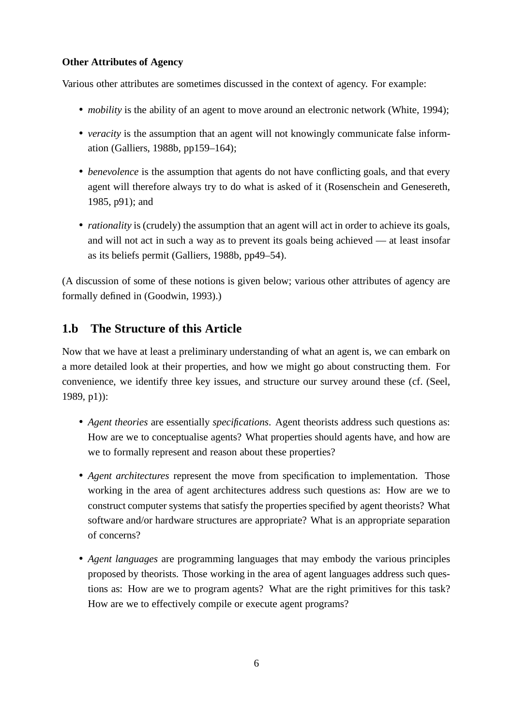## **Other Attributes of Agency**

Various other attributes are sometimes discussed in the context of agency. For example:

- *mobility* is the ability of an agent to move around an electronic network (White, 1994);
- *veracity* is the assumption that an agent will not knowingly communicate false information (Galliers, 1988b, pp159–164);
- *benevolence* is the assumption that agents do not have conflicting goals, and that every agent will therefore always try to do what is asked of it (Rosenschein and Genesereth, 1985, p91); and
- *rationality* is (crudely) the assumption that an agent will act in order to achieve its goals, and will not act in such a way as to prevent its goals being achieved — at least insofar as its beliefs permit (Galliers, 1988b, pp49–54).

(A discussion of some of these notions is given below; various other attributes of agency are formally defined in (Goodwin, 1993).)

## **1.b The Structure of this Article**

Now that we have at least a preliminary understanding of what an agent is, we can embark on a more detailed look at their properties, and how we might go about constructing them. For convenience, we identify three key issues, and structure our survey around these (cf. (Seel, 1989, p1)):

- *Agent theories* are essentially *specifications*. Agent theorists address such questions as: How are we to conceptualise agents? What properties should agents have, and how are we to formally represent and reason about these properties?
- *Agent architectures* represent the move from specification to implementation. Those working in the area of agent architectures address such questions as: How are we to construct computer systems that satisfy the properties specified by agent theorists? What software and/or hardware structures are appropriate? What is an appropriate separation of concerns?
- *Agent languages* are programming languages that may embody the various principles proposed by theorists. Those working in the area of agent languages address such questions as: How are we to program agents? What are the right primitives for this task? How are we to effectively compile or execute agent programs?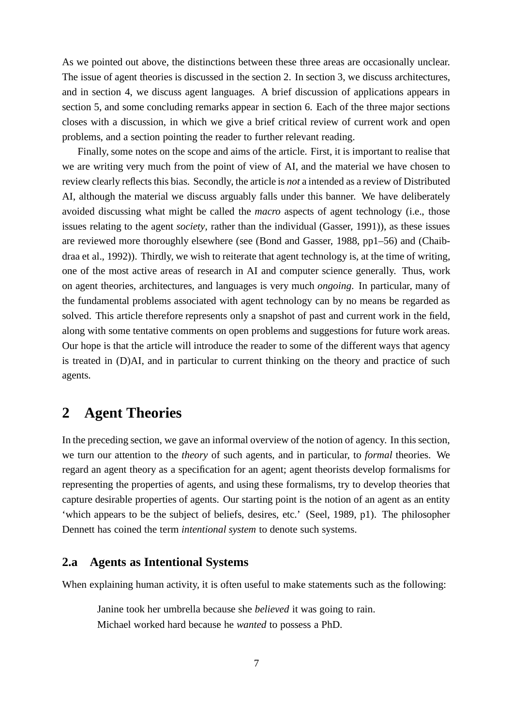As we pointed out above, the distinctions between these three areas are occasionally unclear. The issue of agent theories is discussed in the section 2. In section 3, we discuss architectures, and in section 4, we discuss agent languages. A brief discussion of applications appears in section 5, and some concluding remarks appear in section 6. Each of the three major sections closes with a discussion, in which we give a brief critical review of current work and open problems, and a section pointing the reader to further relevant reading.

Finally, some notes on the scope and aims of the article. First, it is important to realise that we are writing very much from the point of view of AI, and the material we have chosen to review clearly reflects this bias. Secondly, the article is *not* a intended as a review of Distributed AI, although the material we discuss arguably falls under this banner. We have deliberately avoided discussing what might be called the *macro* aspects of agent technology (i.e., those issues relating to the agent *society*, rather than the individual (Gasser, 1991)), as these issues are reviewed more thoroughly elsewhere (see (Bond and Gasser, 1988, pp1–56) and (Chaibdraa et al., 1992)). Thirdly, we wish to reiterate that agent technology is, at the time of writing, one of the most active areas of research in AI and computer science generally. Thus, work on agent theories, architectures, and languages is very much *ongoing*. In particular, many of the fundamental problems associated with agent technology can by no means be regarded as solved. This article therefore represents only a snapshot of past and current work in the field, along with some tentative comments on open problems and suggestions for future work areas. Our hope is that the article will introduce the reader to some of the different ways that agency is treated in (D)AI, and in particular to current thinking on the theory and practice of such agents.

## **2 Agent Theories**

In the preceding section, we gave an informal overview of the notion of agency. In this section, we turn our attention to the *theory* of such agents, and in particular, to *formal* theories. We regard an agent theory as a specification for an agent; agent theorists develop formalisms for representing the properties of agents, and using these formalisms, try to develop theories that capture desirable properties of agents. Our starting point is the notion of an agent as an entity 'which appears to be the subject of beliefs, desires, etc.' (Seel, 1989, p1). The philosopher Dennett has coined the term *intentional system* to denote such systems.

## **2.a Agents as Intentional Systems**

When explaining human activity, it is often useful to make statements such as the following:

Janine took her umbrella because she *believed* it was going to rain. Michael worked hard because he *wanted* to possess a PhD.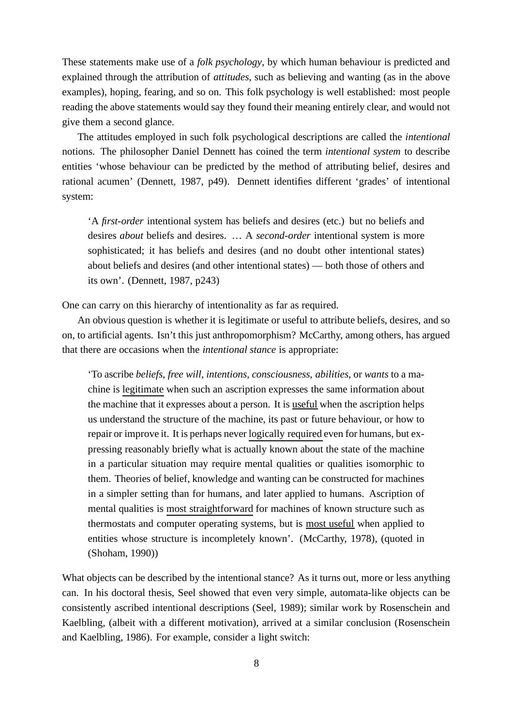These statements make use of a *folk psychology*, by which human behaviour is predicted and explained through the attribution of *attitudes*, such as believing and wanting (as in the above examples), hoping, fearing, and so on. This folk psychology is well established: most people reading the above statements would say they found their meaning entirely clear, and would not give them a second glance.

The attitudes employed in such folk psychological descriptions are called the *intentional* notions. The philosopher Daniel Dennett has coined the term *intentional system* to describe entities 'whose behaviour can be predicted by the method of attributing belief, desires and rational acumen' (Dennett, 1987, p49). Dennett identifies different 'grades' of intentional system:

'A *first-order* intentional system has beliefs and desires (etc.) but no beliefs and desires *about* beliefs and desires. … A *second-order* intentional system is more sophisticated; it has beliefs and desires (and no doubt other intentional states) about beliefs and desires (and other intentional states) — both those of others and its own'. (Dennett, 1987, p243)

One can carry on this hierarchy of intentionality as far as required.

An obvious question is whether it is legitimate or useful to attribute beliefs, desires, and so on, to artificial agents. Isn't this just anthropomorphism? McCarthy, among others, has argued that there are occasions when the *intentional stance* is appropriate:

'To ascribe *beliefs*, *free will*, *intentions*, *consciousness*, *abilities*, or *wants* to a machine is legitimate when such an ascription expresses the same information about the machine that it expresses about a person. It is useful when the ascription helps us understand the structure of the machine, its past or future behaviour, or how to repair or improve it. It is perhaps never logically required even for humans, but expressing reasonably briefly what is actually known about the state of the machine in a particular situation may require mental qualities or qualities isomorphic to them. Theories of belief, knowledge and wanting can be constructed for machines in a simpler setting than for humans, and later applied to humans. Ascription of mental qualities is most straightforward for machines of known structure such as thermostats and computer operating systems, but is most useful when applied to entities whose structure is incompletely known'. (McCarthy, 1978), (quoted in (Shoham, 1990))

What objects can be described by the intentional stance? As it turns out, more or less anything can. In his doctoral thesis, Seel showed that even very simple, automata-like objects can be consistently ascribed intentional descriptions (Seel, 1989); similar work by Rosenschein and Kaelbling, (albeit with a different motivation), arrived at a similar conclusion (Rosenschein and Kaelbling, 1986). For example, consider a light switch: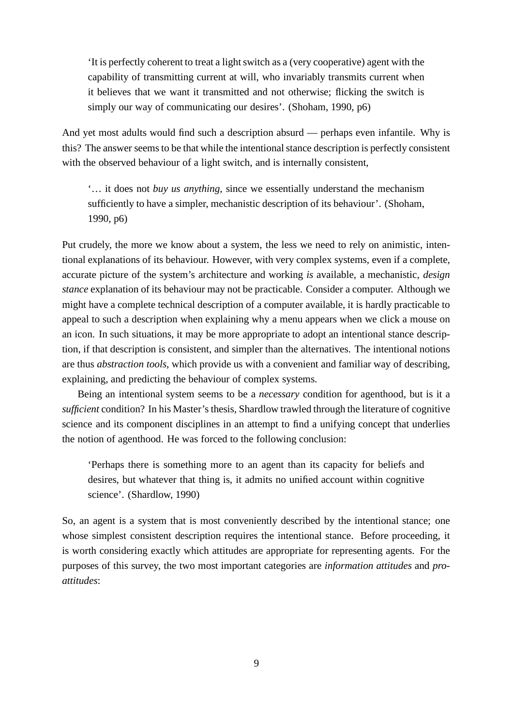'It is perfectly coherent to treat a lightswitch as a (very cooperative) agent with the capability of transmitting current at will, who invariably transmits current when it believes that we want it transmitted and not otherwise; flicking the switch is simply our way of communicating our desires'. (Shoham, 1990, p6)

And yet most adults would find such a description absurd — perhaps even infantile. Why is this? The answer seems to be that while the intentional stance description is perfectly consistent with the observed behaviour of a light switch, and is internally consistent,

'… it does not *buy us anything*, since we essentially understand the mechanism sufficiently to have a simpler, mechanistic description of its behaviour'. (Shoham, 1990, p6)

Put crudely, the more we know about a system, the less we need to rely on animistic, intentional explanations of its behaviour. However, with very complex systems, even if a complete, accurate picture of the system's architecture and working *is* available, a mechanistic, *design stance* explanation of its behaviour may not be practicable. Consider a computer. Although we might have a complete technical description of a computer available, it is hardly practicable to appeal to such a description when explaining why a menu appears when we click a mouse on an icon. In such situations, it may be more appropriate to adopt an intentional stance description, if that description is consistent, and simpler than the alternatives. The intentional notions are thus *abstraction tools*, which provide us with a convenient and familiar way of describing, explaining, and predicting the behaviour of complex systems.

Being an intentional system seems to be a *necessary* condition for agenthood, but is it a *sufficient* condition? In his Master's thesis, Shardlow trawled through the literature of cognitive science and its component disciplines in an attempt to find a unifying concept that underlies the notion of agenthood. He was forced to the following conclusion:

'Perhaps there is something more to an agent than its capacity for beliefs and desires, but whatever that thing is, it admits no unified account within cognitive science'. (Shardlow, 1990)

So, an agent is a system that is most conveniently described by the intentional stance; one whose simplest consistent description requires the intentional stance. Before proceeding, it is worth considering exactly which attitudes are appropriate for representing agents. For the purposes of this survey, the two most important categories are *information attitudes* and *proattitudes*: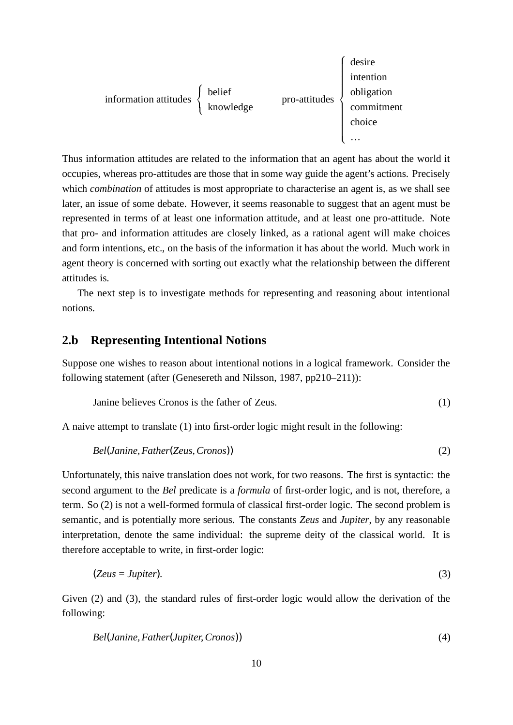|                       |                     |               | desire                   |
|-----------------------|---------------------|---------------|--------------------------|
| information attitudes | belief<br>knowledge | pro-attitudes | intention                |
|                       |                     |               | obligation<br>commitment |
|                       |                     |               |                          |
|                       |                     |               | choice                   |
|                       |                     |               | .                        |

Thus information attitudes are related to the information that an agent has about the world it occupies, whereas pro-attitudes are those that in some way guide the agent's actions. Precisely which *combination* of attitudes is most appropriate to characterise an agent is, as we shall see later, an issue of some debate. However, it seems reasonable to suggest that an agent must be represented in terms of at least one information attitude, and at least one pro-attitude. Note that pro- and information attitudes are closely linked, as a rational agent will make choices and form intentions, etc., on the basis of the information it has about the world. Much work in agent theory is concerned with sorting out exactly what the relationship between the different attitudes is.

The next step is to investigate methods for representing and reasoning about intentional notions.

## **2.b Representing Intentional Notions**

Suppose one wishes to reason about intentional notions in a logical framework. Consider the following statement (after (Genesereth and Nilsson, 1987, pp210–211)):

Janine believes Cronos is the father of Zeus. (1)

A naive attempt to translate (1) into first-order logic might result in the following:

$$
Bel(Janine, Father(Zeus, Cronos)) \tag{2}
$$

Unfortunately, this naive translation does not work, for two reasons. The first is syntactic: the second argument to the *Bel* predicate is a *formula* of first-order logic, and is not, therefore, a term. So (2) is not a well-formed formula of classical first-order logic. The second problem is semantic, and is potentially more serious. The constants *Zeus* and *Jupiter*, by any reasonable interpretation, denote the same individual: the supreme deity of the classical world. It is therefore acceptable to write, in first-order logic:

$$
(Zeus = Jupiter). \tag{3}
$$

Given (2) and (3), the standard rules of first-order logic would allow the derivation of the following:

*Bel(Janine, Father(Jupiter, Cronos)*) 
$$
(4)
$$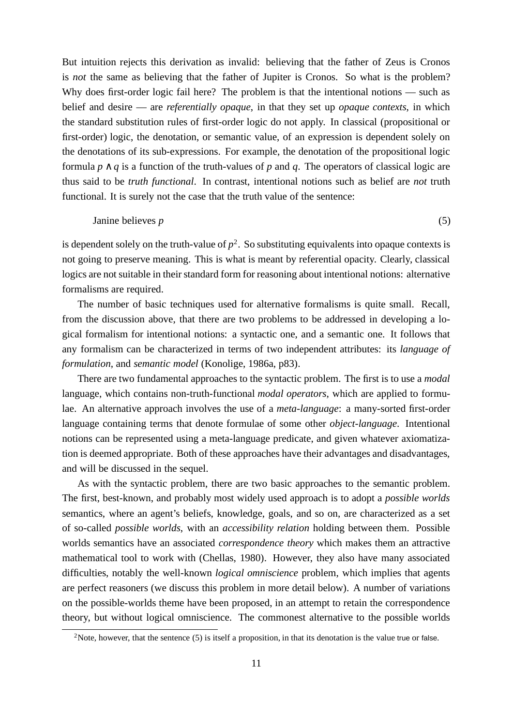But intuition rejects this derivation as invalid: believing that the father of Zeus is Cronos is *not* the same as believing that the father of Jupiter is Cronos. So what is the problem? Why does first-order logic fail here? The problem is that the intentional notions — such as belief and desire — are *referentially opaque*, in that they set up *opaque contexts*, in which the standard substitution rules of first-order logic do not apply. In classical (propositional or first-order) logic, the denotation, or semantic value, of an expression is dependent solely on the denotations of its sub-expressions. For example, the denotation of the propositional logic formula  $p \wedge q$  is a function of the truth-values of p and q. The operators of classical logic are thus said to be *truth functional*. In contrast, intentional notions such as belief are *not* truth functional. It is surely not the case that the truth value of the sentence:

$$
Janine believes p \tag{5}
$$

is dependent solely on the truth-value of  $p^2$ . So substituting equivalents into opaque contexts is not going to preserve meaning. This is what is meant by referential opacity. Clearly, classical logics are not suitable in their standard form for reasoning about intentional notions: alternative formalisms are required.

The number of basic techniques used for alternative formalisms is quite small. Recall, from the discussion above, that there are two problems to be addressed in developing a logical formalism for intentional notions: a syntactic one, and a semantic one. It follows that any formalism can be characterized in terms of two independent attributes: its *language of formulation*, and *semantic model* (Konolige, 1986a, p83).

There are two fundamental approaches to the syntactic problem. The first is to use a *modal* language, which contains non-truth-functional *modal operators*, which are applied to formulae. An alternative approach involves the use of a *meta-language*: a many-sorted first-order language containing terms that denote formulae of some other *object-language*. Intentional notions can be represented using a meta-language predicate, and given whatever axiomatization is deemed appropriate. Both of these approaches have their advantages and disadvantages, and will be discussed in the sequel.

As with the syntactic problem, there are two basic approaches to the semantic problem. The first, best-known, and probably most widely used approach is to adopt a *possible worlds* semantics, where an agent's beliefs, knowledge, goals, and so on, are characterized as a set of so-called *possible worlds*, with an *accessibility relation* holding between them. Possible worlds semantics have an associated *correspondence theory* which makes them an attractive mathematical tool to work with (Chellas, 1980). However, they also have many associated difficulties, notably the well-known *logical omniscience* problem, which implies that agents are perfect reasoners (we discuss this problem in more detail below). A number of variations on the possible-worlds theme have been proposed, in an attempt to retain the correspondence theory, but without logical omniscience. The commonest alternative to the possible worlds

<sup>&</sup>lt;sup>2</sup>Note, however, that the sentence (5) is itself a proposition, in that its denotation is the value true or false.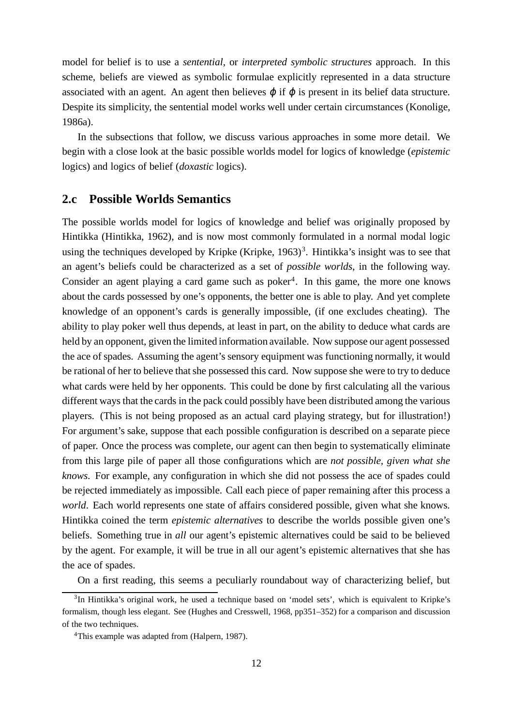model for belief is to use a *sentential*, or *interpreted symbolic structures* approach. In this scheme, beliefs are viewed as symbolic formulae explicitly represented in a data structure associated with an agent. An agent then believes  $\varphi$  if  $\varphi$  is present in its belief data structure. Despite its simplicity, the sentential model works well under certain circumstances (Konolige, 1986a).

In the subsections that follow, we discuss various approaches in some more detail. We begin with a close look at the basic possible worlds model for logics of knowledge (*epistemic* logics) and logics of belief (*doxastic* logics).

### **2.c Possible Worlds Semantics**

The possible worlds model for logics of knowledge and belief was originally proposed by Hintikka (Hintikka, 1962), and is now most commonly formulated in a normal modal logic using the techniques developed by Kripke  $(Kripke, 1963)^3$ . Hintikka's insight was to see that an agent's beliefs could be characterized as a set of *possible worlds*, in the following way. Consider an agent playing a card game such as poker<sup>4</sup>. In this game, the more one knows about the cards possessed by one's opponents, the better one is able to play. And yet complete knowledge of an opponent's cards is generally impossible, (if one excludes cheating). The ability to play poker well thus depends, at least in part, on the ability to deduce what cards are held by an opponent, given the limited information available. Now suppose our agent possessed the ace of spades. Assuming the agent's sensory equipment was functioning normally, it would be rational of her to believe that she possessed this card. Now suppose she were to try to deduce what cards were held by her opponents. This could be done by first calculating all the various different ways that the cards in the pack could possibly have been distributed among the various players. (This is not being proposed as an actual card playing strategy, but for illustration!) For argument's sake, suppose that each possible configuration is described on a separate piece of paper. Once the process was complete, our agent can then begin to systematically eliminate from this large pile of paper all those configurations which are *not possible, given what she knows*. For example, any configuration in which she did not possess the ace of spades could be rejected immediately as impossible. Call each piece of paper remaining after this process a *world*. Each world represents one state of affairs considered possible, given what she knows. Hintikka coined the term *epistemic alternatives* to describe the worlds possible given one's beliefs. Something true in *all* our agent's epistemic alternatives could be said to be believed by the agent. For example, it will be true in all our agent's epistemic alternatives that she has the ace of spades.

On a first reading, this seems a peculiarly roundabout way of characterizing belief, but

<sup>&</sup>lt;sup>3</sup>In Hintikka's original work, he used a technique based on 'model sets', which is equivalent to Kripke's formalism, though less elegant. See (Hughes and Cresswell, 1968, pp351–352) for a comparison and discussion of the two techniques.

<sup>4</sup>This example was adapted from (Halpern, 1987).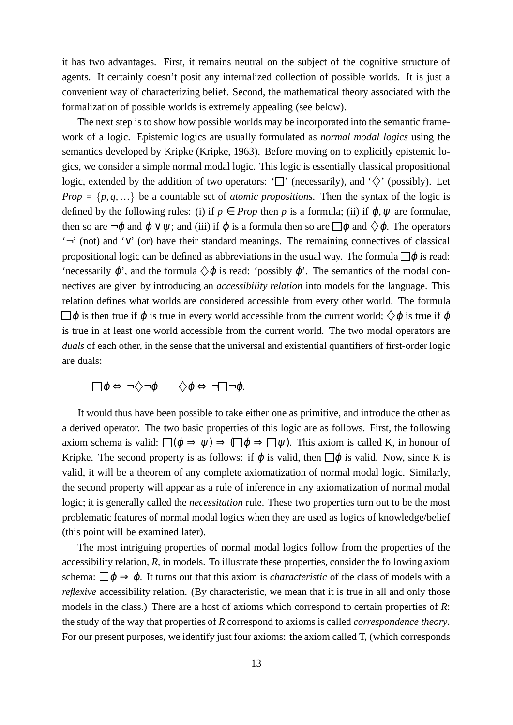it has two advantages. First, it remains neutral on the subject of the cognitive structure of agents. It certainly doesn't posit any internalized collection of possible worlds. It is just a convenient way of characterizing belief. Second, the mathematical theory associated with the formalization of possible worlds is extremely appealing (see below).

The next step is to show how possible worlds may be incorporated into the semantic framework of a logic. Epistemic logics are usually formulated as *normal modal logics* using the semantics developed by Kripke (Kripke, 1963). Before moving on to explicitly epistemic logics, we consider a simple normal modal logic. This logic is essentially classical propositional logic, extended by the addition of two operators: ' $\Box$ ' (necessarily), and ' $\diamondsuit$ ' (possibly). Let *Prop* =  $\{p, q, ...\}$  be a countable set of *atomic propositions*. Then the syntax of the logic is defined by the following rules: (i) if  $p \in Prop$  then *p* is a formula; (ii) if  $\varphi$ ,  $\psi$  are formulae, then so are  $\neg \varphi$  and  $\varphi \vee \psi$ ; and (iii) if  $\varphi$  is a formula then so are  $\neg \varphi$  and  $\Diamond \varphi$ . The operators '¬' (not) and '∨' (or) have their standard meanings. The remaining connectives of classical propositional logic can be defined as abbreviations in the usual way. The formula  $\Box \varphi$  is read: 'necessarily  $\varphi$ ', and the formula  $\Diamond \varphi$  is read: 'possibly  $\varphi$ '. The semantics of the modal connectives are given by introducing an *accessibility relation* into models for the language. This relation defines what worlds are considered accessible from every other world. The formula  $\Box \varphi$  is then true if  $\varphi$  is true in every world accessible from the current world;  $\Diamond \varphi$  is true if  $\varphi$ is true in at least one world accessible from the current world. The two modal operators are *duals* of each other, in the sense that the universal and existential quantifiers of first-order logic are duals:

$$
\Box \varphi \Leftrightarrow \neg \Diamond \neg \varphi \qquad \Diamond \varphi \Leftrightarrow \neg \Box \neg \varphi.
$$

It would thus have been possible to take either one as primitive, and introduce the other as a derived operator. The two basic properties of this logic are as follows. First, the following axiom schema is valid:  $\Box(\varphi \Rightarrow \psi) \Rightarrow (\Box \varphi \Rightarrow \Box \psi)$ . This axiom is called K, in honour of Kripke. The second property is as follows: if  $\varphi$  is valid, then  $\Box \varphi$  is valid. Now, since K is valid, it will be a theorem of any complete axiomatization of normal modal logic. Similarly, the second property will appear as a rule of inference in any axiomatization of normal modal logic; it is generally called the *necessitation* rule. These two properties turn out to be the most problematic features of normal modal logics when they are used as logics of knowledge/belief (this point will be examined later).

The most intriguing properties of normal modal logics follow from the properties of the accessibility relation, *R*, in models. To illustrate these properties, consider the following axiom schema:  $\Box \varphi \Rightarrow \varphi$ . It turns out that this axiom is *characteristic* of the class of models with a *reflexive* accessibility relation. (By characteristic, we mean that it is true in all and only those models in the class.) There are a host of axioms which correspond to certain properties of *R*: the study of the way that properties of *R* correspond to axioms is called *correspondence theory*. For our present purposes, we identify just four axioms: the axiom called T, (which corresponds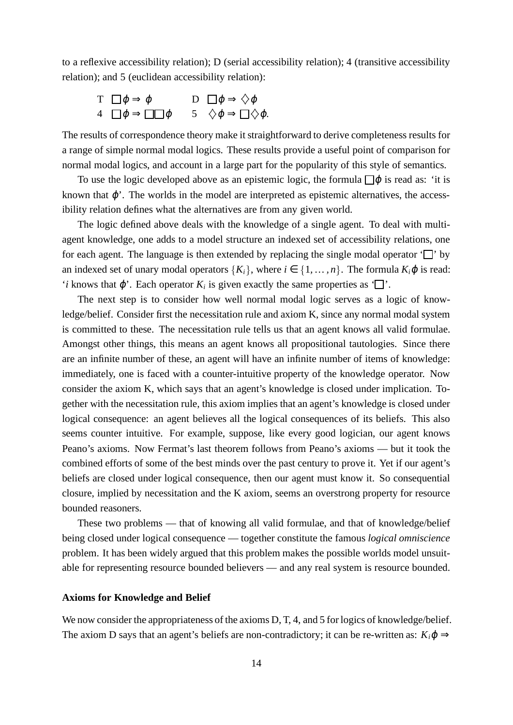to a reflexive accessibility relation); D (serial accessibility relation); 4 (transitive accessibility relation); and 5 (euclidean accessibility relation):

$$
\begin{array}{ccc}\n\text{T} & \Box \varphi \Rightarrow \varphi & \text{D} & \Box \varphi \Rightarrow \Diamond \varphi \\
\text{4} & \Box \varphi \Rightarrow \Box \Box \varphi & \text{5} & \Diamond \varphi \Rightarrow \Box \Diamond \varphi.\n\end{array}
$$

The results of correspondence theory make it straightforward to derive completeness results for a range of simple normal modal logics. These results provide a useful point of comparison for normal modal logics, and account in a large part for the popularity of this style of semantics.

To use the logic developed above as an epistemic logic, the formula  $\Box \varphi$  is read as: 'it is known that  $\varphi'$ . The worlds in the model are interpreted as epistemic alternatives, the accessibility relation defines what the alternatives are from any given world.

The logic defined above deals with the knowledge of a single agent. To deal with multiagent knowledge, one adds to a model structure an indexed set of accessibility relations, one for each agent. The language is then extended by replacing the single modal operator  $\Box$  by an indexed set of unary modal operators  $\{K_i\}$ , where  $i \in \{1, ..., n\}$ . The formula  $K_i\varphi$  is read: '*i* knows that  $\varphi$ '. Each operator  $K_i$  is given exactly the same properties as ' $\Box$ '.

The next step is to consider how well normal modal logic serves as a logic of knowledge/belief. Consider first the necessitation rule and axiom K, since any normal modal system is committed to these. The necessitation rule tells us that an agent knows all valid formulae. Amongst other things, this means an agent knows all propositional tautologies. Since there are an infinite number of these, an agent will have an infinite number of items of knowledge: immediately, one is faced with a counter-intuitive property of the knowledge operator. Now consider the axiom K, which says that an agent's knowledge is closed under implication. Together with the necessitation rule, this axiom implies that an agent's knowledge is closed under logical consequence: an agent believes all the logical consequences of its beliefs. This also seems counter intuitive. For example, suppose, like every good logician, our agent knows Peano's axioms. Now Fermat's last theorem follows from Peano's axioms — but it took the combined efforts of some of the best minds over the past century to prove it. Yet if our agent's beliefs are closed under logical consequence, then our agent must know it. So consequential closure, implied by necessitation and the K axiom, seems an overstrong property for resource bounded reasoners.

These two problems — that of knowing all valid formulae, and that of knowledge/belief being closed under logical consequence — together constitute the famous *logical omniscience* problem. It has been widely argued that this problem makes the possible worlds model unsuitable for representing resource bounded believers — and any real system is resource bounded.

#### **Axioms for Knowledge and Belief**

We now consider the appropriateness of the axioms  $D, T, 4$ , and 5 for logics of knowledge/belief. The axiom D says that an agent's beliefs are non-contradictory; it can be re-written as:  $K_i\varphi \Rightarrow$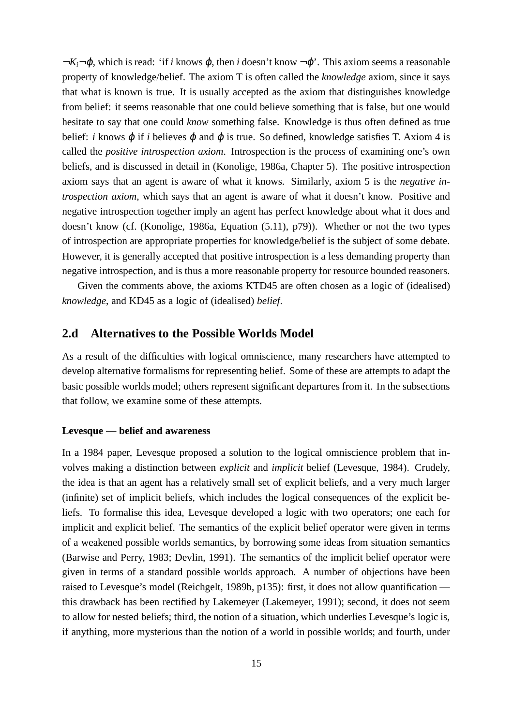$\neg K_i\neg \varphi$ , which is read: 'if *i* knows  $\varphi$ , then *i* doesn't know  $\neg \varphi'$ . This axiom seems a reasonable property of knowledge/belief. The axiom T is often called the *knowledge* axiom, since it says that what is known is true. It is usually accepted as the axiom that distinguishes knowledge from belief: it seems reasonable that one could believe something that is false, but one would hesitate to say that one could *know* something false. Knowledge is thus often defined as true belief: *i* knows  $\varphi$  if *i* believes  $\varphi$  and  $\varphi$  is true. So defined, knowledge satisfies T. Axiom 4 is called the *positive introspection axiom*. Introspection is the process of examining one's own beliefs, and is discussed in detail in (Konolige, 1986a, Chapter 5). The positive introspection axiom says that an agent is aware of what it knows. Similarly, axiom 5 is the *negative introspection axiom*, which says that an agent is aware of what it doesn't know. Positive and negative introspection together imply an agent has perfect knowledge about what it does and doesn't know (cf. (Konolige, 1986a, Equation (5.11), p79)). Whether or not the two types of introspection are appropriate properties for knowledge/belief is the subject of some debate. However, it is generally accepted that positive introspection is a less demanding property than negative introspection, and is thus a more reasonable property for resource bounded reasoners.

Given the comments above, the axioms KTD45 are often chosen as a logic of (idealised) *knowledge*, and KD45 as a logic of (idealised) *belief*.

## **2.d Alternatives to the Possible Worlds Model**

As a result of the difficulties with logical omniscience, many researchers have attempted to develop alternative formalisms for representing belief. Some of these are attempts to adapt the basic possible worlds model; others represent significant departures from it. In the subsections that follow, we examine some of these attempts.

#### **Levesque — belief and awareness**

In a 1984 paper, Levesque proposed a solution to the logical omniscience problem that involves making a distinction between *explicit* and *implicit* belief (Levesque, 1984). Crudely, the idea is that an agent has a relatively small set of explicit beliefs, and a very much larger (infinite) set of implicit beliefs, which includes the logical consequences of the explicit beliefs. To formalise this idea, Levesque developed a logic with two operators; one each for implicit and explicit belief. The semantics of the explicit belief operator were given in terms of a weakened possible worlds semantics, by borrowing some ideas from situation semantics (Barwise and Perry, 1983; Devlin, 1991). The semantics of the implicit belief operator were given in terms of a standard possible worlds approach. A number of objections have been raised to Levesque's model (Reichgelt, 1989b, p135): first, it does not allow quantification this drawback has been rectified by Lakemeyer (Lakemeyer, 1991); second, it does not seem to allow for nested beliefs; third, the notion of a situation, which underlies Levesque's logic is, if anything, more mysterious than the notion of a world in possible worlds; and fourth, under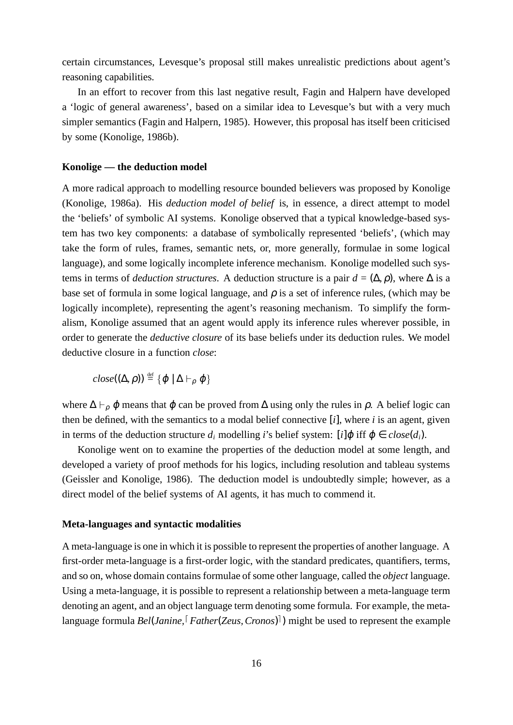certain circumstances, Levesque's proposal still makes unrealistic predictions about agent's reasoning capabilities.

In an effort to recover from this last negative result, Fagin and Halpern have developed a 'logic of general awareness', based on a similar idea to Levesque's but with a very much simpler semantics (Fagin and Halpern, 1985). However, this proposal has itself been criticised by some (Konolige, 1986b).

#### **Konolige — the deduction model**

A more radical approach to modelling resource bounded believers was proposed by Konolige (Konolige, 1986a). His *deduction model of belief* is, in essence, a direct attempt to model the 'beliefs' of symbolic AI systems. Konolige observed that a typical knowledge-based system has two key components: a database of symbolically represented 'beliefs', (which may take the form of rules, frames, semantic nets, or, more generally, formulae in some logical language), and some logically incomplete inference mechanism. Konolige modelled such systems in terms of *deduction structures*. A deduction structure is a pair  $d = (\Delta, \rho)$ , where  $\Delta$  is a base set of formula in some logical language, and  $\rho$  is a set of inference rules, (which may be logically incomplete), representing the agent's reasoning mechanism. To simplify the formalism, Konolige assumed that an agent would apply its inference rules wherever possible, in order to generate the *deductive closure* of its base beliefs under its deduction rules. We model deductive closure in a function *close*:

 $close((\Delta, \rho)) \stackrel{\text{\tiny def}}{=} \{\pmb{\phi} \mid \Delta \vdash_{\rho} \pmb{\phi}\}$ 

where  $\Delta \vdash_{\rho} \varphi$  means that  $\varphi$  can be proved from  $\Delta$  using only the rules in  $\rho$ . A belief logic can then be defined, with the semantics to a modal belief connective [*i*], where *i* is an agent, given in terms of the deduction structure  $d_i$  modelling *i*'s belief system:  $[i] \varphi$  iff  $\varphi \in \text{close}(d_i)$ .

Konolige went on to examine the properties of the deduction model at some length, and developed a variety of proof methods for his logics, including resolution and tableau systems (Geissler and Konolige, 1986). The deduction model is undoubtedly simple; however, as a direct model of the belief systems of AI agents, it has much to commend it.

#### **Meta-languages and syntactic modalities**

A meta-language is one in which it is possible to represent the properties of another language. A first-order meta-language is a first-order logic, with the standard predicates, quantifiers, terms, and so on, whose domain contains formulae of some other language, called the *object* language. Using a meta-language, it is possible to represent a relationship between a meta-language term denoting an agent, and an object language term denoting some formula. For example, the metalanguage formula *Bel*(*Janine*, <sup>|</sup> *Father*(*Zeus, Cronos*)<sup>|</sup>) might be used to represent the example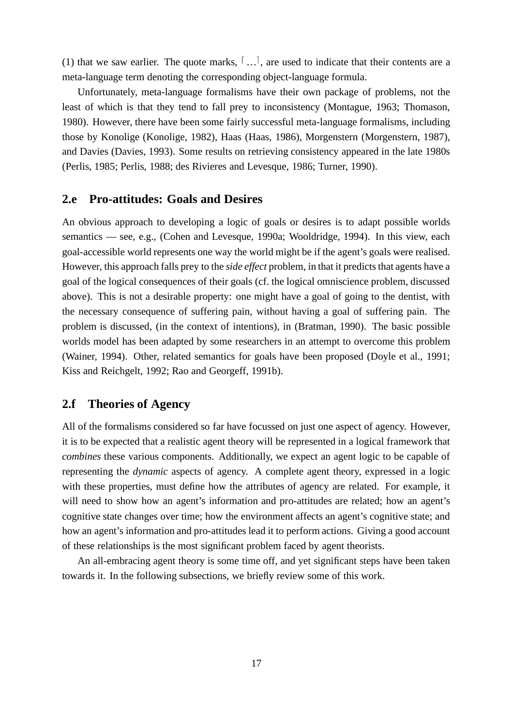(1) that we saw earlier. The quote marks,  $\lceil \ldots \rceil$ , are used to indicate that their contents are a meta-language term denoting the corresponding object-language formula.

Unfortunately, meta-language formalisms have their own package of problems, not the least of which is that they tend to fall prey to inconsistency (Montague, 1963; Thomason, 1980). However, there have been some fairly successful meta-language formalisms, including those by Konolige (Konolige, 1982), Haas (Haas, 1986), Morgenstern (Morgenstern, 1987), and Davies (Davies, 1993). Some results on retrieving consistency appeared in the late 1980s (Perlis, 1985; Perlis, 1988; des Rivieres and Levesque, 1986; Turner, 1990).

## **2.e Pro-attitudes: Goals and Desires**

An obvious approach to developing a logic of goals or desires is to adapt possible worlds semantics — see, e.g., (Cohen and Levesque, 1990a; Wooldridge, 1994). In this view, each goal-accessible world represents one way the world might be if the agent's goals were realised. However, this approach falls prey to the *side effect* problem, in that it predicts that agents have a goal of the logical consequences of their goals (cf. the logical omniscience problem, discussed above). This is not a desirable property: one might have a goal of going to the dentist, with the necessary consequence of suffering pain, without having a goal of suffering pain. The problem is discussed, (in the context of intentions), in (Bratman, 1990). The basic possible worlds model has been adapted by some researchers in an attempt to overcome this problem (Wainer, 1994). Other, related semantics for goals have been proposed (Doyle et al., 1991; Kiss and Reichgelt, 1992; Rao and Georgeff, 1991b).

## **2.f Theories of Agency**

All of the formalisms considered so far have focussed on just one aspect of agency. However, it is to be expected that a realistic agent theory will be represented in a logical framework that *combines* these various components. Additionally, we expect an agent logic to be capable of representing the *dynamic* aspects of agency. A complete agent theory, expressed in a logic with these properties, must define how the attributes of agency are related. For example, it will need to show how an agent's information and pro-attitudes are related; how an agent's cognitive state changes over time; how the environment affects an agent's cognitive state; and how an agent's information and pro-attitudes lead it to perform actions. Giving a good account of these relationships is the most significant problem faced by agent theorists.

An all-embracing agent theory is some time off, and yet significant steps have been taken towards it. In the following subsections, we briefly review some of this work.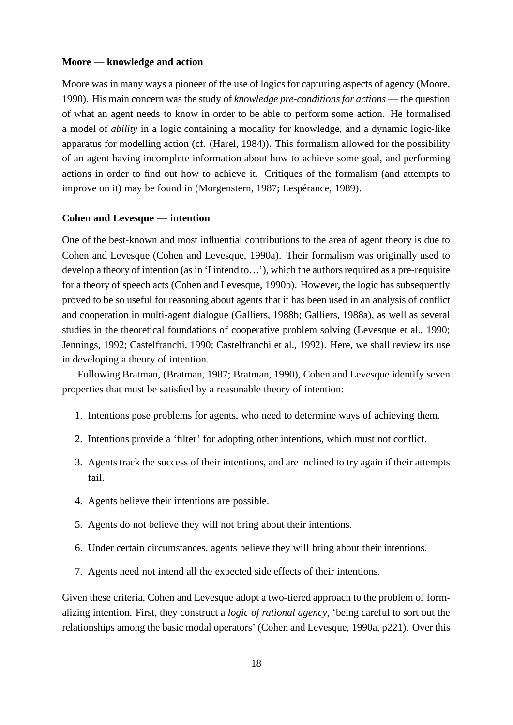#### **Moore — knowledge and action**

Moore was in many ways a pioneer of the use of logics for capturing aspects of agency (Moore, 1990). His main concern was the study of *knowledge pre-conditions for actions* — the question of what an agent needs to know in order to be able to perform some action. He formalised a model of *ability* in a logic containing a modality for knowledge, and a dynamic logic-like apparatus for modelling action (cf. (Harel, 1984)). This formalism allowed for the possibility of an agent having incomplete information about how to achieve some goal, and performing actions in order to find out how to achieve it. Critiques of the formalism (and attempts to improve on it) may be found in (Morgenstern, 1987; Lespérance, 1989).

#### **Cohen and Levesque — intention**

One of the best-known and most influential contributions to the area of agent theory is due to Cohen and Levesque (Cohen and Levesque, 1990a). Their formalism was originally used to develop a theory of intention (as in 'I intend to...'), which the authors required as a pre-requisite for a theory of speech acts (Cohen and Levesque, 1990b). However, the logic has subsequently proved to be so useful for reasoning about agents that it has been used in an analysis of conflict and cooperation in multi-agent dialogue (Galliers, 1988b; Galliers, 1988a), as well as several studies in the theoretical foundations of cooperative problem solving (Levesque et al., 1990; Jennings, 1992; Castelfranchi, 1990; Castelfranchi et al., 1992). Here, we shall review its use in developing a theory of intention.

Following Bratman, (Bratman, 1987; Bratman, 1990), Cohen and Levesque identify seven properties that must be satisfied by a reasonable theory of intention:

- 1. Intentions pose problems for agents, who need to determine ways of achieving them.
- 2. Intentions provide a 'filter' for adopting other intentions, which must not conflict.
- 3. Agents track the success of their intentions, and are inclined to try again if their attempts fail.
- 4. Agents believe their intentions are possible.
- 5. Agents do not believe they will not bring about their intentions.
- 6. Under certain circumstances, agents believe they will bring about their intentions.
- 7. Agents need not intend all the expected side effects of their intentions.

Given these criteria, Cohen and Levesque adopt a two-tiered approach to the problem of formalizing intention. First, they construct a *logic of rational agency*, 'being careful to sort out the relationships among the basic modal operators' (Cohen and Levesque, 1990a, p221). Over this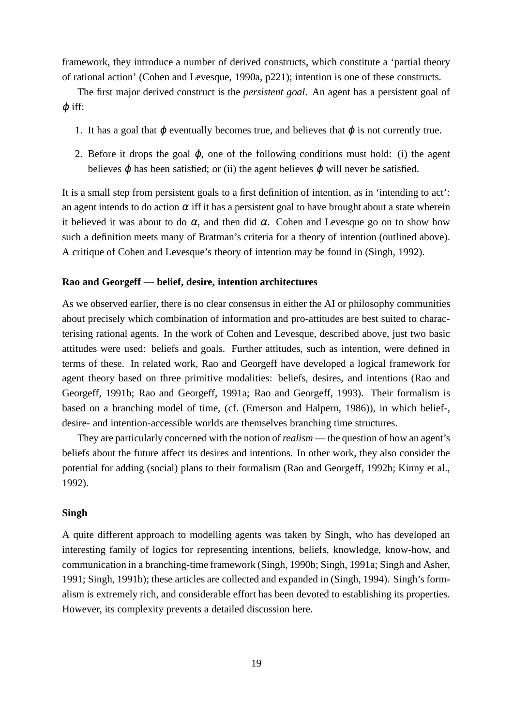framework, they introduce a number of derived constructs, which constitute a 'partial theory of rational action' (Cohen and Levesque, 1990a, p221); intention is one of these constructs.

The first major derived construct is the *persistent goal*. An agent has a persistent goal of  $\varphi$  iff:

- 1. It has a goal that  $\phi$  eventually becomes true, and believes that  $\phi$  is not currently true.
- 2. Before it drops the goal  $\varphi$ , one of the following conditions must hold: (i) the agent believes  $\varphi$  has been satisfied; or (ii) the agent believes  $\varphi$  will never be satisfied.

It is a small step from persistent goals to a first definition of intention, as in 'intending to act': an agent intends to do action  $\alpha$  iff it has a persistent goal to have brought about a state wherein it believed it was about to do  $\alpha$ , and then did  $\alpha$ . Cohen and Levesque go on to show how such a definition meets many of Bratman's criteria for a theory of intention (outlined above). A critique of Cohen and Levesque's theory of intention may be found in (Singh, 1992).

#### **Rao and Georgeff — belief, desire, intention architectures**

As we observed earlier, there is no clear consensus in either the AI or philosophy communities about precisely which combination of information and pro-attitudes are best suited to characterising rational agents. In the work of Cohen and Levesque, described above, just two basic attitudes were used: beliefs and goals. Further attitudes, such as intention, were defined in terms of these. In related work, Rao and Georgeff have developed a logical framework for agent theory based on three primitive modalities: beliefs, desires, and intentions (Rao and Georgeff, 1991b; Rao and Georgeff, 1991a; Rao and Georgeff, 1993). Their formalism is based on a branching model of time, (cf. (Emerson and Halpern, 1986)), in which belief-, desire- and intention-accessible worlds are themselves branching time structures.

They are particularly concerned with the notion of*realism* — the question of how an agent's beliefs about the future affect its desires and intentions. In other work, they also consider the potential for adding (social) plans to their formalism (Rao and Georgeff, 1992b; Kinny et al., 1992).

#### **Singh**

A quite different approach to modelling agents was taken by Singh, who has developed an interesting family of logics for representing intentions, beliefs, knowledge, know-how, and communication in a branching-time framework (Singh, 1990b; Singh, 1991a; Singh and Asher, 1991; Singh, 1991b); these articles are collected and expanded in (Singh, 1994). Singh's formalism is extremely rich, and considerable effort has been devoted to establishing its properties. However, its complexity prevents a detailed discussion here.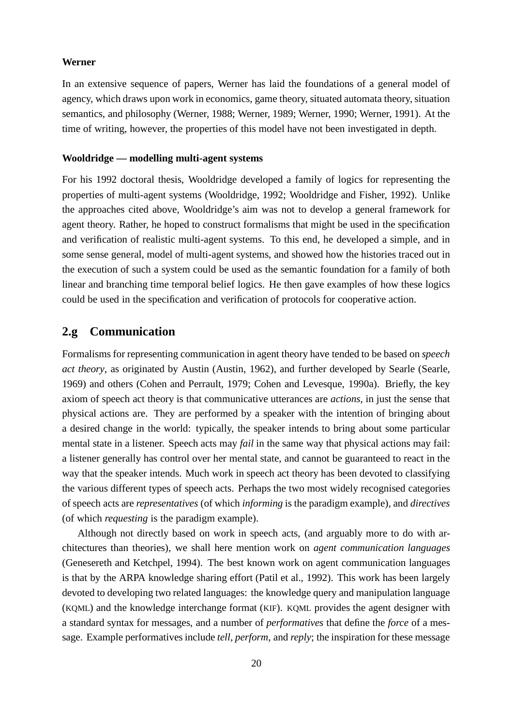### **Werner**

In an extensive sequence of papers, Werner has laid the foundations of a general model of agency, which draws upon work in economics, game theory, situated automata theory, situation semantics, and philosophy (Werner, 1988; Werner, 1989; Werner, 1990; Werner, 1991). At the time of writing, however, the properties of this model have not been investigated in depth.

## **Wooldridge — modelling multi-agent systems**

For his 1992 doctoral thesis, Wooldridge developed a family of logics for representing the properties of multi-agent systems (Wooldridge, 1992; Wooldridge and Fisher, 1992). Unlike the approaches cited above, Wooldridge's aim was not to develop a general framework for agent theory. Rather, he hoped to construct formalisms that might be used in the specification and verification of realistic multi-agent systems. To this end, he developed a simple, and in some sense general, model of multi-agent systems, and showed how the histories traced out in the execution of such a system could be used as the semantic foundation for a family of both linear and branching time temporal belief logics. He then gave examples of how these logics could be used in the specification and verification of protocols for cooperative action.

## **2.g Communication**

Formalisms for representing communication in agent theory have tended to be based on *speech act theory*, as originated by Austin (Austin, 1962), and further developed by Searle (Searle, 1969) and others (Cohen and Perrault, 1979; Cohen and Levesque, 1990a). Briefly, the key axiom of speech act theory is that communicative utterances are *actions*, in just the sense that physical actions are. They are performed by a speaker with the intention of bringing about a desired change in the world: typically, the speaker intends to bring about some particular mental state in a listener. Speech acts may *fail* in the same way that physical actions may fail: a listener generally has control over her mental state, and cannot be guaranteed to react in the way that the speaker intends. Much work in speech act theory has been devoted to classifying the various different types of speech acts. Perhaps the two most widely recognised categories of speech acts are *representatives* (of which *informing* is the paradigm example), and *directives* (of which *requesting* is the paradigm example).

Although not directly based on work in speech acts, (and arguably more to do with architectures than theories), we shall here mention work on *agent communication languages* (Genesereth and Ketchpel, 1994). The best known work on agent communication languages is that by the ARPA knowledge sharing effort (Patil et al., 1992). This work has been largely devoted to developing two related languages: the knowledge query and manipulation language (KQML) and the knowledge interchange format (KIF). KQML provides the agent designer with a standard syntax for messages, and a number of *performatives* that define the *force* of a message. Example performatives include *tell*, *perform*, and *reply*; the inspiration for these message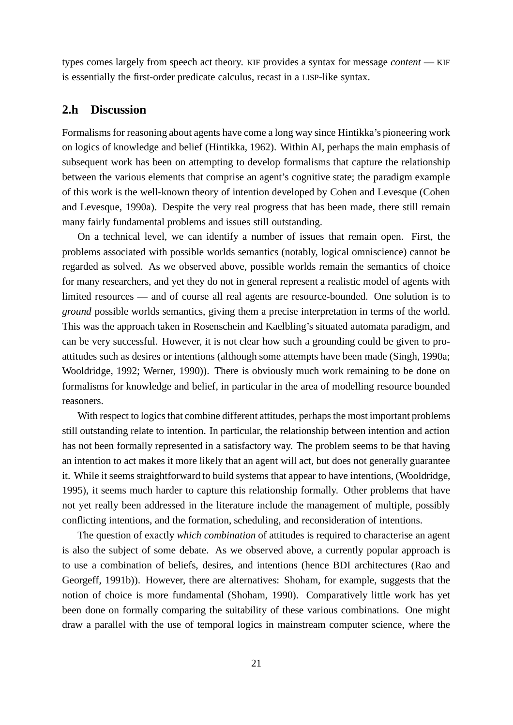types comes largely from speech act theory. KIF provides a syntax for message *content* — KIF is essentially the first-order predicate calculus, recast in a LISP-like syntax.

## **2.h Discussion**

Formalismsfor reasoning about agents have come a long way since Hintikka's pioneering work on logics of knowledge and belief (Hintikka, 1962). Within AI, perhaps the main emphasis of subsequent work has been on attempting to develop formalisms that capture the relationship between the various elements that comprise an agent's cognitive state; the paradigm example of this work is the well-known theory of intention developed by Cohen and Levesque (Cohen and Levesque, 1990a). Despite the very real progress that has been made, there still remain many fairly fundamental problems and issues still outstanding.

On a technical level, we can identify a number of issues that remain open. First, the problems associated with possible worlds semantics (notably, logical omniscience) cannot be regarded as solved. As we observed above, possible worlds remain the semantics of choice for many researchers, and yet they do not in general represent a realistic model of agents with limited resources — and of course all real agents are resource-bounded. One solution is to *ground* possible worlds semantics, giving them a precise interpretation in terms of the world. This was the approach taken in Rosenschein and Kaelbling's situated automata paradigm, and can be very successful. However, it is not clear how such a grounding could be given to proattitudes such as desires or intentions (although some attempts have been made (Singh, 1990a; Wooldridge, 1992; Werner, 1990)). There is obviously much work remaining to be done on formalisms for knowledge and belief, in particular in the area of modelling resource bounded reasoners.

With respect to logics that combine different attitudes, perhaps the most important problems still outstanding relate to intention. In particular, the relationship between intention and action has not been formally represented in a satisfactory way. The problem seems to be that having an intention to act makes it more likely that an agent will act, but does not generally guarantee it. While it seems straightforward to build systems that appear to have intentions, (Wooldridge, 1995), it seems much harder to capture this relationship formally. Other problems that have not yet really been addressed in the literature include the management of multiple, possibly conflicting intentions, and the formation, scheduling, and reconsideration of intentions.

The question of exactly *which combination* of attitudes is required to characterise an agent is also the subject of some debate. As we observed above, a currently popular approach is to use a combination of beliefs, desires, and intentions (hence BDI architectures (Rao and Georgeff, 1991b)). However, there are alternatives: Shoham, for example, suggests that the notion of choice is more fundamental (Shoham, 1990). Comparatively little work has yet been done on formally comparing the suitability of these various combinations. One might draw a parallel with the use of temporal logics in mainstream computer science, where the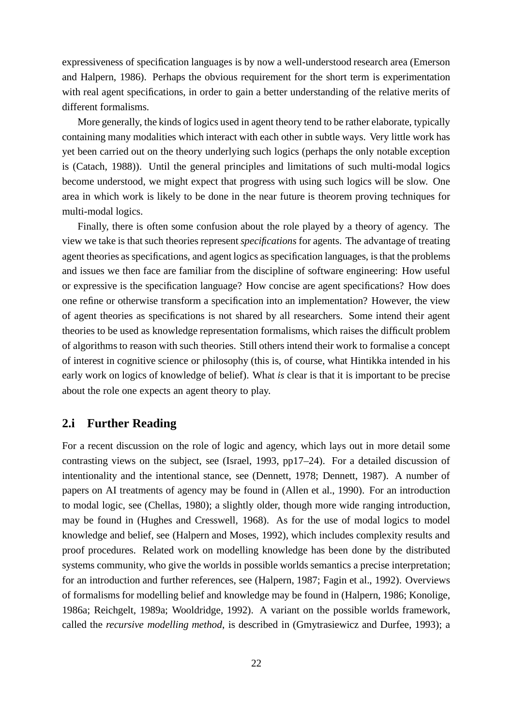expressiveness of specification languages is by now a well-understood research area (Emerson and Halpern, 1986). Perhaps the obvious requirement for the short term is experimentation with real agent specifications, in order to gain a better understanding of the relative merits of different formalisms.

More generally, the kinds of logics used in agent theory tend to be rather elaborate, typically containing many modalities which interact with each other in subtle ways. Very little work has yet been carried out on the theory underlying such logics (perhaps the only notable exception is (Catach, 1988)). Until the general principles and limitations of such multi-modal logics become understood, we might expect that progress with using such logics will be slow. One area in which work is likely to be done in the near future is theorem proving techniques for multi-modal logics.

Finally, there is often some confusion about the role played by a theory of agency. The view we take is that such theories represent *specifications* for agents. The advantage of treating agent theories as specifications, and agent logics as specification languages, is that the problems and issues we then face are familiar from the discipline of software engineering: How useful or expressive is the specification language? How concise are agent specifications? How does one refine or otherwise transform a specification into an implementation? However, the view of agent theories as specifications is not shared by all researchers. Some intend their agent theories to be used as knowledge representation formalisms, which raises the difficult problem of algorithms to reason with such theories. Still others intend their work to formalise a concept of interest in cognitive science or philosophy (this is, of course, what Hintikka intended in his early work on logics of knowledge of belief). What *is* clear is that it is important to be precise about the role one expects an agent theory to play.

## **2.i Further Reading**

For a recent discussion on the role of logic and agency, which lays out in more detail some contrasting views on the subject, see (Israel, 1993, pp17–24). For a detailed discussion of intentionality and the intentional stance, see (Dennett, 1978; Dennett, 1987). A number of papers on AI treatments of agency may be found in (Allen et al., 1990). For an introduction to modal logic, see (Chellas, 1980); a slightly older, though more wide ranging introduction, may be found in (Hughes and Cresswell, 1968). As for the use of modal logics to model knowledge and belief, see (Halpern and Moses, 1992), which includes complexity results and proof procedures. Related work on modelling knowledge has been done by the distributed systems community, who give the worlds in possible worlds semantics a precise interpretation; for an introduction and further references, see (Halpern, 1987; Fagin et al., 1992). Overviews of formalisms for modelling belief and knowledge may be found in (Halpern, 1986; Konolige, 1986a; Reichgelt, 1989a; Wooldridge, 1992). A variant on the possible worlds framework, called the *recursive modelling method*, is described in (Gmytrasiewicz and Durfee, 1993); a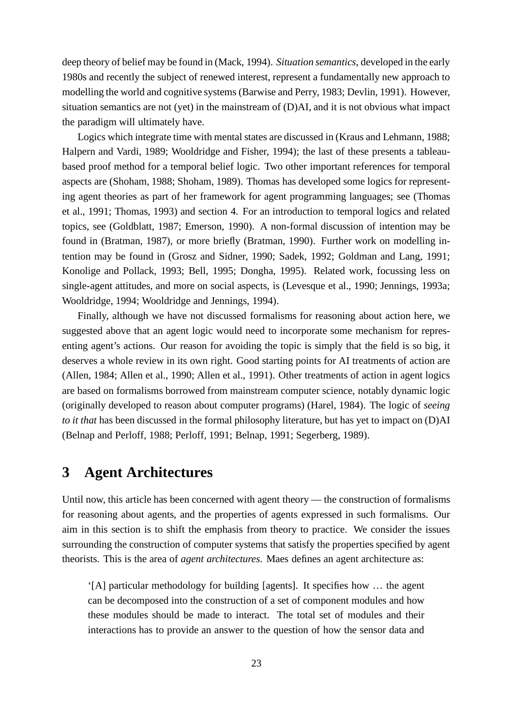deep theory of belief may be found in (Mack, 1994). *Situation semantics*, developed in the early 1980s and recently the subject of renewed interest, represent a fundamentally new approach to modelling the world and cognitive systems (Barwise and Perry, 1983; Devlin, 1991). However, situation semantics are not (yet) in the mainstream of (D)AI, and it is not obvious what impact the paradigm will ultimately have.

Logics which integrate time with mental states are discussed in (Kraus and Lehmann, 1988; Halpern and Vardi, 1989; Wooldridge and Fisher, 1994); the last of these presents a tableaubased proof method for a temporal belief logic. Two other important references for temporal aspects are (Shoham, 1988; Shoham, 1989). Thomas has developed some logics for representing agent theories as part of her framework for agent programming languages; see (Thomas et al., 1991; Thomas, 1993) and section 4. For an introduction to temporal logics and related topics, see (Goldblatt, 1987; Emerson, 1990). A non-formal discussion of intention may be found in (Bratman, 1987), or more briefly (Bratman, 1990). Further work on modelling intention may be found in (Grosz and Sidner, 1990; Sadek, 1992; Goldman and Lang, 1991; Konolige and Pollack, 1993; Bell, 1995; Dongha, 1995). Related work, focussing less on single-agent attitudes, and more on social aspects, is (Levesque et al., 1990; Jennings, 1993a; Wooldridge, 1994; Wooldridge and Jennings, 1994).

Finally, although we have not discussed formalisms for reasoning about action here, we suggested above that an agent logic would need to incorporate some mechanism for representing agent's actions. Our reason for avoiding the topic is simply that the field is so big, it deserves a whole review in its own right. Good starting points for AI treatments of action are (Allen, 1984; Allen et al., 1990; Allen et al., 1991). Other treatments of action in agent logics are based on formalisms borrowed from mainstream computer science, notably dynamic logic (originally developed to reason about computer programs) (Harel, 1984). The logic of *seeing to it that* has been discussed in the formal philosophy literature, but has yet to impact on (D)AI (Belnap and Perloff, 1988; Perloff, 1991; Belnap, 1991; Segerberg, 1989).

## **3 Agent Architectures**

Until now, this article has been concerned with agent theory — the construction of formalisms for reasoning about agents, and the properties of agents expressed in such formalisms. Our aim in this section is to shift the emphasis from theory to practice. We consider the issues surrounding the construction of computer systems that satisfy the properties specified by agent theorists. This is the area of *agent architectures*. Maes defines an agent architecture as:

'[A] particular methodology for building [agents]. It specifies how … the agent can be decomposed into the construction of a set of component modules and how these modules should be made to interact. The total set of modules and their interactions has to provide an answer to the question of how the sensor data and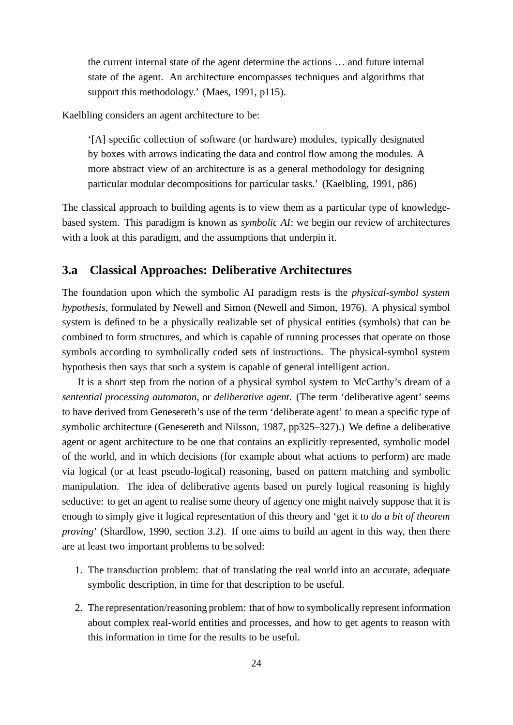the current internal state of the agent determine the actions … and future internal state of the agent. An architecture encompasses techniques and algorithms that support this methodology.' (Maes, 1991, p115).

Kaelbling considers an agent architecture to be:

'[A] specific collection of software (or hardware) modules, typically designated by boxes with arrows indicating the data and control flow among the modules. A more abstract view of an architecture is as a general methodology for designing particular modular decompositions for particular tasks.' (Kaelbling, 1991, p86)

The classical approach to building agents is to view them as a particular type of knowledgebased system. This paradigm is known as *symbolic AI*: we begin our review of architectures with a look at this paradigm, and the assumptions that underpin it.

## **3.a Classical Approaches: Deliberative Architectures**

The foundation upon which the symbolic AI paradigm rests is the *physical-symbol system hypothesis*, formulated by Newell and Simon (Newell and Simon, 1976). A physical symbol system is defined to be a physically realizable set of physical entities (symbols) that can be combined to form structures, and which is capable of running processes that operate on those symbols according to symbolically coded sets of instructions. The physical-symbol system hypothesis then says that such a system is capable of general intelligent action.

It is a short step from the notion of a physical symbol system to McCarthy's dream of a *sentential processing automaton*, or *deliberative agent*. (The term 'deliberative agent' seems to have derived from Genesereth's use of the term 'deliberate agent' to mean a specific type of symbolic architecture (Genesereth and Nilsson, 1987, pp325–327).) We define a deliberative agent or agent architecture to be one that contains an explicitly represented, symbolic model of the world, and in which decisions (for example about what actions to perform) are made via logical (or at least pseudo-logical) reasoning, based on pattern matching and symbolic manipulation. The idea of deliberative agents based on purely logical reasoning is highly seductive: to get an agent to realise some theory of agency one might naively suppose that it is enough to simply give it logical representation of this theory and 'get it to *do a bit of theorem proving*' (Shardlow, 1990, section 3.2). If one aims to build an agent in this way, then there are at least two important problems to be solved:

- 1. The transduction problem: that of translating the real world into an accurate, adequate symbolic description, in time for that description to be useful.
- 2. The representation/reasoning problem: that of how to symbolically represent information about complex real-world entities and processes, and how to get agents to reason with this information in time for the results to be useful.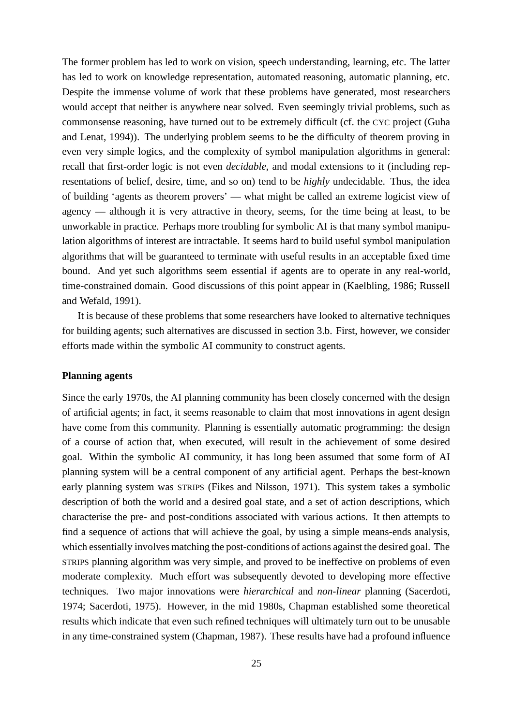The former problem has led to work on vision, speech understanding, learning, etc. The latter has led to work on knowledge representation, automated reasoning, automatic planning, etc. Despite the immense volume of work that these problems have generated, most researchers would accept that neither is anywhere near solved. Even seemingly trivial problems, such as commonsense reasoning, have turned out to be extremely difficult (cf. the CYC project (Guha and Lenat, 1994)). The underlying problem seems to be the difficulty of theorem proving in even very simple logics, and the complexity of symbol manipulation algorithms in general: recall that first-order logic is not even *decidable*, and modal extensions to it (including representations of belief, desire, time, and so on) tend to be *highly* undecidable. Thus, the idea of building 'agents as theorem provers' — what might be called an extreme logicist view of agency — although it is very attractive in theory, seems, for the time being at least, to be unworkable in practice. Perhaps more troubling for symbolic AI is that many symbol manipulation algorithms of interest are intractable. It seems hard to build useful symbol manipulation algorithms that will be guaranteed to terminate with useful results in an acceptable fixed time bound. And yet such algorithms seem essential if agents are to operate in any real-world, time-constrained domain. Good discussions of this point appear in (Kaelbling, 1986; Russell and Wefald, 1991).

It is because of these problems that some researchers have looked to alternative techniques for building agents; such alternatives are discussed in section 3.b. First, however, we consider efforts made within the symbolic AI community to construct agents.

#### **Planning agents**

Since the early 1970s, the AI planning community has been closely concerned with the design of artificial agents; in fact, it seems reasonable to claim that most innovations in agent design have come from this community. Planning is essentially automatic programming: the design of a course of action that, when executed, will result in the achievement of some desired goal. Within the symbolic AI community, it has long been assumed that some form of AI planning system will be a central component of any artificial agent. Perhaps the best-known early planning system was STRIPS (Fikes and Nilsson, 1971). This system takes a symbolic description of both the world and a desired goal state, and a set of action descriptions, which characterise the pre- and post-conditions associated with various actions. It then attempts to find a sequence of actions that will achieve the goal, by using a simple means-ends analysis, which essentially involves matching the post-conditions of actions against the desired goal. The STRIPS planning algorithm was very simple, and proved to be ineffective on problems of even moderate complexity. Much effort was subsequently devoted to developing more effective techniques. Two major innovations were *hierarchical* and *non-linear* planning (Sacerdoti, 1974; Sacerdoti, 1975). However, in the mid 1980s, Chapman established some theoretical results which indicate that even such refined techniques will ultimately turn out to be unusable in any time-constrained system (Chapman, 1987). These results have had a profound influence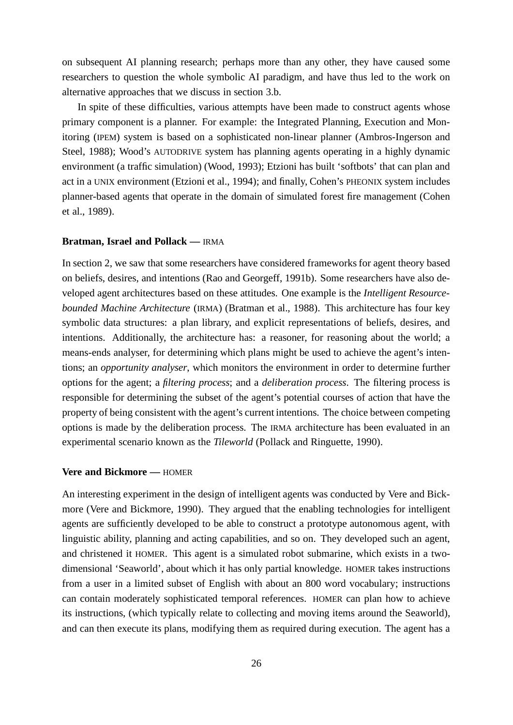on subsequent AI planning research; perhaps more than any other, they have caused some researchers to question the whole symbolic AI paradigm, and have thus led to the work on alternative approaches that we discuss in section 3.b.

In spite of these difficulties, various attempts have been made to construct agents whose primary component is a planner. For example: the Integrated Planning, Execution and Monitoring (IPEM) system is based on a sophisticated non-linear planner (Ambros-Ingerson and Steel, 1988); Wood's AUTODRIVE system has planning agents operating in a highly dynamic environment (a traffic simulation) (Wood, 1993); Etzioni has built 'softbots' that can plan and act in a UNIX environment (Etzioni et al., 1994); and finally, Cohen's PHEONIX system includes planner-based agents that operate in the domain of simulated forest fire management (Cohen et al., 1989).

#### **Bratman, Israel and Pollack —** IRMA

In section 2, we saw that some researchers have considered frameworks for agent theory based on beliefs, desires, and intentions (Rao and Georgeff, 1991b). Some researchers have also developed agent architectures based on these attitudes. One example is the *Intelligent Resourcebounded Machine Architecture* (IRMA) (Bratman et al., 1988). This architecture has four key symbolic data structures: a plan library, and explicit representations of beliefs, desires, and intentions. Additionally, the architecture has: a reasoner, for reasoning about the world; a means-ends analyser, for determining which plans might be used to achieve the agent's intentions; an *opportunity analyser*, which monitors the environment in order to determine further options for the agent; a *filtering process*; and a *deliberation process*. The filtering process is responsible for determining the subset of the agent's potential courses of action that have the property of being consistent with the agent's current intentions. The choice between competing options is made by the deliberation process. The IRMA architecture has been evaluated in an experimental scenario known as the *Tileworld* (Pollack and Ringuette, 1990).

#### **Vere and Bickmore —** HOMER

An interesting experiment in the design of intelligent agents was conducted by Vere and Bickmore (Vere and Bickmore, 1990). They argued that the enabling technologies for intelligent agents are sufficiently developed to be able to construct a prototype autonomous agent, with linguistic ability, planning and acting capabilities, and so on. They developed such an agent, and christened it HOMER. This agent is a simulated robot submarine, which exists in a twodimensional 'Seaworld', about which it has only partial knowledge. HOMER takes instructions from a user in a limited subset of English with about an 800 word vocabulary; instructions can contain moderately sophisticated temporal references. HOMER can plan how to achieve its instructions, (which typically relate to collecting and moving items around the Seaworld), and can then execute its plans, modifying them as required during execution. The agent has a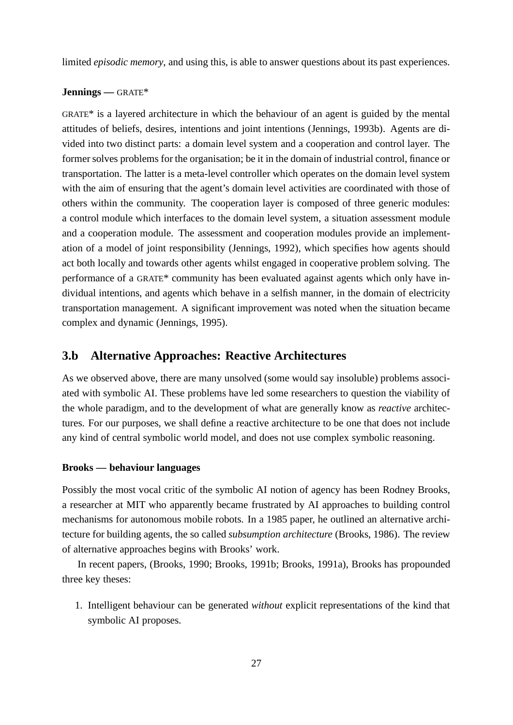limited *episodic memory*, and using this, is able to answer questions about its past experiences.

### **Jennings —** GRATE\*

GRATE\* is a layered architecture in which the behaviour of an agent is guided by the mental attitudes of beliefs, desires, intentions and joint intentions (Jennings, 1993b). Agents are divided into two distinct parts: a domain level system and a cooperation and control layer. The former solves problems for the organisation; be it in the domain of industrial control, finance or transportation. The latter is a meta-level controller which operates on the domain level system with the aim of ensuring that the agent's domain level activities are coordinated with those of others within the community. The cooperation layer is composed of three generic modules: a control module which interfaces to the domain level system, a situation assessment module and a cooperation module. The assessment and cooperation modules provide an implementation of a model of joint responsibility (Jennings, 1992), which specifies how agents should act both locally and towards other agents whilst engaged in cooperative problem solving. The performance of a GRATE\* community has been evaluated against agents which only have individual intentions, and agents which behave in a selfish manner, in the domain of electricity transportation management. A significant improvement was noted when the situation became complex and dynamic (Jennings, 1995).

## **3.b Alternative Approaches: Reactive Architectures**

As we observed above, there are many unsolved (some would say insoluble) problems associated with symbolic AI. These problems have led some researchers to question the viability of the whole paradigm, and to the development of what are generally know as *reactive* architectures. For our purposes, we shall define a reactive architecture to be one that does not include any kind of central symbolic world model, and does not use complex symbolic reasoning.

### **Brooks — behaviour languages**

Possibly the most vocal critic of the symbolic AI notion of agency has been Rodney Brooks, a researcher at MIT who apparently became frustrated by AI approaches to building control mechanisms for autonomous mobile robots. In a 1985 paper, he outlined an alternative architecture for building agents, the so called *subsumption architecture* (Brooks, 1986). The review of alternative approaches begins with Brooks' work.

In recent papers, (Brooks, 1990; Brooks, 1991b; Brooks, 1991a), Brooks has propounded three key theses:

1. Intelligent behaviour can be generated *without* explicit representations of the kind that symbolic AI proposes.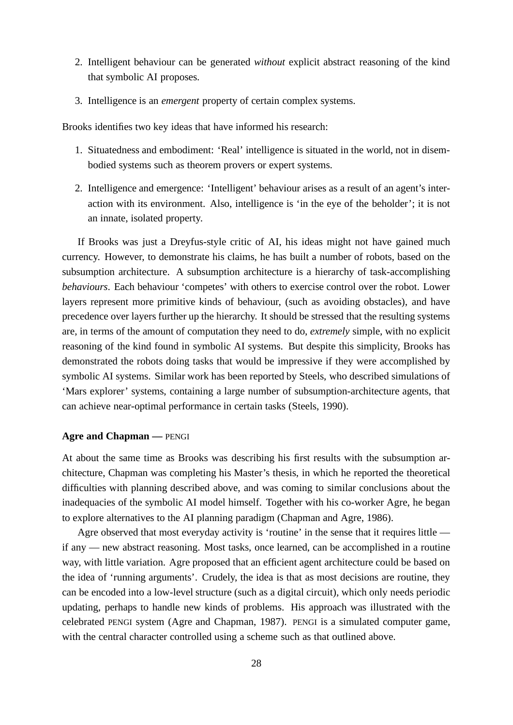- 2. Intelligent behaviour can be generated *without* explicit abstract reasoning of the kind that symbolic AI proposes.
- 3. Intelligence is an *emergent* property of certain complex systems.

Brooks identifies two key ideas that have informed his research:

- 1. Situatedness and embodiment: 'Real' intelligence is situated in the world, not in disembodied systems such as theorem provers or expert systems.
- 2. Intelligence and emergence: 'Intelligent' behaviour arises as a result of an agent's interaction with its environment. Also, intelligence is 'in the eye of the beholder'; it is not an innate, isolated property.

If Brooks was just a Dreyfus-style critic of AI, his ideas might not have gained much currency. However, to demonstrate his claims, he has built a number of robots, based on the subsumption architecture. A subsumption architecture is a hierarchy of task-accomplishing *behaviours*. Each behaviour 'competes' with others to exercise control over the robot. Lower layers represent more primitive kinds of behaviour, (such as avoiding obstacles), and have precedence over layers further up the hierarchy. It should be stressed that the resulting systems are, in terms of the amount of computation they need to do, *extremely* simple, with no explicit reasoning of the kind found in symbolic AI systems. But despite this simplicity, Brooks has demonstrated the robots doing tasks that would be impressive if they were accomplished by symbolic AI systems. Similar work has been reported by Steels, who described simulations of 'Mars explorer' systems, containing a large number of subsumption-architecture agents, that can achieve near-optimal performance in certain tasks (Steels, 1990).

#### **Agre and Chapman —** PENGI

At about the same time as Brooks was describing his first results with the subsumption architecture, Chapman was completing his Master's thesis, in which he reported the theoretical difficulties with planning described above, and was coming to similar conclusions about the inadequacies of the symbolic AI model himself. Together with his co-worker Agre, he began to explore alternatives to the AI planning paradigm (Chapman and Agre, 1986).

Agre observed that most everyday activity is 'routine' in the sense that it requires little if any — new abstract reasoning. Most tasks, once learned, can be accomplished in a routine way, with little variation. Agre proposed that an efficient agent architecture could be based on the idea of 'running arguments'. Crudely, the idea is that as most decisions are routine, they can be encoded into a low-level structure (such as a digital circuit), which only needs periodic updating, perhaps to handle new kinds of problems. His approach was illustrated with the celebrated PENGI system (Agre and Chapman, 1987). PENGI is a simulated computer game, with the central character controlled using a scheme such as that outlined above.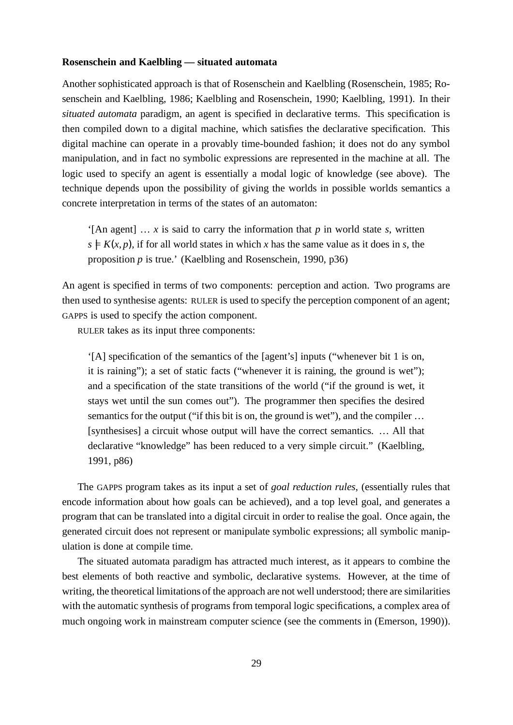### **Rosenschein and Kaelbling — situated automata**

Another sophisticated approach is that of Rosenschein and Kaelbling (Rosenschein, 1985; Rosenschein and Kaelbling, 1986; Kaelbling and Rosenschein, 1990; Kaelbling, 1991). In their *situated automata* paradigm, an agent is specified in declarative terms. This specification is then compiled down to a digital machine, which satisfies the declarative specification. This digital machine can operate in a provably time-bounded fashion; it does not do any symbol manipulation, and in fact no symbolic expressions are represented in the machine at all. The logic used to specify an agent is essentially a modal logic of knowledge (see above). The technique depends upon the possibility of giving the worlds in possible worlds semantics a concrete interpretation in terms of the states of an automaton:

'[An agent] … *x* is said to carry the information that *p* in world state *s*, written  $s \models K(x, p)$ , if for all world states in which *x* has the same value as it does in *s*, the proposition *p* is true.' (Kaelbling and Rosenschein, 1990, p36)

An agent is specified in terms of two components: perception and action. Two programs are then used to synthesise agents: RULER is used to specify the perception component of an agent; GAPPS is used to specify the action component.

RULER takes as its input three components:

'[A] specification of the semantics of the [agent's] inputs ("whenever bit 1 is on, it is raining"); a set of static facts ("whenever it is raining, the ground is wet"); and a specification of the state transitions of the world ("if the ground is wet, it stays wet until the sun comes out"). The programmer then specifies the desired semantics for the output ("if this bit is on, the ground is wet"), and the compiler ... [synthesises] a circuit whose output will have the correct semantics. … All that declarative "knowledge" has been reduced to a very simple circuit." (Kaelbling, 1991, p86)

The GAPPS program takes as its input a set of *goal reduction rules*, (essentially rules that encode information about how goals can be achieved), and a top level goal, and generates a program that can be translated into a digital circuit in order to realise the goal. Once again, the generated circuit does not represent or manipulate symbolic expressions; all symbolic manipulation is done at compile time.

The situated automata paradigm has attracted much interest, as it appears to combine the best elements of both reactive and symbolic, declarative systems. However, at the time of writing, the theoretical limitations of the approach are not well understood; there are similarities with the automatic synthesis of programs from temporal logic specifications, a complex area of much ongoing work in mainstream computer science (see the comments in (Emerson, 1990)).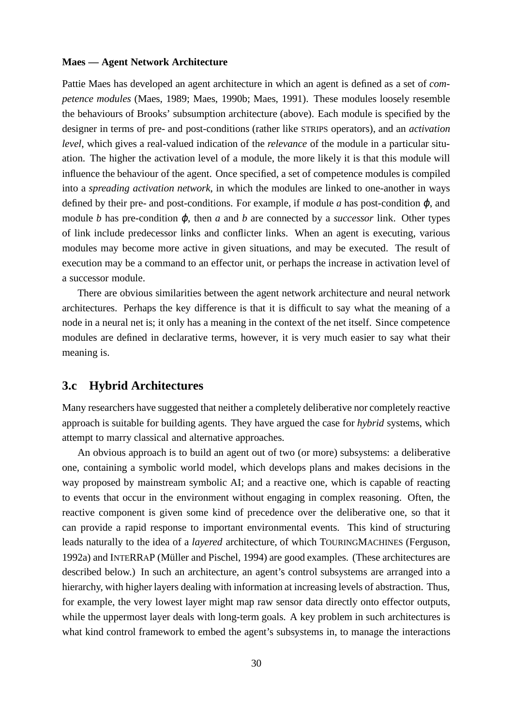### **Maes — Agent Network Architecture**

Pattie Maes has developed an agent architecture in which an agent is defined as a set of *competence modules* (Maes, 1989; Maes, 1990b; Maes, 1991). These modules loosely resemble the behaviours of Brooks' subsumption architecture (above). Each module is specified by the designer in terms of pre- and post-conditions (rather like STRIPS operators), and an *activation level*, which gives a real-valued indication of the *relevance* of the module in a particular situation. The higher the activation level of a module, the more likely it is that this module will influence the behaviour of the agent. Once specified, a set of competence modules is compiled into a *spreading activation network*, in which the modules are linked to one-another in ways defined by their pre- and post-conditions. For example, if module  $a$  has post-condition  $\varphi$ , and module *b* has pre-condition  $\varphi$ , then *a* and *b* are connected by a *successor* link. Other types of link include predecessor links and conflicter links. When an agent is executing, various modules may become more active in given situations, and may be executed. The result of execution may be a command to an effector unit, or perhaps the increase in activation level of a successor module.

There are obvious similarities between the agent network architecture and neural network architectures. Perhaps the key difference is that it is difficult to say what the meaning of a node in a neural net is; it only has a meaning in the context of the net itself. Since competence modules are defined in declarative terms, however, it is very much easier to say what their meaning is.

## **3.c Hybrid Architectures**

Many researchers have suggested that neither a completely deliberative nor completely reactive approach is suitable for building agents. They have argued the case for *hybrid* systems, which attempt to marry classical and alternative approaches.

An obvious approach is to build an agent out of two (or more) subsystems: a deliberative one, containing a symbolic world model, which develops plans and makes decisions in the way proposed by mainstream symbolic AI; and a reactive one, which is capable of reacting to events that occur in the environment without engaging in complex reasoning. Often, the reactive component is given some kind of precedence over the deliberative one, so that it can provide a rapid response to important environmental events. This kind of structuring leads naturally to the idea of a *layered* architecture, of which TOURINGMACHINES (Ferguson, 1992a) and INTERRAP (Müller and Pischel, 1994) are good examples. (These architectures are described below.) In such an architecture, an agent's control subsystems are arranged into a hierarchy, with higher layers dealing with information at increasing levels of abstraction. Thus, for example, the very lowest layer might map raw sensor data directly onto effector outputs, while the uppermost layer deals with long-term goals. A key problem in such architectures is what kind control framework to embed the agent's subsystems in, to manage the interactions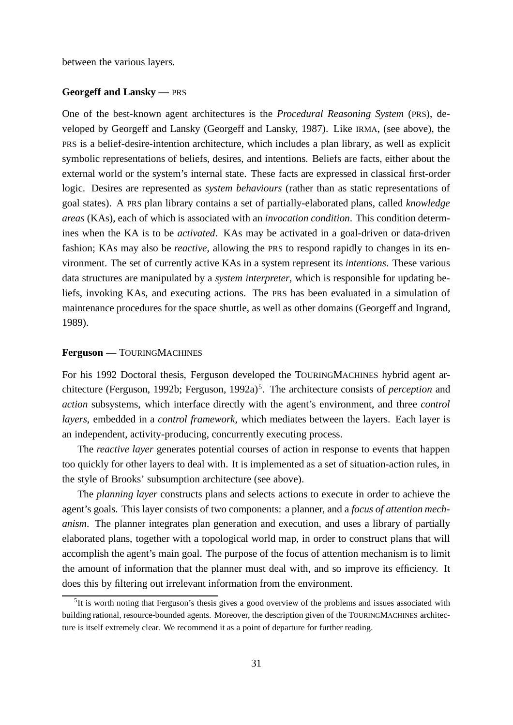between the various layers.

#### **Georgeff and Lansky —** PRS

One of the best-known agent architectures is the *Procedural Reasoning System* (PRS), developed by Georgeff and Lansky (Georgeff and Lansky, 1987). Like IRMA, (see above), the PRS is a belief-desire-intention architecture, which includes a plan library, as well as explicit symbolic representations of beliefs, desires, and intentions. Beliefs are facts, either about the external world or the system's internal state. These facts are expressed in classical first-order logic. Desires are represented as *system behaviours* (rather than as static representations of goal states). A PRS plan library contains a set of partially-elaborated plans, called *knowledge areas* (KAs), each of which is associated with an *invocation condition*. This condition determines when the KA is to be *activated*. KAs may be activated in a goal-driven or data-driven fashion; KAs may also be *reactive*, allowing the PRS to respond rapidly to changes in its environment. The set of currently active KAs in a system represent its *intentions*. These various data structures are manipulated by a *system interpreter*, which is responsible for updating beliefs, invoking KAs, and executing actions. The PRS has been evaluated in a simulation of maintenance procedures for the space shuttle, as well as other domains (Georgeff and Ingrand, 1989).

### **Ferguson —** TOURINGMACHINES

For his 1992 Doctoral thesis, Ferguson developed the TOURINGMACHINES hybrid agent architecture (Ferguson, 1992b; Ferguson, 1992a)<sup>5</sup>. The architecture consists of *perception* and *action* subsystems, which interface directly with the agent's environment, and three *control layers*, embedded in a *control framework*, which mediates between the layers. Each layer is an independent, activity-producing, concurrently executing process.

The *reactive layer* generates potential courses of action in response to events that happen too quickly for other layers to deal with. It is implemented as a set of situation-action rules, in the style of Brooks' subsumption architecture (see above).

The *planning layer* constructs plans and selects actions to execute in order to achieve the agent's goals. This layer consists of two components: a planner, and a *focus of attention mechanism*. The planner integrates plan generation and execution, and uses a library of partially elaborated plans, together with a topological world map, in order to construct plans that will accomplish the agent's main goal. The purpose of the focus of attention mechanism is to limit the amount of information that the planner must deal with, and so improve its efficiency. It does this by filtering out irrelevant information from the environment.

<sup>&</sup>lt;sup>5</sup>It is worth noting that Ferguson's thesis gives a good overview of the problems and issues associated with building rational, resource-bounded agents. Moreover, the description given of the TOURINGMACHINES architecture is itself extremely clear. We recommend it as a point of departure for further reading.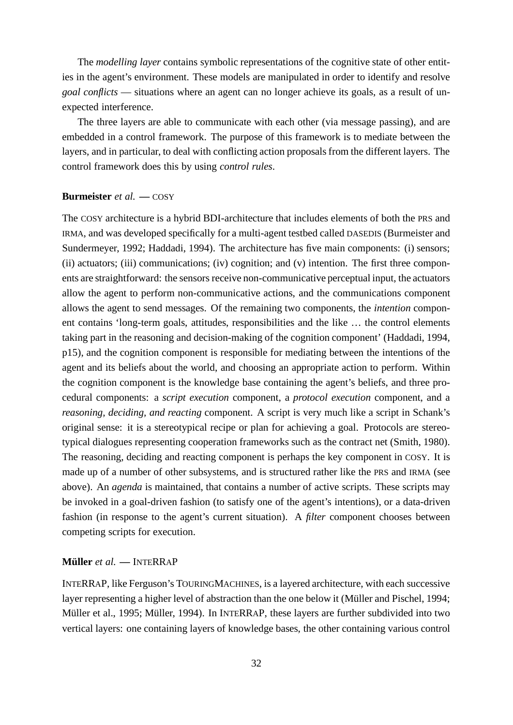The *modelling layer* contains symbolic representations of the cognitive state of other entities in the agent's environment. These models are manipulated in order to identify and resolve *goal conflicts* — situations where an agent can no longer achieve its goals, as a result of unexpected interference.

The three layers are able to communicate with each other (via message passing), and are embedded in a control framework. The purpose of this framework is to mediate between the layers, and in particular, to deal with conflicting action proposals from the different layers. The control framework does this by using *control rules*.

#### **Burmeister** *et al.* **—** COSY

The COSY architecture is a hybrid BDI-architecture that includes elements of both the PRS and IRMA, and was developed specifically for a multi-agent testbed called DASEDIS (Burmeister and Sundermeyer, 1992; Haddadi, 1994). The architecture has five main components: (i) sensors; (ii) actuators; (iii) communications; (iv) cognition; and (v) intention. The first three components are straightforward: the sensors receive non-communicative perceptual input, the actuators allow the agent to perform non-communicative actions, and the communications component allows the agent to send messages. Of the remaining two components, the *intention* component contains 'long-term goals, attitudes, responsibilities and the like … the control elements taking part in the reasoning and decision-making of the cognition component' (Haddadi, 1994, p15), and the cognition component is responsible for mediating between the intentions of the agent and its beliefs about the world, and choosing an appropriate action to perform. Within the cognition component is the knowledge base containing the agent's beliefs, and three procedural components: a *script execution* component, a *protocol execution* component, and a *reasoning, deciding, and reacting* component. A script is very much like a script in Schank's original sense: it is a stereotypical recipe or plan for achieving a goal. Protocols are stereotypical dialogues representing cooperation frameworks such as the contract net (Smith, 1980). The reasoning, deciding and reacting component is perhaps the key component in COSY. It is made up of a number of other subsystems, and is structured rather like the PRS and IRMA (see above). An *agenda* is maintained, that contains a number of active scripts. These scripts may be invoked in a goal-driven fashion (to satisfy one of the agent's intentions), or a data-driven fashion (in response to the agent's current situation). A *filter* component chooses between competing scripts for execution.

## **Müller** *et al.* — INTERRAP

INTERRAP, like Ferguson's TOURINGMACHINES, is a layered architecture, with each successive layer representing a higher level of abstraction than the one below it (Müller and Pischel, 1994; Müller et al., 1995; Müller, 1994). In INTERRAP, these layers are further subdivided into two vertical layers: one containing layers of knowledge bases, the other containing various control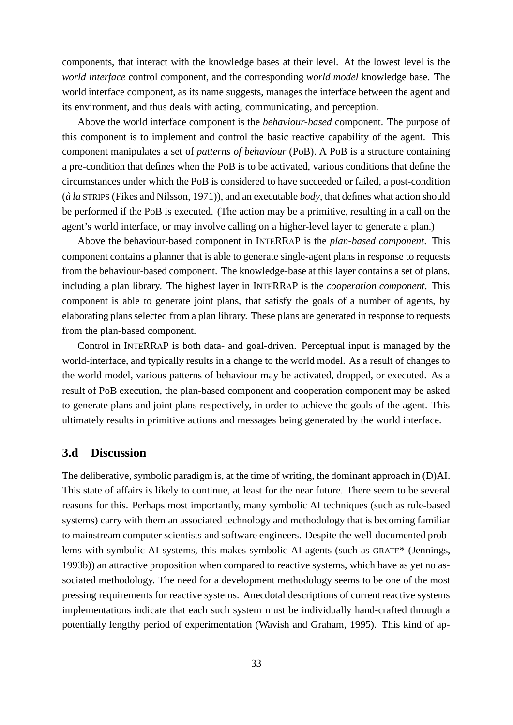components, that interact with the knowledge bases at their level. At the lowest level is the *world interface* control component, and the corresponding *world model* knowledge base. The world interface component, as its name suggests, manages the interface between the agent and its environment, and thus deals with acting, communicating, and perception.

Above the world interface component is the *behaviour-based* component. The purpose of this component is to implement and control the basic reactive capability of the agent. This component manipulates a set of *patterns of behaviour* (PoB). A PoB is a structure containing a pre-condition that defines when the PoB is to be activated, various conditions that define the circumstances under which the PoB is considered to have succeeded or failed, a post-condition (*a` la* STRIPS (Fikes and Nilsson, 1971)), and an executable *body*, that defines what action should be performed if the PoB is executed. (The action may be a primitive, resulting in a call on the agent's world interface, or may involve calling on a higher-level layer to generate a plan.)

Above the behaviour-based component in INTERRAP is the *plan-based component*. This component contains a planner that is able to generate single-agent plans in response to requests from the behaviour-based component. The knowledge-base at this layer contains a set of plans, including a plan library. The highest layer in INTERRAP is the *cooperation component*. This component is able to generate joint plans, that satisfy the goals of a number of agents, by elaborating plans selected from a plan library. These plans are generated in response to requests from the plan-based component.

Control in INTERRAP is both data- and goal-driven. Perceptual input is managed by the world-interface, and typically results in a change to the world model. As a result of changes to the world model, various patterns of behaviour may be activated, dropped, or executed. As a result of PoB execution, the plan-based component and cooperation component may be asked to generate plans and joint plans respectively, in order to achieve the goals of the agent. This ultimately results in primitive actions and messages being generated by the world interface.

## **3.d Discussion**

The deliberative, symbolic paradigm is, at the time of writing, the dominant approach in (D)AI. This state of affairs is likely to continue, at least for the near future. There seem to be several reasons for this. Perhaps most importantly, many symbolic AI techniques (such as rule-based systems) carry with them an associated technology and methodology that is becoming familiar to mainstream computer scientists and software engineers. Despite the well-documented problems with symbolic AI systems, this makes symbolic AI agents (such as GRATE\* (Jennings, 1993b)) an attractive proposition when compared to reactive systems, which have as yet no associated methodology. The need for a development methodology seems to be one of the most pressing requirements for reactive systems. Anecdotal descriptions of current reactive systems implementations indicate that each such system must be individually hand-crafted through a potentially lengthy period of experimentation (Wavish and Graham, 1995). This kind of ap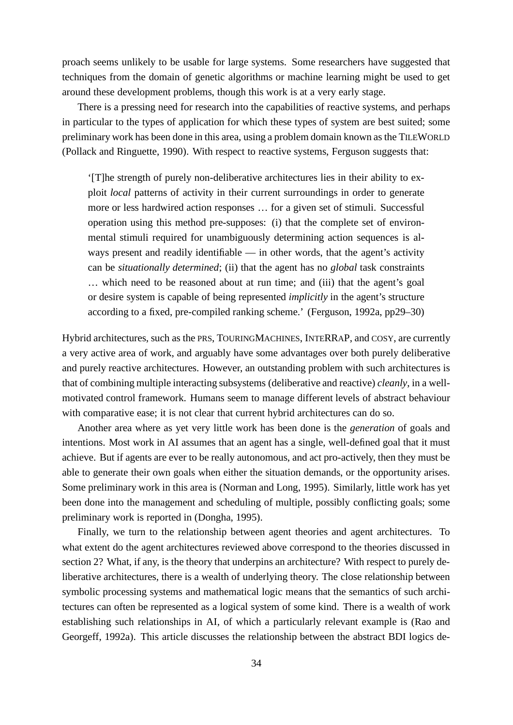proach seems unlikely to be usable for large systems. Some researchers have suggested that techniques from the domain of genetic algorithms or machine learning might be used to get around these development problems, though this work is at a very early stage.

There is a pressing need for research into the capabilities of reactive systems, and perhaps in particular to the types of application for which these types of system are best suited; some preliminary work has been done in this area, using a problem domain known as the TILEWORLD (Pollack and Ringuette, 1990). With respect to reactive systems, Ferguson suggests that:

'[T]he strength of purely non-deliberative architectures lies in their ability to exploit *local* patterns of activity in their current surroundings in order to generate more or less hardwired action responses … for a given set of stimuli. Successful operation using this method pre-supposes: (i) that the complete set of environmental stimuli required for unambiguously determining action sequences is always present and readily identifiable — in other words, that the agent's activity can be *situationally determined*; (ii) that the agent has no *global* task constraints … which need to be reasoned about at run time; and (iii) that the agent's goal or desire system is capable of being represented *implicitly* in the agent's structure according to a fixed, pre-compiled ranking scheme.' (Ferguson, 1992a, pp29–30)

Hybrid architectures, such as the PRS, TOURINGMACHINES, INTERRAP, and COSY, are currently a very active area of work, and arguably have some advantages over both purely deliberative and purely reactive architectures. However, an outstanding problem with such architectures is that of combining multiple interacting subsystems (deliberative and reactive) *cleanly*, in a wellmotivated control framework. Humans seem to manage different levels of abstract behaviour with comparative ease; it is not clear that current hybrid architectures can do so.

Another area where as yet very little work has been done is the *generation* of goals and intentions. Most work in AI assumes that an agent has a single, well-defined goal that it must achieve. But if agents are ever to be really autonomous, and act pro-actively, then they must be able to generate their own goals when either the situation demands, or the opportunity arises. Some preliminary work in this area is (Norman and Long, 1995). Similarly, little work has yet been done into the management and scheduling of multiple, possibly conflicting goals; some preliminary work is reported in (Dongha, 1995).

Finally, we turn to the relationship between agent theories and agent architectures. To what extent do the agent architectures reviewed above correspond to the theories discussed in section 2? What, if any, is the theory that underpins an architecture? With respect to purely deliberative architectures, there is a wealth of underlying theory. The close relationship between symbolic processing systems and mathematical logic means that the semantics of such architectures can often be represented as a logical system of some kind. There is a wealth of work establishing such relationships in AI, of which a particularly relevant example is (Rao and Georgeff, 1992a). This article discusses the relationship between the abstract BDI logics de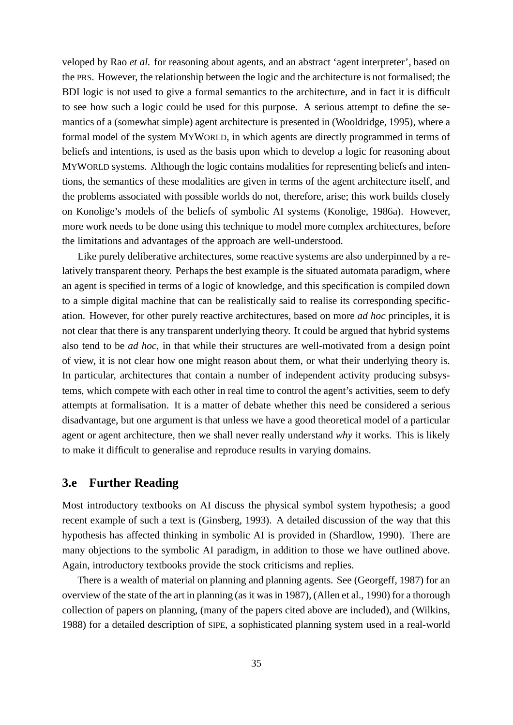veloped by Rao *et al.* for reasoning about agents, and an abstract 'agent interpreter', based on the PRS. However, the relationship between the logic and the architecture is not formalised; the BDI logic is not used to give a formal semantics to the architecture, and in fact it is difficult to see how such a logic could be used for this purpose. A serious attempt to define the semantics of a (somewhat simple) agent architecture is presented in (Wooldridge, 1995), where a formal model of the system MYWORLD, in which agents are directly programmed in terms of beliefs and intentions, is used as the basis upon which to develop a logic for reasoning about MYWORLD systems. Although the logic contains modalities for representing beliefs and intentions, the semantics of these modalities are given in terms of the agent architecture itself, and the problems associated with possible worlds do not, therefore, arise; this work builds closely on Konolige's models of the beliefs of symbolic AI systems (Konolige, 1986a). However, more work needs to be done using this technique to model more complex architectures, before the limitations and advantages of the approach are well-understood.

Like purely deliberative architectures, some reactive systems are also underpinned by a relatively transparent theory. Perhaps the best example is the situated automata paradigm, where an agent is specified in terms of a logic of knowledge, and this specification is compiled down to a simple digital machine that can be realistically said to realise its corresponding specification. However, for other purely reactive architectures, based on more *ad hoc* principles, it is not clear that there is any transparent underlying theory. It could be argued that hybrid systems also tend to be *ad hoc*, in that while their structures are well-motivated from a design point of view, it is not clear how one might reason about them, or what their underlying theory is. In particular, architectures that contain a number of independent activity producing subsystems, which compete with each other in real time to control the agent's activities, seem to defy attempts at formalisation. It is a matter of debate whether this need be considered a serious disadvantage, but one argument is that unless we have a good theoretical model of a particular agent or agent architecture, then we shall never really understand *why* it works. This is likely to make it difficult to generalise and reproduce results in varying domains.

### **3.e Further Reading**

Most introductory textbooks on AI discuss the physical symbol system hypothesis; a good recent example of such a text is (Ginsberg, 1993). A detailed discussion of the way that this hypothesis has affected thinking in symbolic AI is provided in (Shardlow, 1990). There are many objections to the symbolic AI paradigm, in addition to those we have outlined above. Again, introductory textbooks provide the stock criticisms and replies.

There is a wealth of material on planning and planning agents. See (Georgeff, 1987) for an overview of the state of the art in planning (as it was in 1987), (Allen et al., 1990) for a thorough collection of papers on planning, (many of the papers cited above are included), and (Wilkins, 1988) for a detailed description of SIPE, a sophisticated planning system used in a real-world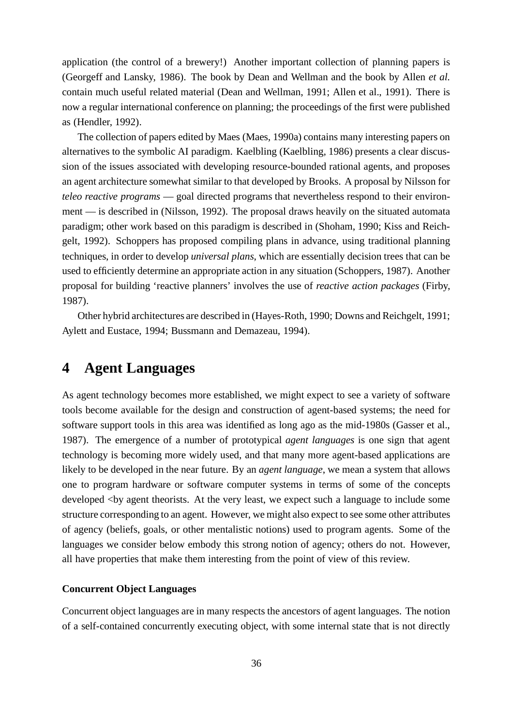application (the control of a brewery!) Another important collection of planning papers is (Georgeff and Lansky, 1986). The book by Dean and Wellman and the book by Allen *et al.* contain much useful related material (Dean and Wellman, 1991; Allen et al., 1991). There is now a regular international conference on planning; the proceedings of the first were published as (Hendler, 1992).

The collection of papers edited by Maes (Maes, 1990a) contains many interesting papers on alternatives to the symbolic AI paradigm. Kaelbling (Kaelbling, 1986) presents a clear discussion of the issues associated with developing resource-bounded rational agents, and proposes an agent architecture somewhat similar to that developed by Brooks. A proposal by Nilsson for *teleo reactive programs* — goal directed programs that nevertheless respond to their environment — is described in (Nilsson, 1992). The proposal draws heavily on the situated automata paradigm; other work based on this paradigm is described in (Shoham, 1990; Kiss and Reichgelt, 1992). Schoppers has proposed compiling plans in advance, using traditional planning techniques, in order to develop *universal plans*, which are essentially decision trees that can be used to efficiently determine an appropriate action in any situation (Schoppers, 1987). Another proposal for building 'reactive planners' involves the use of *reactive action packages* (Firby, 1987).

Other hybrid architectures are described in (Hayes-Roth, 1990; Downs and Reichgelt, 1991; Aylett and Eustace, 1994; Bussmann and Demazeau, 1994).

## **4 Agent Languages**

As agent technology becomes more established, we might expect to see a variety of software tools become available for the design and construction of agent-based systems; the need for software support tools in this area was identified as long ago as the mid-1980s (Gasser et al., 1987). The emergence of a number of prototypical *agent languages* is one sign that agent technology is becoming more widely used, and that many more agent-based applications are likely to be developed in the near future. By an *agent language*, we mean a system that allows one to program hardware or software computer systems in terms of some of the concepts developed  $\langle$  by agent theorists. At the very least, we expect such a language to include some structure corresponding to an agent. However, we might also expect to see some other attributes of agency (beliefs, goals, or other mentalistic notions) used to program agents. Some of the languages we consider below embody this strong notion of agency; others do not. However, all have properties that make them interesting from the point of view of this review.

### **Concurrent Object Languages**

Concurrent object languages are in many respects the ancestors of agent languages. The notion of a self-contained concurrently executing object, with some internal state that is not directly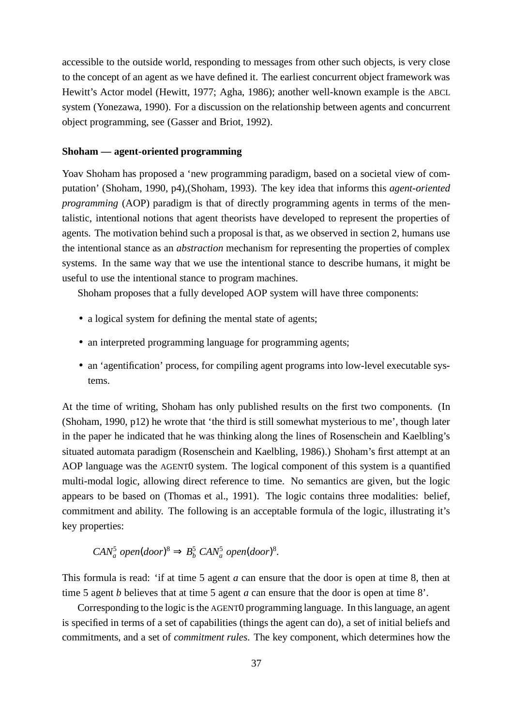accessible to the outside world, responding to messages from other such objects, is very close to the concept of an agent as we have defined it. The earliest concurrent object framework was Hewitt's Actor model (Hewitt, 1977; Agha, 1986); another well-known example is the ABCL system (Yonezawa, 1990). For a discussion on the relationship between agents and concurrent object programming, see (Gasser and Briot, 1992).

### **Shoham — agent-oriented programming**

Yoav Shoham has proposed a 'new programming paradigm, based on a societal view of computation' (Shoham, 1990, p4),(Shoham, 1993). The key idea that informs this *agent-oriented programming* (AOP) paradigm is that of directly programming agents in terms of the mentalistic, intentional notions that agent theorists have developed to represent the properties of agents. The motivation behind such a proposal is that, as we observed in section 2, humans use the intentional stance as an *abstraction* mechanism for representing the properties of complex systems. In the same way that we use the intentional stance to describe humans, it might be useful to use the intentional stance to program machines.

Shoham proposes that a fully developed AOP system will have three components:

- a logical system for defining the mental state of agents;
- an interpreted programming language for programming agents;
- an 'agentification' process, for compiling agent programs into low-level executable systems.

At the time of writing, Shoham has only published results on the first two components. (In (Shoham, 1990, p12) he wrote that 'the third is still somewhat mysterious to me', though later in the paper he indicated that he was thinking along the lines of Rosenschein and Kaelbling's situated automata paradigm (Rosenschein and Kaelbling, 1986).) Shoham's first attempt at an AOP language was the AGENT0 system. The logical component of this system is a quantified multi-modal logic, allowing direct reference to time. No semantics are given, but the logic appears to be based on (Thomas et al., 1991). The logic contains three modalities: belief, commitment and ability. The following is an acceptable formula of the logic, illustrating it's key properties:

$$
CAN_a^5\ open(door)^8 \Rightarrow B_b^5\ CAN_a^5\ open(door)^8.
$$

This formula is read: 'if at time 5 agent *a* can ensure that the door is open at time 8, then at time 5 agent *b* believes that at time 5 agent *a* can ensure that the door is open at time 8'.

Corresponding to the logic is the AGENT0 programming language. In thislanguage, an agent is specified in terms of a set of capabilities (things the agent can do), a set of initial beliefs and commitments, and a set of *commitment rules*. The key component, which determines how the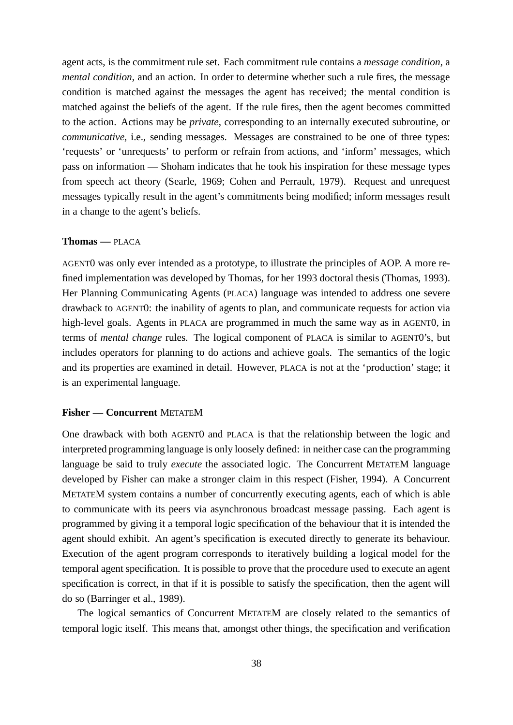agent acts, is the commitment rule set. Each commitment rule contains a *message condition*, a *mental condition*, and an action. In order to determine whether such a rule fires, the message condition is matched against the messages the agent has received; the mental condition is matched against the beliefs of the agent. If the rule fires, then the agent becomes committed to the action. Actions may be *private*, corresponding to an internally executed subroutine, or *communicative*, i.e., sending messages. Messages are constrained to be one of three types: 'requests' or 'unrequests' to perform or refrain from actions, and 'inform' messages, which pass on information — Shoham indicates that he took his inspiration for these message types from speech act theory (Searle, 1969; Cohen and Perrault, 1979). Request and unrequest messages typically result in the agent's commitments being modified; inform messages result in a change to the agent's beliefs.

#### **Thomas —** PLACA

AGENT0 was only ever intended as a prototype, to illustrate the principles of AOP. A more refined implementation was developed by Thomas, for her 1993 doctoral thesis (Thomas, 1993). Her Planning Communicating Agents (PLACA) language was intended to address one severe drawback to AGENT0: the inability of agents to plan, and communicate requests for action via high-level goals. Agents in PLACA are programmed in much the same way as in AGENT0, in terms of *mental change* rules. The logical component of PLACA is similar to AGENT0's, but includes operators for planning to do actions and achieve goals. The semantics of the logic and its properties are examined in detail. However, PLACA is not at the 'production' stage; it is an experimental language.

#### **Fisher — Concurrent** METATEM

One drawback with both AGENT0 and PLACA is that the relationship between the logic and interpreted programming language is only loosely defined: in neither case can the programming language be said to truly *execute* the associated logic. The Concurrent METATEM language developed by Fisher can make a stronger claim in this respect (Fisher, 1994). A Concurrent METATEM system contains a number of concurrently executing agents, each of which is able to communicate with its peers via asynchronous broadcast message passing. Each agent is programmed by giving it a temporal logic specification of the behaviour that it is intended the agent should exhibit. An agent's specification is executed directly to generate its behaviour. Execution of the agent program corresponds to iteratively building a logical model for the temporal agent specification. It is possible to prove that the procedure used to execute an agent specification is correct, in that if it is possible to satisfy the specification, then the agent will do so (Barringer et al., 1989).

The logical semantics of Concurrent METATEM are closely related to the semantics of temporal logic itself. This means that, amongst other things, the specification and verification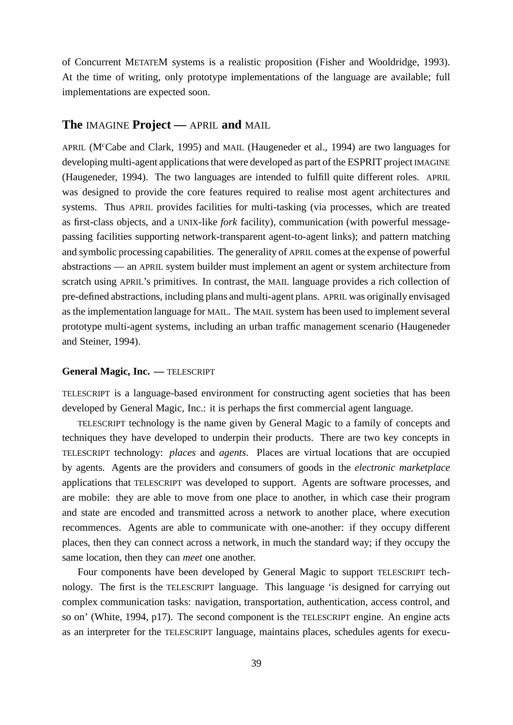of Concurrent METATEM systems is a realistic proposition (Fisher and Wooldridge, 1993). At the time of writing, only prototype implementations of the language are available; full implementations are expected soon.

### **The** IMAGINE **Project —** APRIL **and** MAIL

APRIL (M*<sup>c</sup>*Cabe and Clark, 1995) and MAIL (Haugeneder et al., 1994) are two languages for developing multi-agent applications that were developed as part of the ESPRIT project IMAGINE (Haugeneder, 1994). The two languages are intended to fulfill quite different roles. APRIL was designed to provide the core features required to realise most agent architectures and systems. Thus APRIL provides facilities for multi-tasking (via processes, which are treated as first-class objects, and a UNIX-like *fork* facility), communication (with powerful messagepassing facilities supporting network-transparent agent-to-agent links); and pattern matching and symbolic processing capabilities. The generality of APRIL comes at the expense of powerful abstractions — an APRIL system builder must implement an agent or system architecture from scratch using APRIL's primitives. In contrast, the MAIL language provides a rich collection of pre-defined abstractions, including plans and multi-agent plans. APRIL was originally envisaged as the implementation language for MAIL. The MAIL system has been used to implement several prototype multi-agent systems, including an urban traffic management scenario (Haugeneder and Steiner, 1994).

#### **General Magic, Inc. —** TELESCRIPT

TELESCRIPT is a language-based environment for constructing agent societies that has been developed by General Magic, Inc.: it is perhaps the first commercial agent language.

TELESCRIPT technology is the name given by General Magic to a family of concepts and techniques they have developed to underpin their products. There are two key concepts in TELESCRIPT technology: *places* and *agents*. Places are virtual locations that are occupied by agents. Agents are the providers and consumers of goods in the *electronic marketplace* applications that TELESCRIPT was developed to support. Agents are software processes, and are mobile: they are able to move from one place to another, in which case their program and state are encoded and transmitted across a network to another place, where execution recommences. Agents are able to communicate with one-another: if they occupy different places, then they can connect across a network, in much the standard way; if they occupy the same location, then they can *meet* one another.

Four components have been developed by General Magic to support TELESCRIPT technology. The first is the TELESCRIPT language. This language 'is designed for carrying out complex communication tasks: navigation, transportation, authentication, access control, and so on' (White, 1994, p17). The second component is the TELESCRIPT engine. An engine acts as an interpreter for the TELESCRIPT language, maintains places, schedules agents for execu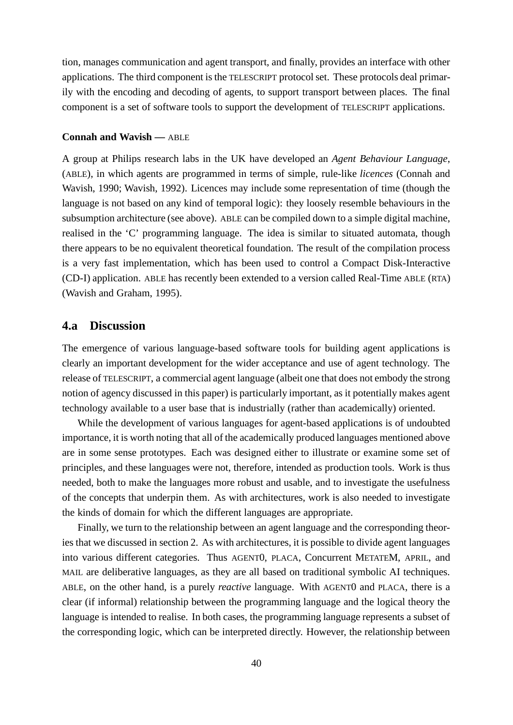tion, manages communication and agent transport, and finally, provides an interface with other applications. The third component is the TELESCRIPT protocol set. These protocols deal primarily with the encoding and decoding of agents, to support transport between places. The final component is a set of software tools to support the development of TELESCRIPT applications.

#### **Connah and Wavish —** ABLE

A group at Philips research labs in the UK have developed an *Agent Behaviour Language*, (ABLE), in which agents are programmed in terms of simple, rule-like *licences* (Connah and Wavish, 1990; Wavish, 1992). Licences may include some representation of time (though the language is not based on any kind of temporal logic): they loosely resemble behaviours in the subsumption architecture (see above). ABLE can be compiled down to a simple digital machine, realised in the 'C' programming language. The idea is similar to situated automata, though there appears to be no equivalent theoretical foundation. The result of the compilation process is a very fast implementation, which has been used to control a Compact Disk-Interactive (CD-I) application. ABLE has recently been extended to a version called Real-Time ABLE (RTA) (Wavish and Graham, 1995).

### **4.a Discussion**

The emergence of various language-based software tools for building agent applications is clearly an important development for the wider acceptance and use of agent technology. The release of TELESCRIPT, a commercial agent language (albeit one that does not embody the strong notion of agency discussed in this paper) is particularly important, as it potentially makes agent technology available to a user base that is industrially (rather than academically) oriented.

While the development of various languages for agent-based applications is of undoubted importance, it is worth noting that all of the academically produced languages mentioned above are in some sense prototypes. Each was designed either to illustrate or examine some set of principles, and these languages were not, therefore, intended as production tools. Work is thus needed, both to make the languages more robust and usable, and to investigate the usefulness of the concepts that underpin them. As with architectures, work is also needed to investigate the kinds of domain for which the different languages are appropriate.

Finally, we turn to the relationship between an agent language and the corresponding theories that we discussed in section 2. As with architectures, it is possible to divide agent languages into various different categories. Thus AGENT0, PLACA, Concurrent METATEM, APRIL, and MAIL are deliberative languages, as they are all based on traditional symbolic AI techniques. ABLE, on the other hand, is a purely *reactive* language. With AGENT0 and PLACA, there is a clear (if informal) relationship between the programming language and the logical theory the language is intended to realise. In both cases, the programming language represents a subset of the corresponding logic, which can be interpreted directly. However, the relationship between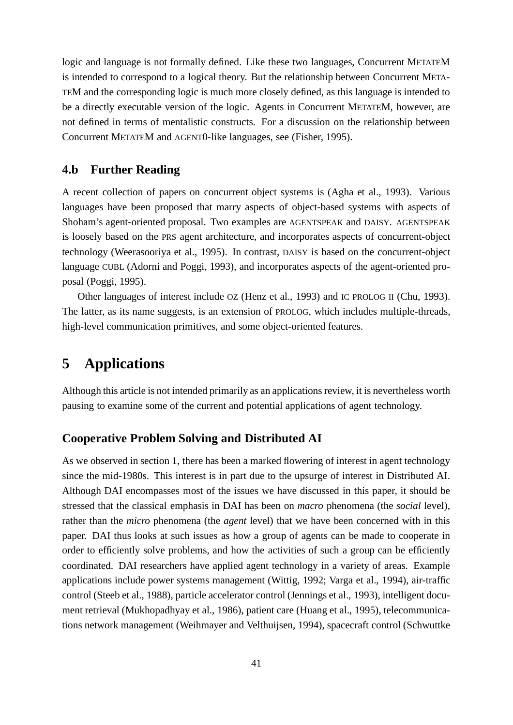logic and language is not formally defined. Like these two languages, Concurrent METATEM is intended to correspond to a logical theory. But the relationship between Concurrent META-TEM and the corresponding logic is much more closely defined, as this language is intended to be a directly executable version of the logic. Agents in Concurrent METATEM, however, are not defined in terms of mentalistic constructs. For a discussion on the relationship between Concurrent METATEM and AGENT0-like languages, see (Fisher, 1995).

## **4.b Further Reading**

A recent collection of papers on concurrent object systems is (Agha et al., 1993). Various languages have been proposed that marry aspects of object-based systems with aspects of Shoham's agent-oriented proposal. Two examples are AGENTSPEAK and DAISY. AGENTSPEAK is loosely based on the PRS agent architecture, and incorporates aspects of concurrent-object technology (Weerasooriya et al., 1995). In contrast, DAISY is based on the concurrent-object language CUBL (Adorni and Poggi, 1993), and incorporates aspects of the agent-oriented proposal (Poggi, 1995).

Other languages of interest include OZ (Henz et al., 1993) and IC PROLOG II (Chu, 1993). The latter, as its name suggests, is an extension of PROLOG, which includes multiple-threads, high-level communication primitives, and some object-oriented features.

## **5 Applications**

Although this article is not intended primarily as an applications review, it is nevertheless worth pausing to examine some of the current and potential applications of agent technology.

## **Cooperative Problem Solving and Distributed AI**

As we observed in section 1, there has been a marked flowering of interest in agent technology since the mid-1980s. This interest is in part due to the upsurge of interest in Distributed AI. Although DAI encompasses most of the issues we have discussed in this paper, it should be stressed that the classical emphasis in DAI has been on *macro* phenomena (the *social* level), rather than the *micro* phenomena (the *agent* level) that we have been concerned with in this paper. DAI thus looks at such issues as how a group of agents can be made to cooperate in order to efficiently solve problems, and how the activities of such a group can be efficiently coordinated. DAI researchers have applied agent technology in a variety of areas. Example applications include power systems management (Wittig, 1992; Varga et al., 1994), air-traffic control (Steeb et al., 1988), particle accelerator control (Jennings et al., 1993), intelligent document retrieval (Mukhopadhyay et al., 1986), patient care (Huang et al., 1995), telecommunications network management (Weihmayer and Velthuijsen, 1994), spacecraft control (Schwuttke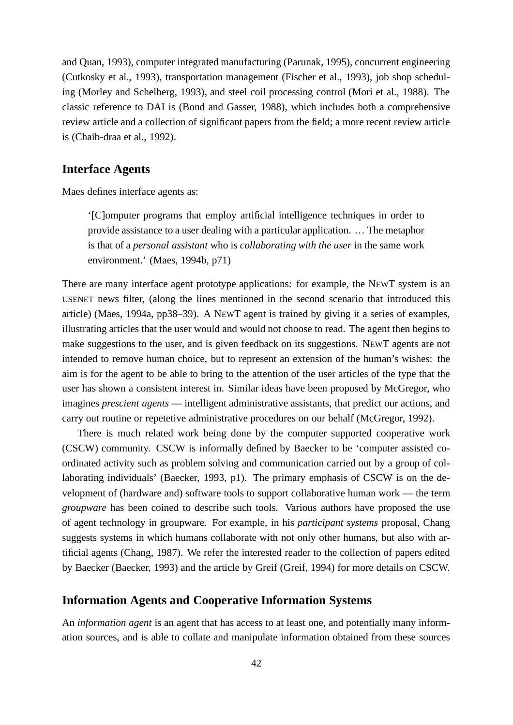and Quan, 1993), computer integrated manufacturing (Parunak, 1995), concurrent engineering (Cutkosky et al., 1993), transportation management (Fischer et al., 1993), job shop scheduling (Morley and Schelberg, 1993), and steel coil processing control (Mori et al., 1988). The classic reference to DAI is (Bond and Gasser, 1988), which includes both a comprehensive review article and a collection of significant papers from the field; a more recent review article is (Chaib-draa et al., 1992).

## **Interface Agents**

Maes defines interface agents as:

'[C]omputer programs that employ artificial intelligence techniques in order to provide assistance to a user dealing with a particular application. … The metaphor is that of a *personal assistant* who is *collaborating with the user* in the same work environment.' (Maes, 1994b, p71)

There are many interface agent prototype applications: for example, the NEWT system is an USENET news filter, (along the lines mentioned in the second scenario that introduced this article) (Maes, 1994a, pp38–39). A NEWT agent is trained by giving it a series of examples, illustrating articles that the user would and would not choose to read. The agent then begins to make suggestions to the user, and is given feedback on its suggestions. NEWT agents are not intended to remove human choice, but to represent an extension of the human's wishes: the aim is for the agent to be able to bring to the attention of the user articles of the type that the user has shown a consistent interest in. Similar ideas have been proposed by McGregor, who imagines *prescient agents* — intelligent administrative assistants, that predict our actions, and carry out routine or repetetive administrative procedures on our behalf (McGregor, 1992).

There is much related work being done by the computer supported cooperative work (CSCW) community. CSCW is informally defined by Baecker to be 'computer assisted coordinated activity such as problem solving and communication carried out by a group of collaborating individuals' (Baecker, 1993, p1). The primary emphasis of CSCW is on the development of (hardware and) software tools to support collaborative human work — the term *groupware* has been coined to describe such tools. Various authors have proposed the use of agent technology in groupware. For example, in his *participant systems* proposal, Chang suggests systems in which humans collaborate with not only other humans, but also with artificial agents (Chang, 1987). We refer the interested reader to the collection of papers edited by Baecker (Baecker, 1993) and the article by Greif (Greif, 1994) for more details on CSCW.

## **Information Agents and Cooperative Information Systems**

An *information agent* is an agent that has access to at least one, and potentially many information sources, and is able to collate and manipulate information obtained from these sources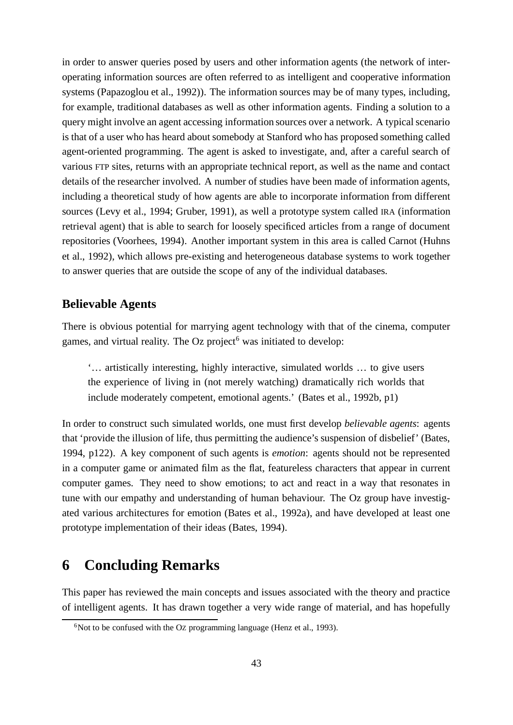in order to answer queries posed by users and other information agents (the network of interoperating information sources are often referred to as intelligent and cooperative information systems (Papazoglou et al., 1992)). The information sources may be of many types, including, for example, traditional databases as well as other information agents. Finding a solution to a query might involve an agent accessing information sources over a network. A typical scenario is that of a user who has heard about somebody at Stanford who has proposed something called agent-oriented programming. The agent is asked to investigate, and, after a careful search of various FTP sites, returns with an appropriate technical report, as well as the name and contact details of the researcher involved. A number of studies have been made of information agents, including a theoretical study of how agents are able to incorporate information from different sources (Levy et al., 1994; Gruber, 1991), as well a prototype system called IRA (information retrieval agent) that is able to search for loosely specificed articles from a range of document repositories (Voorhees, 1994). Another important system in this area is called Carnot (Huhns et al., 1992), which allows pre-existing and heterogeneous database systems to work together to answer queries that are outside the scope of any of the individual databases.

## **Believable Agents**

There is obvious potential for marrying agent technology with that of the cinema, computer games, and virtual reality. The Oz project<sup>6</sup> was initiated to develop:

'… artistically interesting, highly interactive, simulated worlds … to give users the experience of living in (not merely watching) dramatically rich worlds that include moderately competent, emotional agents.' (Bates et al., 1992b, p1)

In order to construct such simulated worlds, one must first develop *believable agents*: agents that 'provide the illusion of life, thus permitting the audience's suspension of disbelief' (Bates, 1994, p122). A key component of such agents is *emotion*: agents should not be represented in a computer game or animated film as the flat, featureless characters that appear in current computer games. They need to show emotions; to act and react in a way that resonates in tune with our empathy and understanding of human behaviour. The Oz group have investigated various architectures for emotion (Bates et al., 1992a), and have developed at least one prototype implementation of their ideas (Bates, 1994).

## **6 Concluding Remarks**

This paper has reviewed the main concepts and issues associated with the theory and practice of intelligent agents. It has drawn together a very wide range of material, and has hopefully

 $6$ Not to be confused with the Oz programming language (Henz et al., 1993).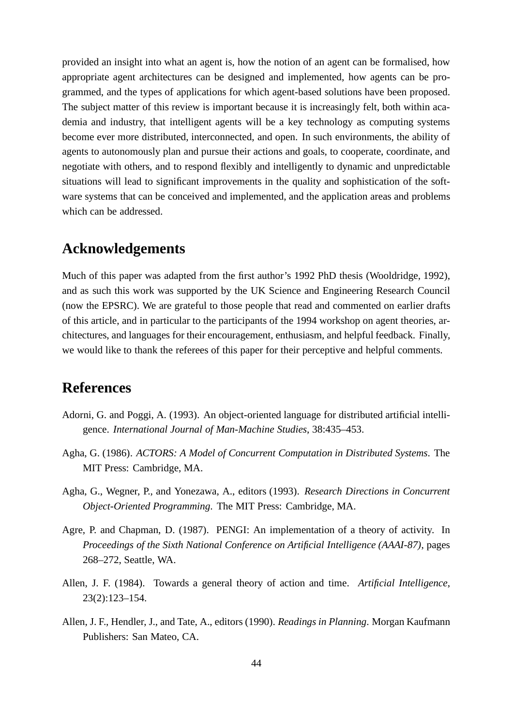provided an insight into what an agent is, how the notion of an agent can be formalised, how appropriate agent architectures can be designed and implemented, how agents can be programmed, and the types of applications for which agent-based solutions have been proposed. The subject matter of this review is important because it is increasingly felt, both within academia and industry, that intelligent agents will be a key technology as computing systems become ever more distributed, interconnected, and open. In such environments, the ability of agents to autonomously plan and pursue their actions and goals, to cooperate, coordinate, and negotiate with others, and to respond flexibly and intelligently to dynamic and unpredictable situations will lead to significant improvements in the quality and sophistication of the software systems that can be conceived and implemented, and the application areas and problems which can be addressed.

## **Acknowledgements**

Much of this paper was adapted from the first author's 1992 PhD thesis (Wooldridge, 1992), and as such this work was supported by the UK Science and Engineering Research Council (now the EPSRC). We are grateful to those people that read and commented on earlier drafts of this article, and in particular to the participants of the 1994 workshop on agent theories, architectures, and languages for their encouragement, enthusiasm, and helpful feedback. Finally, we would like to thank the referees of this paper for their perceptive and helpful comments.

## **References**

- Adorni, G. and Poggi, A. (1993). An object-oriented language for distributed artificial intelligence. *International Journal of Man-Machine Studies*, 38:435–453.
- Agha, G. (1986). *ACTORS: A Model of Concurrent Computation in Distributed Systems*. The MIT Press: Cambridge, MA.
- Agha, G., Wegner, P., and Yonezawa, A., editors (1993). *Research Directions in Concurrent Object-Oriented Programming*. The MIT Press: Cambridge, MA.
- Agre, P. and Chapman, D. (1987). PENGI: An implementation of a theory of activity. In *Proceedings of the Sixth National Conference on Artificial Intelligence (AAAI-87)*, pages 268–272, Seattle, WA.
- Allen, J. F. (1984). Towards a general theory of action and time. *Artificial Intelligence*, 23(2):123–154.
- Allen, J. F., Hendler, J., and Tate, A., editors (1990). *Readings in Planning*. Morgan Kaufmann Publishers: San Mateo, CA.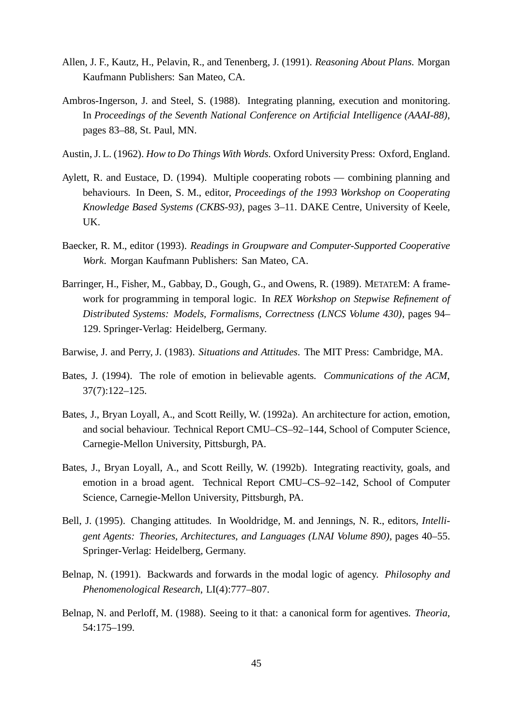- Allen, J. F., Kautz, H., Pelavin, R., and Tenenberg, J. (1991). *Reasoning About Plans*. Morgan Kaufmann Publishers: San Mateo, CA.
- Ambros-Ingerson, J. and Steel, S. (1988). Integrating planning, execution and monitoring. In *Proceedings of the Seventh National Conference on Artificial Intelligence (AAAI-88)*, pages 83–88, St. Paul, MN.
- Austin, J. L. (1962). *How to Do Things With Words*. Oxford University Press: Oxford, England.
- Aylett, R. and Eustace, D. (1994). Multiple cooperating robots combining planning and behaviours. In Deen, S. M., editor, *Proceedings of the 1993 Workshop on Cooperating Knowledge Based Systems (CKBS-93)*, pages 3–11. DAKE Centre, University of Keele, UK.
- Baecker, R. M., editor (1993). *Readings in Groupware and Computer-Supported Cooperative Work*. Morgan Kaufmann Publishers: San Mateo, CA.
- Barringer, H., Fisher, M., Gabbay, D., Gough, G., and Owens, R. (1989). METATEM: A framework for programming in temporal logic. In *REX Workshop on Stepwise Refinement of Distributed Systems: Models, Formalisms, Correctness (LNCS Volume 430)*, pages 94– 129. Springer-Verlag: Heidelberg, Germany.
- Barwise, J. and Perry, J. (1983). *Situations and Attitudes*. The MIT Press: Cambridge, MA.
- Bates, J. (1994). The role of emotion in believable agents. *Communications of the ACM*, 37(7):122–125.
- Bates, J., Bryan Loyall, A., and Scott Reilly, W. (1992a). An architecture for action, emotion, and social behaviour. Technical Report CMU–CS–92–144, School of Computer Science, Carnegie-Mellon University, Pittsburgh, PA.
- Bates, J., Bryan Loyall, A., and Scott Reilly, W. (1992b). Integrating reactivity, goals, and emotion in a broad agent. Technical Report CMU–CS–92–142, School of Computer Science, Carnegie-Mellon University, Pittsburgh, PA.
- Bell, J. (1995). Changing attitudes. In Wooldridge, M. and Jennings, N. R., editors, *Intelligent Agents: Theories, Architectures, and Languages (LNAI Volume 890)*, pages 40–55. Springer-Verlag: Heidelberg, Germany.
- Belnap, N. (1991). Backwards and forwards in the modal logic of agency. *Philosophy and Phenomenological Research*, LI(4):777–807.
- Belnap, N. and Perloff, M. (1988). Seeing to it that: a canonical form for agentives. *Theoria*, 54:175–199.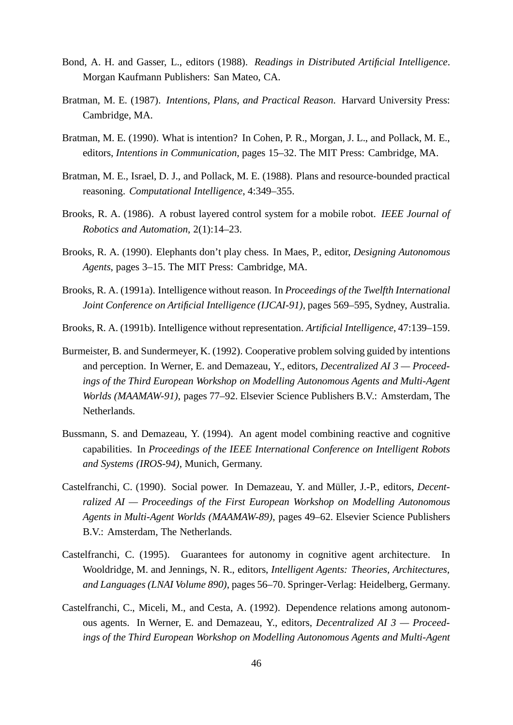- Bond, A. H. and Gasser, L., editors (1988). *Readings in Distributed Artificial Intelligence*. Morgan Kaufmann Publishers: San Mateo, CA.
- Bratman, M. E. (1987). *Intentions, Plans, and Practical Reason*. Harvard University Press: Cambridge, MA.
- Bratman, M. E. (1990). What is intention? In Cohen, P. R., Morgan, J. L., and Pollack, M. E., editors, *Intentions in Communication*, pages 15–32. The MIT Press: Cambridge, MA.
- Bratman, M. E., Israel, D. J., and Pollack, M. E. (1988). Plans and resource-bounded practical reasoning. *Computational Intelligence*, 4:349–355.
- Brooks, R. A. (1986). A robust layered control system for a mobile robot. *IEEE Journal of Robotics and Automation*, 2(1):14–23.
- Brooks, R. A. (1990). Elephants don't play chess. In Maes, P., editor, *Designing Autonomous Agents*, pages 3–15. The MIT Press: Cambridge, MA.
- Brooks, R. A. (1991a). Intelligence without reason. In *Proceedings of the Twelfth International Joint Conference on Artificial Intelligence (IJCAI-91)*, pages 569–595, Sydney, Australia.
- Brooks, R. A. (1991b). Intelligence without representation. *Artificial Intelligence*, 47:139–159.
- Burmeister, B. and Sundermeyer, K. (1992). Cooperative problem solving guided by intentions and perception. In Werner, E. and Demazeau, Y., editors, *Decentralized AI 3 — Proceedings of the Third European Workshop on Modelling Autonomous Agents and Multi-Agent Worlds (MAAMAW-91)*, pages 77–92. Elsevier Science Publishers B.V.: Amsterdam, The Netherlands.
- Bussmann, S. and Demazeau, Y. (1994). An agent model combining reactive and cognitive capabilities. In *Proceedings of the IEEE International Conference on Intelligent Robots and Systems (IROS-94)*, Munich, Germany.
- Castelfranchi, C. (1990). Social power. In Demazeau, Y. and Müller, J.-P., editors, *Decentralized AI — Proceedings of the First European Workshop on Modelling Autonomous Agents in Multi-Agent Worlds (MAAMAW-89)*, pages 49–62. Elsevier Science Publishers B.V.: Amsterdam, The Netherlands.
- Castelfranchi, C. (1995). Guarantees for autonomy in cognitive agent architecture. In Wooldridge, M. and Jennings, N. R., editors, *Intelligent Agents: Theories, Architectures, and Languages (LNAI Volume 890)*, pages 56–70. Springer-Verlag: Heidelberg, Germany.
- Castelfranchi, C., Miceli, M., and Cesta, A. (1992). Dependence relations among autonomous agents. In Werner, E. and Demazeau, Y., editors, *Decentralized AI 3 — Proceedings of the Third European Workshop on Modelling Autonomous Agents and Multi-Agent*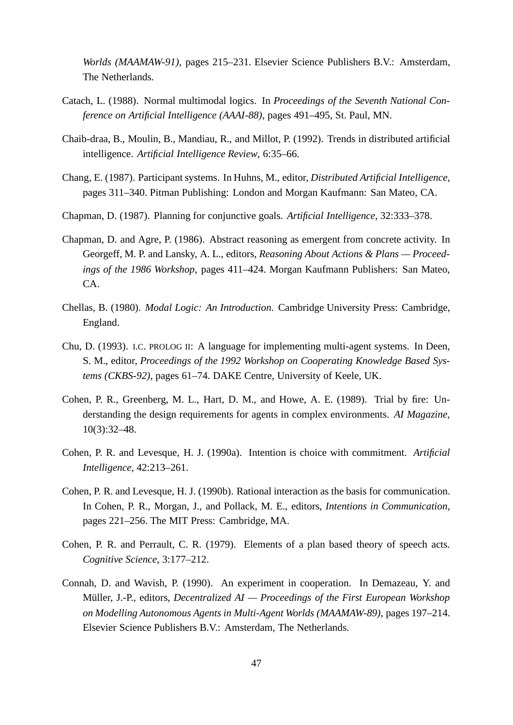*Worlds (MAAMAW-91)*, pages 215–231. Elsevier Science Publishers B.V.: Amsterdam, The Netherlands.

- Catach, L. (1988). Normal multimodal logics. In *Proceedings of the Seventh National Conference on Artificial Intelligence (AAAI-88)*, pages 491–495, St. Paul, MN.
- Chaib-draa, B., Moulin, B., Mandiau, R., and Millot, P. (1992). Trends in distributed artificial intelligence. *Artificial Intelligence Review*, 6:35–66.
- Chang, E. (1987). Participantsystems. In Huhns, M., editor, *Distributed Artificial Intelligence*, pages 311–340. Pitman Publishing: London and Morgan Kaufmann: San Mateo, CA.
- Chapman, D. (1987). Planning for conjunctive goals. *Artificial Intelligence*, 32:333–378.
- Chapman, D. and Agre, P. (1986). Abstract reasoning as emergent from concrete activity. In Georgeff, M. P. and Lansky, A. L., editors, *Reasoning About Actions & Plans — Proceedings of the 1986 Workshop*, pages 411–424. Morgan Kaufmann Publishers: San Mateo, CA.
- Chellas, B. (1980). *Modal Logic: An Introduction*. Cambridge University Press: Cambridge, England.
- Chu, D. (1993). I.C. PROLOG II: A language for implementing multi-agent systems. In Deen, S. M., editor, *Proceedings of the 1992 Workshop on Cooperating Knowledge Based Systems (CKBS-92)*, pages 61–74. DAKE Centre, University of Keele, UK.
- Cohen, P. R., Greenberg, M. L., Hart, D. M., and Howe, A. E. (1989). Trial by fire: Understanding the design requirements for agents in complex environments. *AI Magazine*, 10(3):32–48.
- Cohen, P. R. and Levesque, H. J. (1990a). Intention is choice with commitment. *Artificial Intelligence*, 42:213–261.
- Cohen, P. R. and Levesque, H. J. (1990b). Rational interaction as the basis for communication. In Cohen, P. R., Morgan, J., and Pollack, M. E., editors, *Intentions in Communication*, pages 221–256. The MIT Press: Cambridge, MA.
- Cohen, P. R. and Perrault, C. R. (1979). Elements of a plan based theory of speech acts. *Cognitive Science*, 3:177–212.
- Connah, D. and Wavish, P. (1990). An experiment in cooperation. In Demazeau, Y. and Müller, J.-P., editors, *Decentralized*  $AI - Proceedings$  *of the First European Workshop on Modelling Autonomous Agents in Multi-Agent Worlds (MAAMAW-89)*, pages 197–214. Elsevier Science Publishers B.V.: Amsterdam, The Netherlands.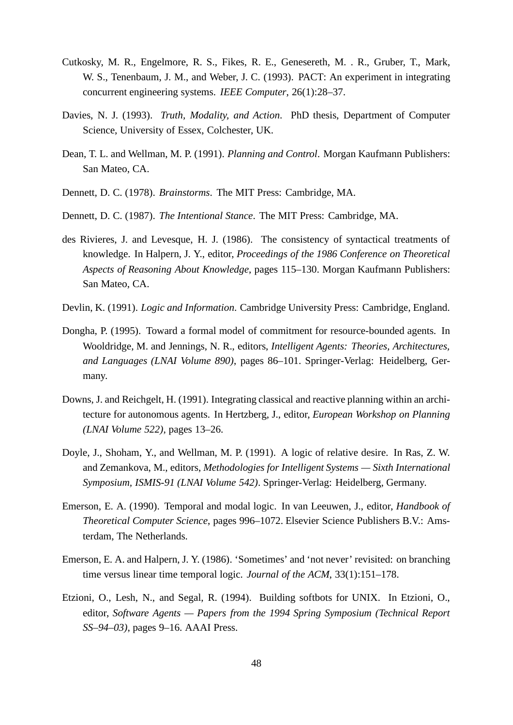- Cutkosky, M. R., Engelmore, R. S., Fikes, R. E., Genesereth, M. . R., Gruber, T., Mark, W. S., Tenenbaum, J. M., and Weber, J. C. (1993). PACT: An experiment in integrating concurrent engineering systems. *IEEE Computer*, 26(1):28–37.
- Davies, N. J. (1993). *Truth, Modality, and Action*. PhD thesis, Department of Computer Science, University of Essex, Colchester, UK.
- Dean, T. L. and Wellman, M. P. (1991). *Planning and Control*. Morgan Kaufmann Publishers: San Mateo, CA.
- Dennett, D. C. (1978). *Brainstorms*. The MIT Press: Cambridge, MA.
- Dennett, D. C. (1987). *The Intentional Stance*. The MIT Press: Cambridge, MA.
- des Rivieres, J. and Levesque, H. J. (1986). The consistency of syntactical treatments of knowledge. In Halpern, J. Y., editor, *Proceedings of the 1986 Conference on Theoretical Aspects of Reasoning About Knowledge*, pages 115–130. Morgan Kaufmann Publishers: San Mateo, CA.
- Devlin, K. (1991). *Logic and Information*. Cambridge University Press: Cambridge, England.
- Dongha, P. (1995). Toward a formal model of commitment for resource-bounded agents. In Wooldridge, M. and Jennings, N. R., editors, *Intelligent Agents: Theories, Architectures, and Languages (LNAI Volume 890)*, pages 86–101. Springer-Verlag: Heidelberg, Germany.
- Downs, J. and Reichgelt, H. (1991). Integrating classical and reactive planning within an architecture for autonomous agents. In Hertzberg, J., editor, *European Workshop on Planning (LNAI Volume 522)*, pages 13–26.
- Doyle, J., Shoham, Y., and Wellman, M. P. (1991). A logic of relative desire. In Ras, Z. W. and Zemankova, M., editors, *Methodologies for Intelligent Systems — Sixth International Symposium, ISMIS-91 (LNAI Volume 542)*. Springer-Verlag: Heidelberg, Germany.
- Emerson, E. A. (1990). Temporal and modal logic. In van Leeuwen, J., editor, *Handbook of Theoretical Computer Science*, pages 996–1072. Elsevier Science Publishers B.V.: Amsterdam, The Netherlands.
- Emerson, E. A. and Halpern, J. Y. (1986). 'Sometimes' and 'not never' revisited: on branching time versus linear time temporal logic. *Journal of the ACM*, 33(1):151–178.
- Etzioni, O., Lesh, N., and Segal, R. (1994). Building softbots for UNIX. In Etzioni, O., editor, *Software Agents — Papers from the 1994 Spring Symposium (Technical Report SS–94–03)*, pages 9–16. AAAI Press.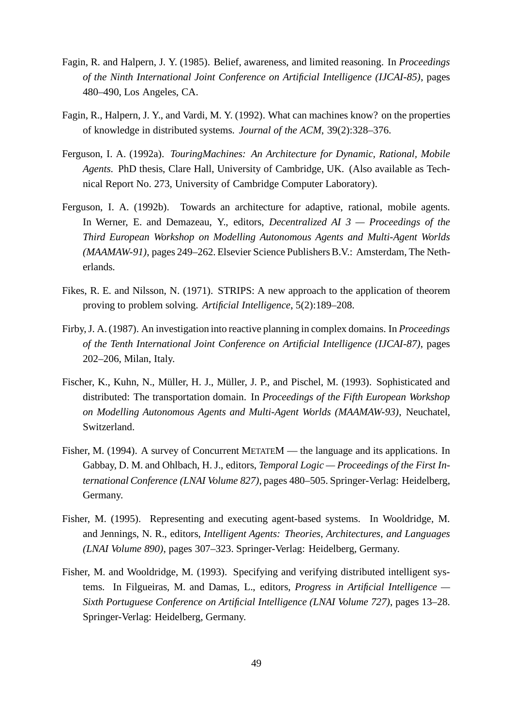- Fagin, R. and Halpern, J. Y. (1985). Belief, awareness, and limited reasoning. In *Proceedings of the Ninth International Joint Conference on Artificial Intelligence (IJCAI-85)*, pages 480–490, Los Angeles, CA.
- Fagin, R., Halpern, J. Y., and Vardi, M. Y. (1992). What can machines know? on the properties of knowledge in distributed systems. *Journal of the ACM*, 39(2):328–376.
- Ferguson, I. A. (1992a). *TouringMachines: An Architecture for Dynamic, Rational, Mobile Agents*. PhD thesis, Clare Hall, University of Cambridge, UK. (Also available as Technical Report No. 273, University of Cambridge Computer Laboratory).
- Ferguson, I. A. (1992b). Towards an architecture for adaptive, rational, mobile agents. In Werner, E. and Demazeau, Y., editors, *Decentralized AI 3 — Proceedings of the Third European Workshop on Modelling Autonomous Agents and Multi-Agent Worlds (MAAMAW-91)*, pages 249–262. Elsevier Science PublishersB.V.: Amsterdam, The Netherlands.
- Fikes, R. E. and Nilsson, N. (1971). STRIPS: A new approach to the application of theorem proving to problem solving. *Artificial Intelligence*, 5(2):189–208.
- Firby,J. A. (1987). An investigation into reactive planning in complex domains. In *Proceedings of the Tenth International Joint Conference on Artificial Intelligence (IJCAI-87)*, pages 202–206, Milan, Italy.
- Fischer, K., Kuhn, N., Müller, H. J., Müller, J. P., and Pischel, M. (1993). Sophisticated and distributed: The transportation domain. In *Proceedings of the Fifth European Workshop on Modelling Autonomous Agents and Multi-Agent Worlds (MAAMAW-93)*, Neuchatel, Switzerland.
- Fisher, M. (1994). A survey of Concurrent METATEM the language and its applications. In Gabbay, D. M. and Ohlbach, H. J., editors, *Temporal Logic — Proceedings of the First International Conference (LNAI Volume 827)*, pages 480–505. Springer-Verlag: Heidelberg, Germany.
- Fisher, M. (1995). Representing and executing agent-based systems. In Wooldridge, M. and Jennings, N. R., editors, *Intelligent Agents: Theories, Architectures, and Languages (LNAI Volume 890)*, pages 307–323. Springer-Verlag: Heidelberg, Germany.
- Fisher, M. and Wooldridge, M. (1993). Specifying and verifying distributed intelligent systems. In Filgueiras, M. and Damas, L., editors, *Progress in Artificial Intelligence — Sixth Portuguese Conference on Artificial Intelligence (LNAI Volume 727)*, pages 13–28. Springer-Verlag: Heidelberg, Germany.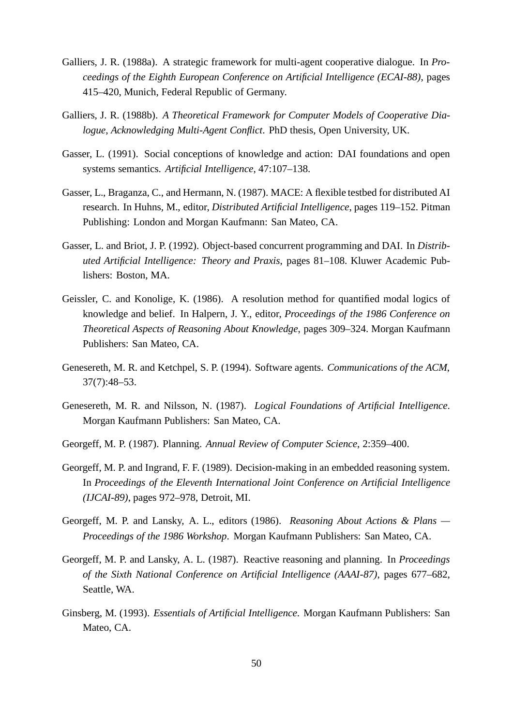- Galliers, J. R. (1988a). A strategic framework for multi-agent cooperative dialogue. In *Proceedings of the Eighth European Conference on Artificial Intelligence (ECAI-88)*, pages 415–420, Munich, Federal Republic of Germany.
- Galliers, J. R. (1988b). *A Theoretical Framework for Computer Models of Cooperative Dialogue, Acknowledging Multi-Agent Conflict*. PhD thesis, Open University, UK.
- Gasser, L. (1991). Social conceptions of knowledge and action: DAI foundations and open systems semantics. *Artificial Intelligence*, 47:107–138.
- Gasser, L., Braganza, C., and Hermann, N. (1987). MACE: A flexible testbed for distributed AI research. In Huhns, M., editor, *Distributed Artificial Intelligence*, pages 119–152. Pitman Publishing: London and Morgan Kaufmann: San Mateo, CA.
- Gasser, L. and Briot, J. P. (1992). Object-based concurrent programming and DAI. In *Distributed Artificial Intelligence: Theory and Praxis*, pages 81–108. Kluwer Academic Publishers: Boston, MA.
- Geissler, C. and Konolige, K. (1986). A resolution method for quantified modal logics of knowledge and belief. In Halpern, J. Y., editor, *Proceedings of the 1986 Conference on Theoretical Aspects of Reasoning About Knowledge*, pages 309–324. Morgan Kaufmann Publishers: San Mateo, CA.
- Genesereth, M. R. and Ketchpel, S. P. (1994). Software agents. *Communications of the ACM*, 37(7):48–53.
- Genesereth, M. R. and Nilsson, N. (1987). *Logical Foundations of Artificial Intelligence*. Morgan Kaufmann Publishers: San Mateo, CA.
- Georgeff, M. P. (1987). Planning. *Annual Review of Computer Science*, 2:359–400.
- Georgeff, M. P. and Ingrand, F. F. (1989). Decision-making in an embedded reasoning system. In *Proceedings of the Eleventh International Joint Conference on Artificial Intelligence (IJCAI-89)*, pages 972–978, Detroit, MI.
- Georgeff, M. P. and Lansky, A. L., editors (1986). *Reasoning About Actions & Plans — Proceedings of the 1986 Workshop*. Morgan Kaufmann Publishers: San Mateo, CA.
- Georgeff, M. P. and Lansky, A. L. (1987). Reactive reasoning and planning. In *Proceedings of the Sixth National Conference on Artificial Intelligence (AAAI-87)*, pages 677–682, Seattle, WA.
- Ginsberg, M. (1993). *Essentials of Artificial Intelligence*. Morgan Kaufmann Publishers: San Mateo, CA.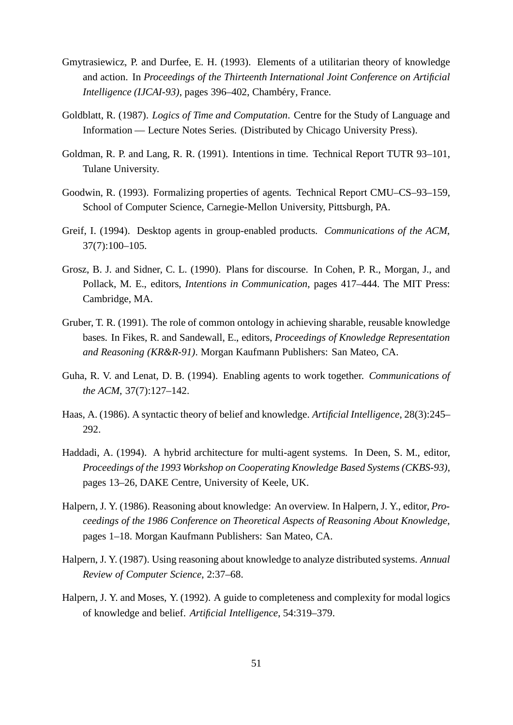- Gmytrasiewicz, P. and Durfee, E. H. (1993). Elements of a utilitarian theory of knowledge and action. In *Proceedings of the Thirteenth International Joint Conference on Artificial Intelligence* (*IJCAI-93*), pages 396–402, Chambéry, France.
- Goldblatt, R. (1987). *Logics of Time and Computation*. Centre for the Study of Language and Information — Lecture Notes Series. (Distributed by Chicago University Press).
- Goldman, R. P. and Lang, R. R. (1991). Intentions in time. Technical Report TUTR 93–101, Tulane University.
- Goodwin, R. (1993). Formalizing properties of agents. Technical Report CMU–CS–93–159, School of Computer Science, Carnegie-Mellon University, Pittsburgh, PA.
- Greif, I. (1994). Desktop agents in group-enabled products. *Communications of the ACM*, 37(7):100–105.
- Grosz, B. J. and Sidner, C. L. (1990). Plans for discourse. In Cohen, P. R., Morgan, J., and Pollack, M. E., editors, *Intentions in Communication*, pages 417–444. The MIT Press: Cambridge, MA.
- Gruber, T. R. (1991). The role of common ontology in achieving sharable, reusable knowledge bases. In Fikes, R. and Sandewall, E., editors, *Proceedings of Knowledge Representation and Reasoning (KR&R-91)*. Morgan Kaufmann Publishers: San Mateo, CA.
- Guha, R. V. and Lenat, D. B. (1994). Enabling agents to work together. *Communications of the ACM*, 37(7):127–142.
- Haas, A. (1986). A syntactic theory of belief and knowledge. *Artificial Intelligence*, 28(3):245– 292.
- Haddadi, A. (1994). A hybrid architecture for multi-agent systems. In Deen, S. M., editor, *Proceedings of the 1993 Workshop on Cooperating Knowledge Based Systems (CKBS-93)*, pages 13–26, DAKE Centre, University of Keele, UK.
- Halpern, J. Y. (1986). Reasoning about knowledge: An overview. In Halpern, J. Y., editor, *Proceedings of the 1986 Conference on Theoretical Aspects of Reasoning About Knowledge*, pages 1–18. Morgan Kaufmann Publishers: San Mateo, CA.
- Halpern, J. Y. (1987). Using reasoning about knowledge to analyze distributed systems. *Annual Review of Computer Science*, 2:37–68.
- Halpern, J. Y. and Moses, Y. (1992). A guide to completeness and complexity for modal logics of knowledge and belief. *Artificial Intelligence*, 54:319–379.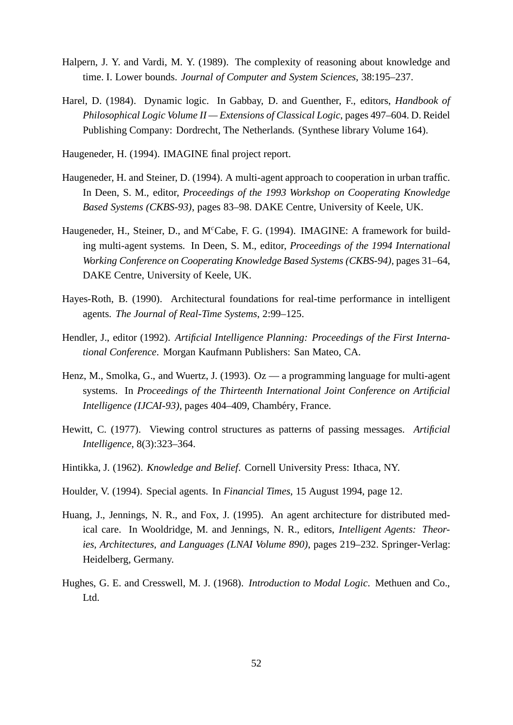- Halpern, J. Y. and Vardi, M. Y. (1989). The complexity of reasoning about knowledge and time. I. Lower bounds. *Journal of Computer and System Sciences*, 38:195–237.
- Harel, D. (1984). Dynamic logic. In Gabbay, D. and Guenther, F., editors, *Handbook of Philosophical Logic Volume II — Extensions of Classical Logic*, pages 497–604. D. Reidel Publishing Company: Dordrecht, The Netherlands. (Synthese library Volume 164).
- Haugeneder, H. (1994). IMAGINE final project report.
- Haugeneder, H. and Steiner, D. (1994). A multi-agent approach to cooperation in urban traffic. In Deen, S. M., editor, *Proceedings of the 1993 Workshop on Cooperating Knowledge Based Systems (CKBS-93)*, pages 83–98. DAKE Centre, University of Keele, UK.
- Haugeneder, H., Steiner, D., and M*<sup>c</sup>*Cabe, F. G. (1994). IMAGINE: A framework for building multi-agent systems. In Deen, S. M., editor, *Proceedings of the 1994 International Working Conference on Cooperating Knowledge Based Systems (CKBS-94)*, pages 31–64, DAKE Centre, University of Keele, UK.
- Hayes-Roth, B. (1990). Architectural foundations for real-time performance in intelligent agents. *The Journal of Real-Time Systems*, 2:99–125.
- Hendler, J., editor (1992). *Artificial Intelligence Planning: Proceedings of the First International Conference*. Morgan Kaufmann Publishers: San Mateo, CA.
- Henz, M., Smolka, G., and Wuertz, J. (1993). Oz a programming language for multi-agent systems. In *Proceedings of the Thirteenth International Joint Conference on Artificial Intelligence* (*IJCAI-93*), pages 404–409, Chambéry, France.
- Hewitt, C. (1977). Viewing control structures as patterns of passing messages. *Artificial Intelligence*, 8(3):323–364.
- Hintikka, J. (1962). *Knowledge and Belief*. Cornell University Press: Ithaca, NY.
- Houlder, V. (1994). Special agents. In *Financial Times*, 15 August 1994, page 12.
- Huang, J., Jennings, N. R., and Fox, J. (1995). An agent architecture for distributed medical care. In Wooldridge, M. and Jennings, N. R., editors, *Intelligent Agents: Theories, Architectures, and Languages (LNAI Volume 890)*, pages 219–232. Springer-Verlag: Heidelberg, Germany.
- Hughes, G. E. and Cresswell, M. J. (1968). *Introduction to Modal Logic*. Methuen and Co., Ltd.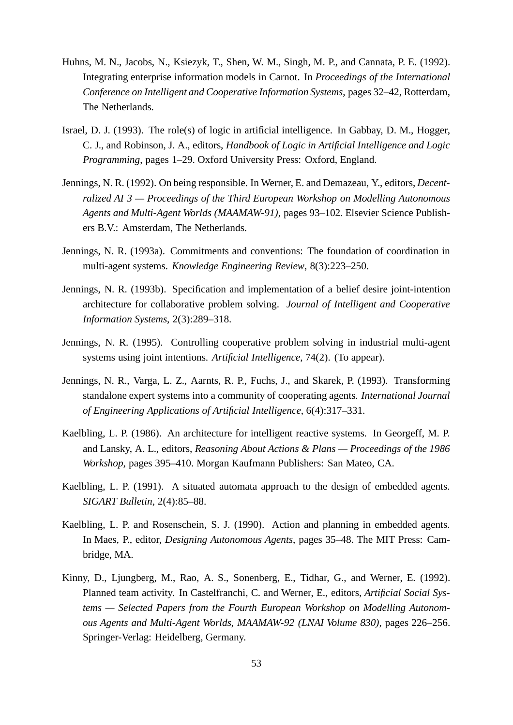- Huhns, M. N., Jacobs, N., Ksiezyk, T., Shen, W. M., Singh, M. P., and Cannata, P. E. (1992). Integrating enterprise information models in Carnot. In *Proceedings of the International Conference on Intelligent and Cooperative Information Systems*, pages 32–42, Rotterdam, The Netherlands.
- Israel, D. J. (1993). The role(s) of logic in artificial intelligence. In Gabbay, D. M., Hogger, C. J., and Robinson, J. A., editors, *Handbook of Logic in Artificial Intelligence and Logic Programming*, pages 1–29. Oxford University Press: Oxford, England.
- Jennings, N. R. (1992). On being responsible. In Werner, E. and Demazeau, Y., editors, *Decentralized AI 3 — Proceedings of the Third European Workshop on Modelling Autonomous Agents and Multi-Agent Worlds (MAAMAW-91)*, pages 93–102. Elsevier Science Publishers B.V.: Amsterdam, The Netherlands.
- Jennings, N. R. (1993a). Commitments and conventions: The foundation of coordination in multi-agent systems. *Knowledge Engineering Review*, 8(3):223–250.
- Jennings, N. R. (1993b). Specification and implementation of a belief desire joint-intention architecture for collaborative problem solving. *Journal of Intelligent and Cooperative Information Systems*, 2(3):289–318.
- Jennings, N. R. (1995). Controlling cooperative problem solving in industrial multi-agent systems using joint intentions. *Artificial Intelligence*, 74(2). (To appear).
- Jennings, N. R., Varga, L. Z., Aarnts, R. P., Fuchs, J., and Skarek, P. (1993). Transforming standalone expert systems into a community of cooperating agents. *International Journal of Engineering Applications of Artificial Intelligence*, 6(4):317–331.
- Kaelbling, L. P. (1986). An architecture for intelligent reactive systems. In Georgeff, M. P. and Lansky, A. L., editors, *Reasoning About Actions & Plans — Proceedings of the 1986 Workshop*, pages 395–410. Morgan Kaufmann Publishers: San Mateo, CA.
- Kaelbling, L. P. (1991). A situated automata approach to the design of embedded agents. *SIGART Bulletin*, 2(4):85–88.
- Kaelbling, L. P. and Rosenschein, S. J. (1990). Action and planning in embedded agents. In Maes, P., editor, *Designing Autonomous Agents*, pages 35–48. The MIT Press: Cambridge, MA.
- Kinny, D., Ljungberg, M., Rao, A. S., Sonenberg, E., Tidhar, G., and Werner, E. (1992). Planned team activity. In Castelfranchi, C. and Werner, E., editors, *Artificial Social Systems — Selected Papers from the Fourth European Workshop on Modelling Autonomous Agents and Multi-Agent Worlds, MAAMAW-92 (LNAI Volume 830)*, pages 226–256. Springer-Verlag: Heidelberg, Germany.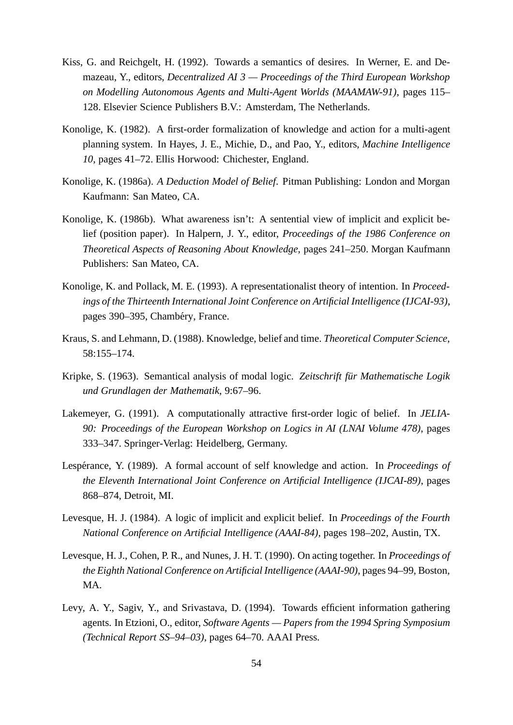- Kiss, G. and Reichgelt, H. (1992). Towards a semantics of desires. In Werner, E. and Demazeau, Y., editors, *Decentralized AI 3 — Proceedings of the Third European Workshop on Modelling Autonomous Agents and Multi-Agent Worlds (MAAMAW-91)*, pages 115– 128. Elsevier Science Publishers B.V.: Amsterdam, The Netherlands.
- Konolige, K. (1982). A first-order formalization of knowledge and action for a multi-agent planning system. In Hayes, J. E., Michie, D., and Pao, Y., editors, *Machine Intelligence 10*, pages 41–72. Ellis Horwood: Chichester, England.
- Konolige, K. (1986a). *A Deduction Model of Belief*. Pitman Publishing: London and Morgan Kaufmann: San Mateo, CA.
- Konolige, K. (1986b). What awareness isn't: A sentential view of implicit and explicit belief (position paper). In Halpern, J. Y., editor, *Proceedings of the 1986 Conference on Theoretical Aspects of Reasoning About Knowledge*, pages 241–250. Morgan Kaufmann Publishers: San Mateo, CA.
- Konolige, K. and Pollack, M. E. (1993). A representationalist theory of intention. In *Proceedings of the Thirteenth International Joint Conference on Artificial Intelligence (IJCAI-93)*, pages 390–395, Chambéry, France.
- Kraus, S. and Lehmann, D. (1988). Knowledge, belief and time. *Theoretical Computer Science*, 58:155–174.
- Kripke, S. (1963). Semantical analysis of modal logic. *Zeitschrift für Mathematische Logik und Grundlagen der Mathematik*, 9:67–96.
- Lakemeyer, G. (1991). A computationally attractive first-order logic of belief. In *JELIA-90: Proceedings of the European Workshop on Logics in AI (LNAI Volume 478)*, pages 333–347. Springer-Verlag: Heidelberg, Germany.
- Lespérance, Y. (1989). A formal account of self knowledge and action. In *Proceedings of the Eleventh International Joint Conference on Artificial Intelligence (IJCAI-89)*, pages 868–874, Detroit, MI.
- Levesque, H. J. (1984). A logic of implicit and explicit belief. In *Proceedings of the Fourth National Conference on Artificial Intelligence (AAAI-84)*, pages 198–202, Austin, TX.
- Levesque, H. J., Cohen, P. R., and Nunes, J. H. T. (1990). On acting together. In *Proceedings of the Eighth National Conference on Artificial Intelligence (AAAI-90)*, pages 94–99, Boston, MA.
- Levy, A. Y., Sagiv, Y., and Srivastava, D. (1994). Towards efficient information gathering agents. In Etzioni, O., editor, *Software Agents — Papers from the 1994 Spring Symposium (Technical Report SS–94–03)*, pages 64–70. AAAI Press.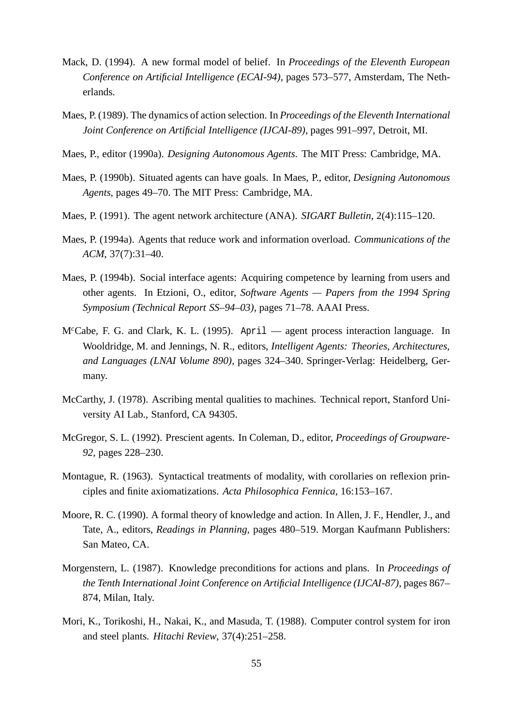- Mack, D. (1994). A new formal model of belief. In *Proceedings of the Eleventh European Conference on Artificial Intelligence (ECAI-94)*, pages 573–577, Amsterdam, The Netherlands.
- Maes, P. (1989). The dynamics of action selection. In *Proceedings of the Eleventh International Joint Conference on Artificial Intelligence (IJCAI-89)*, pages 991–997, Detroit, MI.
- Maes, P., editor (1990a). *Designing Autonomous Agents*. The MIT Press: Cambridge, MA.
- Maes, P. (1990b). Situated agents can have goals. In Maes, P., editor, *Designing Autonomous Agents*, pages 49–70. The MIT Press: Cambridge, MA.
- Maes, P. (1991). The agent network architecture (ANA). *SIGART Bulletin*, 2(4):115–120.
- Maes, P. (1994a). Agents that reduce work and information overload. *Communications of the ACM*, 37(7):31–40.
- Maes, P. (1994b). Social interface agents: Acquiring competence by learning from users and other agents. In Etzioni, O., editor, *Software Agents — Papers from the 1994 Spring Symposium (Technical Report SS–94–03)*, pages 71–78. AAAI Press.
- M*<sup>c</sup>*Cabe, F. G. and Clark, K. L. (1995). April agent process interaction language. In Wooldridge, M. and Jennings, N. R., editors, *Intelligent Agents: Theories, Architectures, and Languages (LNAI Volume 890)*, pages 324–340. Springer-Verlag: Heidelberg, Germany.
- McCarthy, J. (1978). Ascribing mental qualities to machines. Technical report, Stanford University AI Lab., Stanford, CA 94305.
- McGregor, S. L. (1992). Prescient agents. In Coleman, D., editor, *Proceedings of Groupware-92*, pages 228–230.
- Montague, R. (1963). Syntactical treatments of modality, with corollaries on reflexion principles and finite axiomatizations. *Acta Philosophica Fennica*, 16:153–167.
- Moore, R. C. (1990). A formal theory of knowledge and action. In Allen, J. F., Hendler, J., and Tate, A., editors, *Readings in Planning*, pages 480–519. Morgan Kaufmann Publishers: San Mateo, CA.
- Morgenstern, L. (1987). Knowledge preconditions for actions and plans. In *Proceedings of the Tenth International Joint Conference on Artificial Intelligence (IJCAI-87)*, pages 867– 874, Milan, Italy.
- Mori, K., Torikoshi, H., Nakai, K., and Masuda, T. (1988). Computer control system for iron and steel plants. *Hitachi Review*, 37(4):251–258.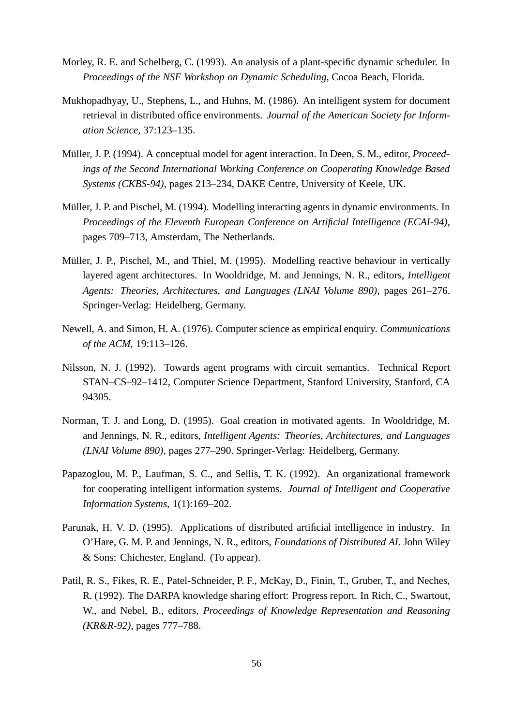- Morley, R. E. and Schelberg, C. (1993). An analysis of a plant-specific dynamic scheduler. In *Proceedings of the NSF Workshop on Dynamic Scheduling*, Cocoa Beach, Florida.
- Mukhopadhyay, U., Stephens, L., and Huhns, M. (1986). An intelligent system for document retrieval in distributed office environments. *Journal of the American Society for Information Science*, 37:123–135.
- Müller, J. P. (1994). A conceptual model for agent interaction. In Deen, S. M., editor, *Proceedings of the Second International Working Conference on Cooperating Knowledge Based Systems (CKBS-94)*, pages 213–234, DAKE Centre, University of Keele, UK.
- Müller, J. P. and Pischel, M. (1994). Modelling interacting agents in dynamic environments. In *Proceedings of the Eleventh European Conference on Artificial Intelligence (ECAI-94)*, pages 709–713, Amsterdam, The Netherlands.
- Müller, J. P., Pischel, M., and Thiel, M. (1995). Modelling reactive behaviour in vertically layered agent architectures. In Wooldridge, M. and Jennings, N. R., editors, *Intelligent Agents: Theories, Architectures, and Languages (LNAI Volume 890)*, pages 261–276. Springer-Verlag: Heidelberg, Germany.
- Newell, A. and Simon, H. A. (1976). Computer science as empirical enquiry. *Communications of the ACM*, 19:113–126.
- Nilsson, N. J. (1992). Towards agent programs with circuit semantics. Technical Report STAN–CS–92–1412, Computer Science Department, Stanford University, Stanford, CA 94305.
- Norman, T. J. and Long, D. (1995). Goal creation in motivated agents. In Wooldridge, M. and Jennings, N. R., editors, *Intelligent Agents: Theories, Architectures, and Languages (LNAI Volume 890)*, pages 277–290. Springer-Verlag: Heidelberg, Germany.
- Papazoglou, M. P., Laufman, S. C., and Sellis, T. K. (1992). An organizational framework for cooperating intelligent information systems. *Journal of Intelligent and Cooperative Information Systems*, 1(1):169–202.
- Parunak, H. V. D. (1995). Applications of distributed artificial intelligence in industry. In O'Hare, G. M. P. and Jennings, N. R., editors, *Foundations of Distributed AI*. John Wiley & Sons: Chichester, England. (To appear).
- Patil, R. S., Fikes, R. E., Patel-Schneider, P. F., McKay, D., Finin, T., Gruber, T., and Neches, R. (1992). The DARPA knowledge sharing effort: Progress report. In Rich, C., Swartout, W., and Nebel, B., editors, *Proceedings of Knowledge Representation and Reasoning (KR&R-92)*, pages 777–788.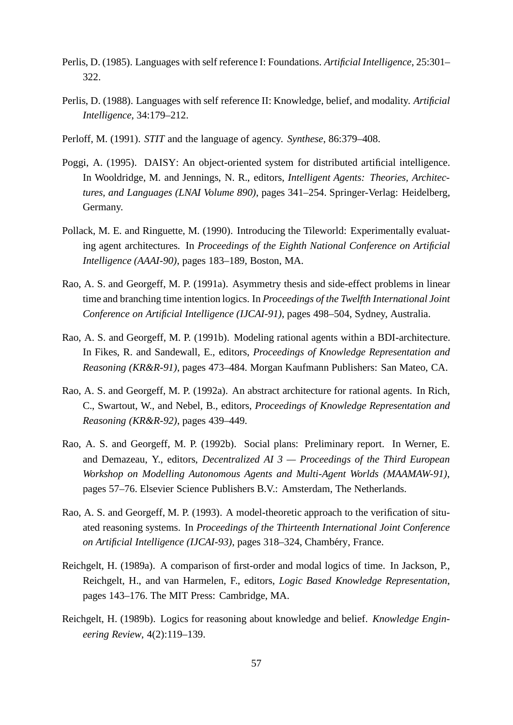- Perlis, D. (1985). Languages with self reference I: Foundations. *Artificial Intelligence*, 25:301– 322.
- Perlis, D. (1988). Languages with self reference II: Knowledge, belief, and modality. *Artificial Intelligence*, 34:179–212.
- Perloff, M. (1991). *STIT* and the language of agency. *Synthese*, 86:379–408.
- Poggi, A. (1995). DAISY: An object-oriented system for distributed artificial intelligence. In Wooldridge, M. and Jennings, N. R., editors, *Intelligent Agents: Theories, Architectures, and Languages (LNAI Volume 890)*, pages 341–254. Springer-Verlag: Heidelberg, Germany.
- Pollack, M. E. and Ringuette, M. (1990). Introducing the Tileworld: Experimentally evaluating agent architectures. In *Proceedings of the Eighth National Conference on Artificial Intelligence (AAAI-90)*, pages 183–189, Boston, MA.
- Rao, A. S. and Georgeff, M. P. (1991a). Asymmetry thesis and side-effect problems in linear time and branching time intention logics. In *Proceedings of the Twelfth International Joint Conference on Artificial Intelligence (IJCAI-91)*, pages 498–504, Sydney, Australia.
- Rao, A. S. and Georgeff, M. P. (1991b). Modeling rational agents within a BDI-architecture. In Fikes, R. and Sandewall, E., editors, *Proceedings of Knowledge Representation and Reasoning (KR&R-91)*, pages 473–484. Morgan Kaufmann Publishers: San Mateo, CA.
- Rao, A. S. and Georgeff, M. P. (1992a). An abstract architecture for rational agents. In Rich, C., Swartout, W., and Nebel, B., editors, *Proceedings of Knowledge Representation and Reasoning (KR&R-92)*, pages 439–449.
- Rao, A. S. and Georgeff, M. P. (1992b). Social plans: Preliminary report. In Werner, E. and Demazeau, Y., editors, *Decentralized AI 3 — Proceedings of the Third European Workshop on Modelling Autonomous Agents and Multi-Agent Worlds (MAAMAW-91)*, pages 57–76. Elsevier Science Publishers B.V.: Amsterdam, The Netherlands.
- Rao, A. S. and Georgeff, M. P. (1993). A model-theoretic approach to the verification of situated reasoning systems. In *Proceedings of the Thirteenth International Joint Conference on Artificial Intelligence* (IJCAI-93), pages 318–324, Chambéry, France.
- Reichgelt, H. (1989a). A comparison of first-order and modal logics of time. In Jackson, P., Reichgelt, H., and van Harmelen, F., editors, *Logic Based Knowledge Representation*, pages 143–176. The MIT Press: Cambridge, MA.
- Reichgelt, H. (1989b). Logics for reasoning about knowledge and belief. *Knowledge Engineering Review*, 4(2):119–139.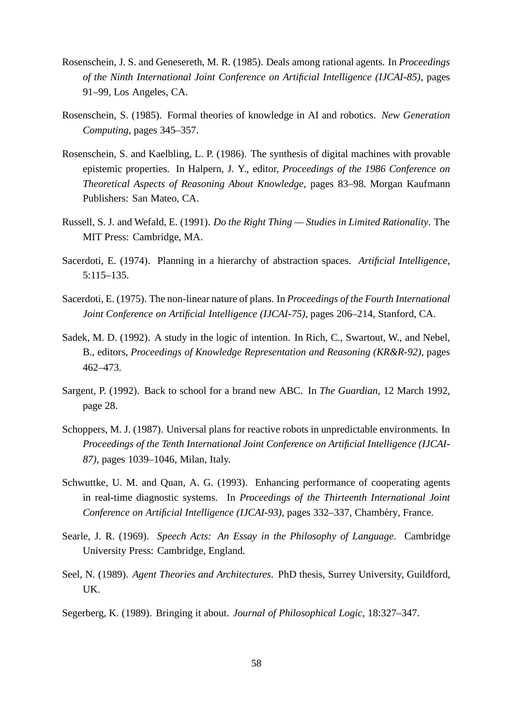- Rosenschein, J. S. and Genesereth, M. R. (1985). Deals among rational agents. In *Proceedings of the Ninth International Joint Conference on Artificial Intelligence (IJCAI-85)*, pages 91–99, Los Angeles, CA.
- Rosenschein, S. (1985). Formal theories of knowledge in AI and robotics. *New Generation Computing*, pages 345–357.
- Rosenschein, S. and Kaelbling, L. P. (1986). The synthesis of digital machines with provable epistemic properties. In Halpern, J. Y., editor, *Proceedings of the 1986 Conference on Theoretical Aspects of Reasoning About Knowledge*, pages 83–98. Morgan Kaufmann Publishers: San Mateo, CA.
- Russell, S. J. and Wefald, E. (1991). *Do the Right Thing — Studies in Limited Rationality*. The MIT Press: Cambridge, MA.
- Sacerdoti, E. (1974). Planning in a hierarchy of abstraction spaces. *Artificial Intelligence*, 5:115–135.
- Sacerdoti, E. (1975). The non-linear nature of plans. In *Proceedings of the Fourth International Joint Conference on Artificial Intelligence (IJCAI-75)*, pages 206–214, Stanford, CA.
- Sadek, M. D. (1992). A study in the logic of intention. In Rich, C., Swartout, W., and Nebel, B., editors, *Proceedings of Knowledge Representation and Reasoning (KR&R-92)*, pages 462–473.
- Sargent, P. (1992). Back to school for a brand new ABC. In *The Guardian*, 12 March 1992, page 28.
- Schoppers, M. J. (1987). Universal plans for reactive robots in unpredictable environments. In *Proceedings of the Tenth International Joint Conference on Artificial Intelligence (IJCAI-87)*, pages 1039–1046, Milan, Italy.
- Schwuttke, U. M. and Quan, A. G. (1993). Enhancing performance of cooperating agents in real-time diagnostic systems. In *Proceedings of the Thirteenth International Joint Conference on Artificial Intelligence* (IJCAI-93), pages 332-337, Chambéry, France.
- Searle, J. R. (1969). *Speech Acts: An Essay in the Philosophy of Language*. Cambridge University Press: Cambridge, England.
- Seel, N. (1989). *Agent Theories and Architectures*. PhD thesis, Surrey University, Guildford, UK.
- Segerberg, K. (1989). Bringing it about. *Journal of Philosophical Logic*, 18:327–347.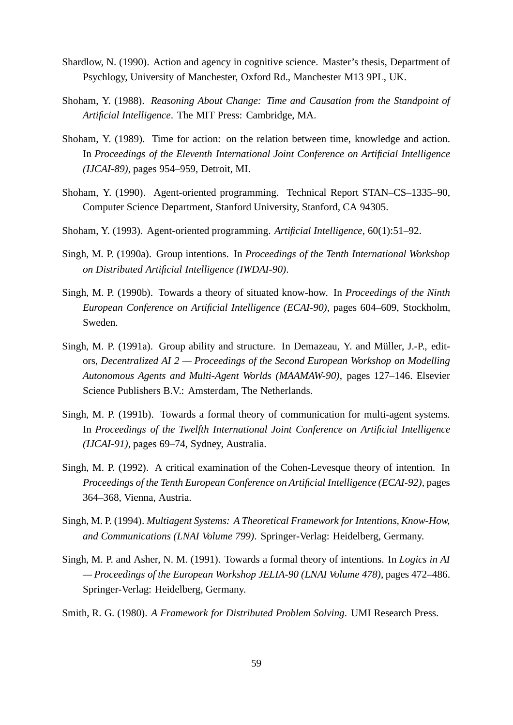- Shardlow, N. (1990). Action and agency in cognitive science. Master's thesis, Department of Psychlogy, University of Manchester, Oxford Rd., Manchester M13 9PL, UK.
- Shoham, Y. (1988). *Reasoning About Change: Time and Causation from the Standpoint of Artificial Intelligence*. The MIT Press: Cambridge, MA.
- Shoham, Y. (1989). Time for action: on the relation between time, knowledge and action. In *Proceedings of the Eleventh International Joint Conference on Artificial Intelligence (IJCAI-89)*, pages 954–959, Detroit, MI.
- Shoham, Y. (1990). Agent-oriented programming. Technical Report STAN–CS–1335–90, Computer Science Department, Stanford University, Stanford, CA 94305.
- Shoham, Y. (1993). Agent-oriented programming. *Artificial Intelligence*, 60(1):51–92.
- Singh, M. P. (1990a). Group intentions. In *Proceedings of the Tenth International Workshop on Distributed Artificial Intelligence (IWDAI-90)*.
- Singh, M. P. (1990b). Towards a theory of situated know-how. In *Proceedings of the Ninth European Conference on Artificial Intelligence (ECAI-90)*, pages 604–609, Stockholm, Sweden.
- Singh, M. P. (1991a). Group ability and structure. In Demazeau, Y. and Müller, J.-P., editors, *Decentralized AI 2 — Proceedings of the Second European Workshop on Modelling Autonomous Agents and Multi-Agent Worlds (MAAMAW-90)*, pages 127–146. Elsevier Science Publishers B.V.: Amsterdam, The Netherlands.
- Singh, M. P. (1991b). Towards a formal theory of communication for multi-agent systems. In *Proceedings of the Twelfth International Joint Conference on Artificial Intelligence (IJCAI-91)*, pages 69–74, Sydney, Australia.
- Singh, M. P. (1992). A critical examination of the Cohen-Levesque theory of intention. In *Proceedings of the Tenth European Conference on Artificial Intelligence (ECAI-92)*, pages 364–368, Vienna, Austria.
- Singh, M. P. (1994). *Multiagent Systems: A Theoretical Framework for Intentions, Know-How, and Communications (LNAI Volume 799)*. Springer-Verlag: Heidelberg, Germany.
- Singh, M. P. and Asher, N. M. (1991). Towards a formal theory of intentions. In *Logics in AI — Proceedings of the European Workshop JELIA-90 (LNAI Volume 478)*, pages 472–486. Springer-Verlag: Heidelberg, Germany.
- Smith, R. G. (1980). *A Framework for Distributed Problem Solving*. UMI Research Press.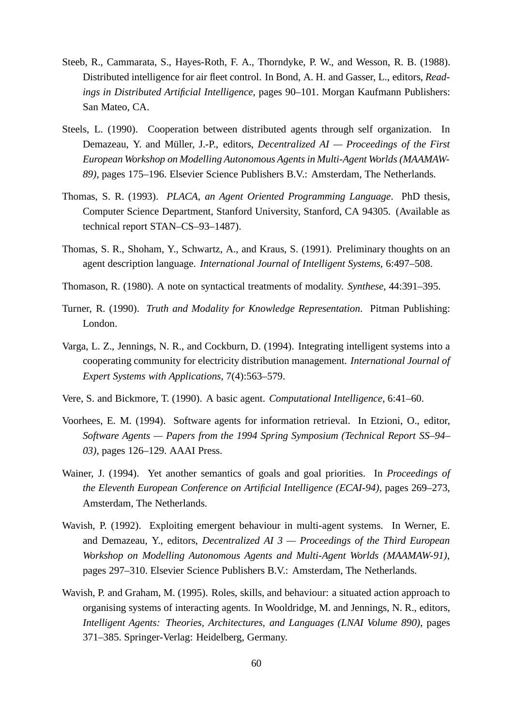- Steeb, R., Cammarata, S., Hayes-Roth, F. A., Thorndyke, P. W., and Wesson, R. B. (1988). Distributed intelligence for air fleet control. In Bond, A. H. and Gasser, L., editors, *Readings in Distributed Artificial Intelligence*, pages 90–101. Morgan Kaufmann Publishers: San Mateo, CA.
- Steels, L. (1990). Cooperation between distributed agents through self organization. In Demazeau, Y. and Müller, J.-P., editors, *Decentralized*  $AI - Proceedings$  *of the First European Workshop on Modelling Autonomous Agents in Multi-Agent Worlds (MAAMAW-89)*, pages 175–196. Elsevier Science Publishers B.V.: Amsterdam, The Netherlands.
- Thomas, S. R. (1993). *PLACA, an Agent Oriented Programming Language*. PhD thesis, Computer Science Department, Stanford University, Stanford, CA 94305. (Available as technical report STAN–CS–93–1487).
- Thomas, S. R., Shoham, Y., Schwartz, A., and Kraus, S. (1991). Preliminary thoughts on an agent description language. *International Journal of Intelligent Systems*, 6:497–508.
- Thomason, R. (1980). A note on syntactical treatments of modality. *Synthese*, 44:391–395.
- Turner, R. (1990). *Truth and Modality for Knowledge Representation*. Pitman Publishing: London.
- Varga, L. Z., Jennings, N. R., and Cockburn, D. (1994). Integrating intelligent systems into a cooperating community for electricity distribution management. *International Journal of Expert Systems with Applications*, 7(4):563–579.
- Vere, S. and Bickmore, T. (1990). A basic agent. *Computational Intelligence*, 6:41–60.
- Voorhees, E. M. (1994). Software agents for information retrieval. In Etzioni, O., editor, *Software Agents — Papers from the 1994 Spring Symposium (Technical Report SS–94– 03)*, pages 126–129. AAAI Press.
- Wainer, J. (1994). Yet another semantics of goals and goal priorities. In *Proceedings of the Eleventh European Conference on Artificial Intelligence (ECAI-94)*, pages 269–273, Amsterdam, The Netherlands.
- Wavish, P. (1992). Exploiting emergent behaviour in multi-agent systems. In Werner, E. and Demazeau, Y., editors, *Decentralized AI 3 — Proceedings of the Third European Workshop on Modelling Autonomous Agents and Multi-Agent Worlds (MAAMAW-91)*, pages 297–310. Elsevier Science Publishers B.V.: Amsterdam, The Netherlands.
- Wavish, P. and Graham, M. (1995). Roles, skills, and behaviour: a situated action approach to organising systems of interacting agents. In Wooldridge, M. and Jennings, N. R., editors, *Intelligent Agents: Theories, Architectures, and Languages (LNAI Volume 890)*, pages 371–385. Springer-Verlag: Heidelberg, Germany.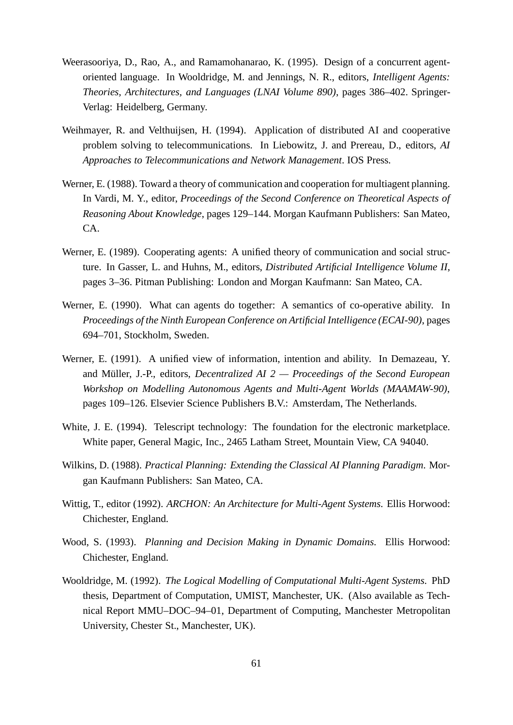- Weerasooriya, D., Rao, A., and Ramamohanarao, K. (1995). Design of a concurrent agentoriented language. In Wooldridge, M. and Jennings, N. R., editors, *Intelligent Agents: Theories, Architectures, and Languages (LNAI Volume 890)*, pages 386–402. Springer-Verlag: Heidelberg, Germany.
- Weihmayer, R. and Velthuijsen, H. (1994). Application of distributed AI and cooperative problem solving to telecommunications. In Liebowitz, J. and Prereau, D., editors, *AI Approaches to Telecommunications and Network Management*. IOS Press.
- Werner, E. (1988). Toward a theory of communication and cooperation for multiagent planning. In Vardi, M. Y., editor, *Proceedings of the Second Conference on Theoretical Aspects of Reasoning About Knowledge*, pages 129–144. Morgan Kaufmann Publishers: San Mateo, CA.
- Werner, E. (1989). Cooperating agents: A unified theory of communication and social structure. In Gasser, L. and Huhns, M., editors, *Distributed Artificial Intelligence Volume II*, pages 3–36. Pitman Publishing: London and Morgan Kaufmann: San Mateo, CA.
- Werner, E. (1990). What can agents do together: A semantics of co-operative ability. In *Proceedings of the Ninth European Conference on Artificial Intelligence (ECAI-90)*, pages 694–701, Stockholm, Sweden.
- Werner, E. (1991). A unified view of information, intention and ability. In Demazeau, Y. and Müller, J.-P., editors, *Decentralized AI* 2 *— Proceedings of the Second European Workshop on Modelling Autonomous Agents and Multi-Agent Worlds (MAAMAW-90)*, pages 109–126. Elsevier Science Publishers B.V.: Amsterdam, The Netherlands.
- White, J. E. (1994). Telescript technology: The foundation for the electronic marketplace. White paper, General Magic, Inc., 2465 Latham Street, Mountain View, CA 94040.
- Wilkins, D. (1988). *Practical Planning: Extending the Classical AI Planning Paradigm*. Morgan Kaufmann Publishers: San Mateo, CA.
- Wittig, T., editor (1992). *ARCHON: An Architecture for Multi-Agent Systems*. Ellis Horwood: Chichester, England.
- Wood, S. (1993). *Planning and Decision Making in Dynamic Domains*. Ellis Horwood: Chichester, England.
- Wooldridge, M. (1992). *The Logical Modelling of Computational Multi-Agent Systems*. PhD thesis, Department of Computation, UMIST, Manchester, UK. (Also available as Technical Report MMU–DOC–94–01, Department of Computing, Manchester Metropolitan University, Chester St., Manchester, UK).